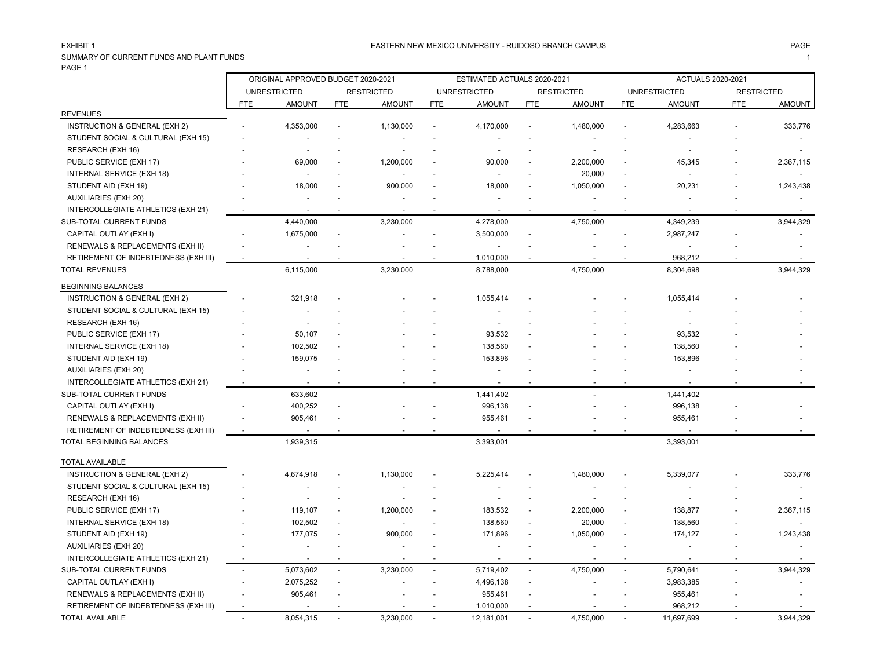### EASTERN NEW MEXICO UNIVERSITY - RUIDOSO BRANCH CAMPUS AND THE MAGE PAGE PAGE AND THE SAME AND THE SAME HAGE PAGE

SUMMARY OF CURRENT FUNDS AND PLANT FUNDS 1 PAGE 1

|                                      |                          | ORIGINAL APPROVED BUDGET 2020-2021 |                |                   |            | ESTIMATED ACTUALS 2020-2021 |                          |                   |            | <b>ACTUALS 2020-2021</b> |                   |               |
|--------------------------------------|--------------------------|------------------------------------|----------------|-------------------|------------|-----------------------------|--------------------------|-------------------|------------|--------------------------|-------------------|---------------|
|                                      |                          | <b>UNRESTRICTED</b>                |                | <b>RESTRICTED</b> |            | <b>UNRESTRICTED</b>         |                          | <b>RESTRICTED</b> |            | <b>UNRESTRICTED</b>      | <b>RESTRICTED</b> |               |
|                                      | <b>FTE</b>               | <b>AMOUNT</b>                      | <b>FTE</b>     | <b>AMOUNT</b>     | <b>FTE</b> | <b>AMOUNT</b>               | <b>FTE</b>               | <b>AMOUNT</b>     | <b>FTE</b> | <b>AMOUNT</b>            | <b>FTE</b>        | <b>AMOUNT</b> |
| <b>REVENUES</b>                      |                          |                                    |                |                   |            |                             |                          |                   |            |                          |                   |               |
| INSTRUCTION & GENERAL (EXH 2)        |                          | 4,353,000                          |                | 1,130,000         |            | 4,170,000                   |                          | 1,480,000         |            | 4,283,663                |                   | 333,776       |
| STUDENT SOCIAL & CULTURAL (EXH 15)   |                          |                                    |                |                   |            |                             |                          |                   |            |                          |                   |               |
| RESEARCH (EXH 16)                    |                          |                                    |                |                   |            |                             |                          |                   |            |                          |                   |               |
| PUBLIC SERVICE (EXH 17)              |                          | 69,000                             |                | 1,200,000         |            | 90,000                      |                          | 2,200,000         |            | 45,345                   |                   | 2,367,115     |
| INTERNAL SERVICE (EXH 18)            |                          | $\overline{a}$                     |                |                   |            | $\overline{a}$              |                          | 20,000            |            | $\overline{a}$           |                   |               |
| STUDENT AID (EXH 19)                 |                          | 18,000                             |                | 900,000           |            | 18,000                      |                          | 1,050,000         |            | 20,231                   |                   | 1,243,438     |
| <b>AUXILIARIES (EXH 20)</b>          |                          |                                    |                |                   |            | $\overline{\phantom{a}}$    |                          | $\blacksquare$    |            | $\overline{\phantom{a}}$ |                   |               |
| INTERCOLLEGIATE ATHLETICS (EXH 21)   |                          |                                    |                |                   |            |                             |                          |                   |            |                          |                   |               |
| SUB-TOTAL CURRENT FUNDS              |                          | 4,440,000                          |                | 3,230,000         |            | 4,278,000                   |                          | 4,750,000         |            | 4,349,239                |                   | 3,944,329     |
| CAPITAL OUTLAY (EXH I)               |                          | 1,675,000                          | $\overline{a}$ |                   |            | 3,500,000                   |                          |                   |            | 2,987,247                |                   |               |
| RENEWALS & REPLACEMENTS (EXH II)     |                          |                                    |                |                   |            | $\overline{a}$              |                          |                   |            |                          |                   |               |
| RETIREMENT OF INDEBTEDNESS (EXH III) | $\blacksquare$           |                                    |                |                   |            | 1,010,000                   |                          |                   |            | 968,212                  |                   |               |
| <b>TOTAL REVENUES</b>                |                          | 6,115,000                          |                | 3,230,000         |            | 8,788,000                   |                          | 4,750,000         |            | 8,304,698                |                   | 3,944,329     |
| <b>BEGINNING BALANCES</b>            |                          |                                    |                |                   |            |                             |                          |                   |            |                          |                   |               |
| INSTRUCTION & GENERAL (EXH 2)        |                          | 321,918                            |                |                   |            | 1,055,414                   |                          |                   |            | 1,055,414                |                   |               |
| STUDENT SOCIAL & CULTURAL (EXH 15)   |                          |                                    |                |                   |            |                             |                          |                   |            |                          |                   |               |
| RESEARCH (EXH 16)                    |                          |                                    |                |                   |            |                             |                          |                   |            | $\overline{a}$           |                   |               |
| PUBLIC SERVICE (EXH 17)              |                          | 50,107                             |                |                   |            | 93,532                      |                          |                   |            | 93,532                   |                   |               |
| INTERNAL SERVICE (EXH 18)            |                          | 102,502                            |                |                   |            | 138,560                     |                          |                   |            | 138,560                  |                   |               |
| STUDENT AID (EXH 19)                 |                          | 159,075                            |                |                   |            | 153,896                     |                          |                   |            | 153,896                  |                   |               |
| AUXILIARIES (EXH 20)                 |                          |                                    |                |                   |            |                             |                          |                   |            |                          |                   |               |
| INTERCOLLEGIATE ATHLETICS (EXH 21)   | $\overline{\phantom{a}}$ |                                    |                |                   |            |                             |                          |                   |            |                          |                   |               |
| SUB-TOTAL CURRENT FUNDS              |                          | 633,602                            |                |                   |            | 1,441,402                   |                          |                   |            | 1,441,402                |                   |               |
| CAPITAL OUTLAY (EXH I)               |                          | 400,252                            |                |                   |            | 996,138                     |                          |                   |            | 996,138                  |                   |               |
| RENEWALS & REPLACEMENTS (EXH II)     |                          | 905,461                            |                |                   |            | 955,461                     |                          |                   |            | 955,461                  |                   |               |
| RETIREMENT OF INDEBTEDNESS (EXH III) | $\sim$                   |                                    |                |                   |            |                             |                          |                   |            |                          |                   |               |
| TOTAL BEGINNING BALANCES             |                          | 1,939,315                          |                |                   |            | 3,393,001                   |                          |                   |            | 3,393,001                |                   |               |
| <b>TOTAL AVAILABLE</b>               |                          |                                    |                |                   |            |                             |                          |                   |            |                          |                   |               |
| INSTRUCTION & GENERAL (EXH 2)        |                          | 4,674,918                          |                | 1,130,000         |            | 5,225,414                   |                          | 1,480,000         |            | 5,339,077                |                   | 333,776       |
| STUDENT SOCIAL & CULTURAL (EXH 15)   |                          |                                    |                |                   |            |                             |                          |                   |            |                          |                   |               |
| RESEARCH (EXH 16)                    |                          |                                    |                |                   |            |                             |                          |                   |            |                          |                   |               |
| PUBLIC SERVICE (EXH 17)              |                          | 119,107                            |                | 1,200,000         |            | 183,532                     |                          | 2,200,000         |            | 138,877                  |                   | 2,367,115     |
| INTERNAL SERVICE (EXH 18)            |                          | 102,502                            |                |                   |            | 138,560                     |                          | 20,000            |            | 138,560                  |                   |               |
| STUDENT AID (EXH 19)                 |                          | 177,075                            |                | 900,000           |            | 171,896                     | $\overline{\phantom{a}}$ | 1,050,000         |            | 174,127                  |                   | 1,243,438     |
| AUXILIARIES (EXH 20)                 |                          |                                    |                |                   |            |                             |                          | $\overline{a}$    |            |                          |                   |               |
| INTERCOLLEGIATE ATHLETICS (EXH 21)   | $\overline{\phantom{a}}$ |                                    |                |                   |            |                             |                          |                   |            |                          |                   |               |
| SUB-TOTAL CURRENT FUNDS              |                          | 5,073,602                          | $\sim$         | 3,230,000         |            | 5,719,402                   | $\sim$                   | 4,750,000         |            | 5,790,641                |                   | 3,944,329     |
| CAPITAL OUTLAY (EXH I)               | $\overline{\phantom{a}}$ | 2,075,252                          |                |                   |            | 4,496,138                   | $\overline{\phantom{a}}$ |                   |            | 3,983,385                |                   |               |
| RENEWALS & REPLACEMENTS (EXH II)     |                          | 905,461                            |                |                   |            | 955,461                     |                          |                   |            | 955,461                  |                   |               |
| RETIREMENT OF INDEBTEDNESS (EXH III) | $\overline{\phantom{a}}$ |                                    |                |                   |            | 1,010,000                   |                          |                   |            | 968,212                  |                   |               |
| <b>TOTAL AVAILABLE</b>               | $\overline{\phantom{a}}$ | 8,054,315                          |                | 3,230,000         |            | 12,181,001                  | $\overline{\phantom{a}}$ | 4,750,000         |            | 11,697,699               |                   | 3,944,329     |
|                                      |                          |                                    |                |                   |            |                             |                          |                   |            |                          |                   |               |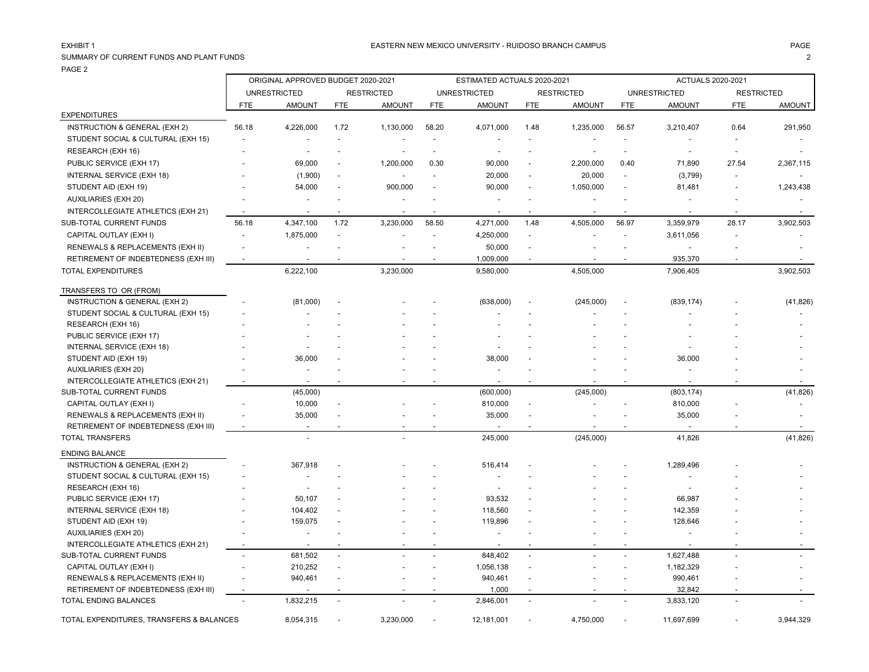### EASTERN NEW MEXICO UNIVERSITY - RUIDOSO BRANCH CAMPUS AND THE MAGE PAGE PAGE AND THE SAME AND THE SAME HAGE PAGE

## SUMMARY OF CURRENT FUNDS AND PLANT FUNDS 2

|                                          |                          | ORIGINAL APPROVED BUDGET 2020-2021 |                          |                          |                          | ESTIMATED ACTUALS 2020-2021 |                          |                          |                          | <b>ACTUALS 2020-2021</b> |                          |           |
|------------------------------------------|--------------------------|------------------------------------|--------------------------|--------------------------|--------------------------|-----------------------------|--------------------------|--------------------------|--------------------------|--------------------------|--------------------------|-----------|
|                                          |                          | <b>UNRESTRICTED</b>                |                          | <b>RESTRICTED</b>        |                          | <b>UNRESTRICTED</b>         |                          | <b>RESTRICTED</b>        |                          | <b>UNRESTRICTED</b>      | <b>RESTRICTED</b>        |           |
|                                          | FTE                      | <b>AMOUNT</b>                      | <b>FTE</b>               | <b>AMOUNT</b>            | <b>FTE</b>               | <b>AMOUNT</b>               | <b>FTE</b>               | <b>AMOUNT</b>            | <b>FTE</b>               | <b>AMOUNT</b>            | <b>FTE</b>               | AMOUNT    |
| <b>EXPENDITURES</b>                      |                          |                                    |                          |                          |                          |                             |                          |                          |                          |                          |                          |           |
| INSTRUCTION & GENERAL (EXH 2)            | 56.18                    | 4,226,000                          | 1.72                     | 1,130,000                | 58.20                    | 4,071,000                   | 1.48                     | 1,235,000                | 56.57                    | 3,210,407                | 0.64                     | 291,950   |
| STUDENT SOCIAL & CULTURAL (EXH 15)       | $\blacksquare$           |                                    | $\overline{a}$           |                          | $\blacksquare$           |                             |                          |                          | $\blacksquare$           | $\blacksquare$           | $\overline{\phantom{a}}$ |           |
| RESEARCH (EXH 16)                        |                          | $\blacksquare$                     | $\overline{a}$           | $\overline{\phantom{a}}$ | $\blacksquare$           |                             |                          |                          | $\sim$                   |                          | $\sim$                   |           |
| PUBLIC SERVICE (EXH 17)                  |                          | 69,000                             | ÷,                       | 1,200,000                | 0.30                     | 90,000                      | ÷,                       | 2,200,000                | 0.40                     | 71,890                   | 27.54                    | 2,367,115 |
| INTERNAL SERVICE (EXH 18)                |                          | (1,900)                            | $\overline{\phantom{a}}$ | $\blacksquare$           | $\overline{\phantom{a}}$ | 20,000                      | $\sim$                   | 20,000                   | $\sim$                   | (3,799)                  | $\sim$                   |           |
| STUDENT AID (EXH 19)                     |                          | 54,000                             |                          | 900,000                  | $\blacksquare$           | 90,000                      | $\overline{a}$           | 1,050,000                | $\overline{\phantom{a}}$ | 81,481                   | $\blacksquare$           | 1,243,438 |
| <b>AUXILIARIES (EXH 20)</b>              |                          | $\overline{a}$                     |                          | ÷,                       | $\overline{a}$           | $\blacksquare$              | $\overline{\phantom{a}}$ | $\blacksquare$           | $\overline{\phantom{a}}$ |                          | $\overline{a}$           |           |
| INTERCOLLEGIATE ATHLETICS (EXH 21)       | $\sim$                   | $\blacksquare$                     | $\overline{\phantom{a}}$ | $\overline{\phantom{a}}$ | $\blacksquare$           | $\overline{\phantom{a}}$    | $\overline{\phantom{a}}$ | $\overline{\phantom{a}}$ | $\sim$                   | $\overline{\phantom{a}}$ | $\overline{\phantom{a}}$ |           |
| SUB-TOTAL CURRENT FUNDS                  | 56.18                    | 4,347,100                          | 1.72                     | 3,230,000                | 58.50                    | 4,271,000                   | 1.48                     | 4,505,000                | 56.97                    | 3,359,979                | 28.17                    | 3,902,503 |
|                                          |                          |                                    | $\sim$                   |                          | $\overline{\phantom{a}}$ |                             | $\sim$                   |                          | $\overline{\phantom{a}}$ |                          | $\overline{\phantom{a}}$ |           |
| CAPITAL OUTLAY (EXH I)                   |                          | 1,875,000                          |                          |                          |                          | 4,250,000                   |                          |                          |                          | 3,611,056                |                          |           |
| RENEWALS & REPLACEMENTS (EXH II)         | $\blacksquare$           | $\blacksquare$                     |                          | $\overline{\phantom{a}}$ | $\blacksquare$           | 50,000                      | $\overline{\phantom{a}}$ |                          |                          |                          |                          |           |
| RETIREMENT OF INDEBTEDNESS (EXH III)     | $\overline{\phantom{a}}$ | $\overline{\phantom{a}}$           |                          |                          |                          | 1,009,000                   | $\overline{\phantom{a}}$ |                          | $\overline{\phantom{a}}$ | 935,370                  |                          |           |
| <b>TOTAL EXPENDITURES</b>                |                          | 6,222,100                          |                          | 3,230,000                |                          | 9,580,000                   |                          | 4,505,000                |                          | 7,906,405                |                          | 3,902,503 |
| TRANSFERS TO OR (FROM)                   |                          |                                    |                          |                          |                          |                             |                          |                          |                          |                          |                          |           |
| INSTRUCTION & GENERAL (EXH 2)            |                          | (81,000)                           |                          |                          |                          | (638,000)                   |                          | (245,000)                |                          | (839, 174)               |                          | (41, 826) |
| STUDENT SOCIAL & CULTURAL (EXH 15)       |                          |                                    |                          |                          |                          |                             | $\overline{a}$           |                          |                          |                          |                          |           |
| RESEARCH (EXH 16)                        |                          |                                    |                          |                          |                          |                             |                          |                          |                          |                          |                          |           |
| PUBLIC SERVICE (EXH 17)                  |                          |                                    |                          |                          |                          |                             |                          |                          |                          |                          |                          |           |
| INTERNAL SERVICE (EXH 18)                |                          | $\overline{\phantom{a}}$           |                          |                          |                          |                             |                          |                          |                          |                          |                          |           |
| STUDENT AID (EXH 19)                     |                          | 36,000                             |                          |                          |                          | 38,000                      |                          |                          |                          | 36,000                   |                          |           |
| <b>AUXILIARIES (EXH 20)</b>              |                          |                                    |                          |                          |                          |                             |                          |                          |                          |                          |                          |           |
| INTERCOLLEGIATE ATHLETICS (EXH 21)       |                          |                                    |                          |                          |                          |                             |                          |                          |                          |                          |                          |           |
| SUB-TOTAL CURRENT FUNDS                  |                          | (45,000)                           |                          |                          |                          | (600,000)                   |                          | (245,000)                |                          | (803, 174)               |                          | (41, 826) |
| CAPITAL OUTLAY (EXH I)                   |                          | 10,000                             |                          |                          |                          | 810,000                     | $\overline{\phantom{a}}$ |                          |                          | 810,000                  |                          |           |
| RENEWALS & REPLACEMENTS (EXH II)         |                          | 35,000                             |                          |                          |                          | 35,000                      |                          |                          |                          | 35,000                   |                          |           |
| RETIREMENT OF INDEBTEDNESS (EXH III)     |                          |                                    |                          |                          |                          |                             |                          |                          |                          |                          |                          |           |
| <b>TOTAL TRANSFERS</b>                   |                          | $\sim$                             |                          |                          |                          | 245,000                     |                          | (245,000)                |                          | 41,826                   |                          | (41, 826) |
| <b>ENDING BALANCE</b>                    |                          |                                    |                          |                          |                          |                             |                          |                          |                          |                          |                          |           |
| INSTRUCTION & GENERAL (EXH 2)            |                          | 367,918                            |                          |                          |                          | 516,414                     |                          |                          |                          | 1,289,496                |                          |           |
| STUDENT SOCIAL & CULTURAL (EXH 15)       |                          |                                    |                          |                          |                          |                             |                          |                          |                          |                          |                          |           |
| RESEARCH (EXH 16)                        |                          |                                    |                          |                          |                          |                             |                          |                          |                          |                          |                          |           |
| PUBLIC SERVICE (EXH 17)                  |                          | 50,107                             |                          |                          |                          | 93,532                      |                          |                          |                          | 66,987                   |                          |           |
| <b>INTERNAL SERVICE (EXH 18)</b>         |                          | 104,402                            |                          |                          |                          | 118,560                     |                          |                          |                          | 142,359                  |                          |           |
| STUDENT AID (EXH 19)                     |                          | 159,075                            |                          |                          |                          | 119,896                     |                          |                          |                          | 128,646                  |                          |           |
| AUXILIARIES (EXH 20)                     |                          | $\blacksquare$                     |                          |                          |                          |                             |                          |                          |                          |                          |                          |           |
| INTERCOLLEGIATE ATHLETICS (EXH 21)       | $\overline{\phantom{a}}$ |                                    |                          |                          |                          |                             |                          |                          |                          |                          |                          |           |
| SUB-TOTAL CURRENT FUNDS                  | $\overline{a}$           | 681,502                            | $\overline{a}$           |                          |                          | 848,402                     | $\sim$                   |                          |                          | 1,627,488                |                          |           |
| CAPITAL OUTLAY (EXH I)                   |                          | 210,252                            |                          |                          |                          | 1,056,138                   |                          |                          |                          | 1,182,329                |                          |           |
| RENEWALS & REPLACEMENTS (EXH II)         | $\sim$                   | 940,461                            | $\overline{\phantom{a}}$ |                          | $\overline{a}$           | 940,461                     | $\sim$                   |                          | $\sim$                   | 990,461                  |                          |           |
| RETIREMENT OF INDEBTEDNESS (EXH III)     | $\blacksquare$           | $\overline{a}$                     |                          |                          |                          | 1,000                       |                          |                          |                          | 32,842                   |                          |           |
| <b>TOTAL ENDING BALANCES</b>             |                          | 1,832,215                          | $\sim$                   |                          |                          | 2,846,001                   | $\overline{\phantom{a}}$ |                          | ÷,                       | 3,833,120                |                          |           |
| TOTAL EXPENDITURES, TRANSFERS & BALANCES |                          | 8,054,315                          |                          | 3,230,000                |                          | 12,181,001                  |                          | 4,750,000                |                          | 11,697,699               |                          | 3,944,329 |
|                                          |                          |                                    |                          |                          |                          |                             |                          |                          |                          |                          |                          |           |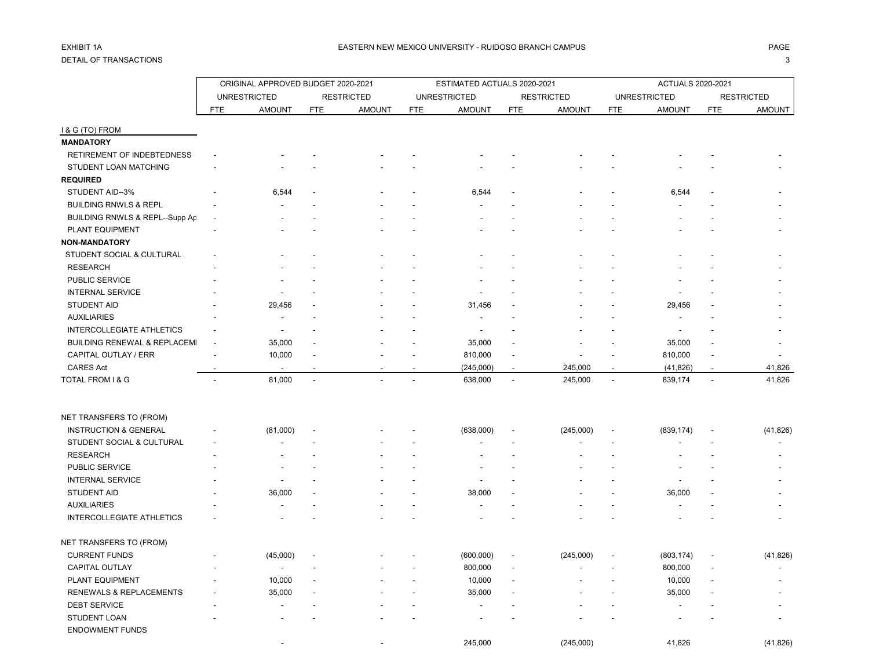# DETAIL OF TRANSACTIONS 3

|                                  |            | ORIGINAL APPROVED BUDGET 2020-2021 |                          |                   |            | ESTIMATED ACTUALS 2020-2021 |                          |                   |              | ACTUALS 2020-2021   |                |                   |
|----------------------------------|------------|------------------------------------|--------------------------|-------------------|------------|-----------------------------|--------------------------|-------------------|--------------|---------------------|----------------|-------------------|
|                                  |            | <b>UNRESTRICTED</b>                |                          | <b>RESTRICTED</b> |            | <b>UNRESTRICTED</b>         |                          | <b>RESTRICTED</b> |              | <b>UNRESTRICTED</b> |                | <b>RESTRICTED</b> |
|                                  | <b>FTE</b> | <b>AMOUNT</b>                      | <b>FTE</b>               | <b>AMOUNT</b>     | <b>FTE</b> | <b>AMOUNT</b>               | <b>FTE</b>               | <b>AMOUNT</b>     | <b>FTE</b>   | <b>AMOUNT</b>       | <b>FTE</b>     | AMOUNT            |
| I & G (TO) FROM                  |            |                                    |                          |                   |            |                             |                          |                   |              |                     |                |                   |
| <b>MANDATORY</b>                 |            |                                    |                          |                   |            |                             |                          |                   |              |                     |                |                   |
| RETIREMENT OF INDEBTEDNESS       |            |                                    |                          |                   |            |                             |                          |                   |              |                     |                |                   |
| STUDENT LOAN MATCHING            |            |                                    |                          |                   |            |                             |                          |                   |              |                     |                |                   |
| <b>REQUIRED</b>                  |            |                                    |                          |                   |            |                             |                          |                   |              |                     |                |                   |
| STUDENT AID--3%                  |            | 6,544                              |                          |                   |            | 6,544                       |                          |                   |              | 6,544               |                |                   |
| <b>BUILDING RNWLS &amp; REPL</b> |            |                                    |                          |                   |            |                             |                          |                   |              |                     |                |                   |
| BUILDING RNWLS & REPL--Supp Ap   |            |                                    |                          |                   |            |                             |                          |                   |              |                     |                |                   |
| PLANT EQUIPMENT                  |            |                                    |                          |                   |            |                             |                          |                   |              |                     |                |                   |
| <b>NON-MANDATORY</b>             |            |                                    |                          |                   |            |                             |                          |                   |              |                     |                |                   |
| STUDENT SOCIAL & CULTURAL        |            |                                    |                          |                   |            |                             |                          |                   |              |                     |                |                   |
| <b>RESEARCH</b>                  |            |                                    |                          |                   |            |                             |                          |                   |              |                     |                |                   |
| PUBLIC SERVICE                   |            |                                    |                          |                   |            |                             |                          |                   |              |                     |                |                   |
| <b>INTERNAL SERVICE</b>          |            |                                    |                          |                   |            |                             |                          |                   |              |                     |                |                   |
| <b>STUDENT AID</b>               |            | 29,456                             |                          |                   |            | 31,456                      |                          |                   |              | 29,456              |                |                   |
| <b>AUXILIARIES</b>               |            | $\overline{a}$                     |                          |                   |            |                             |                          |                   |              |                     |                |                   |
| INTERCOLLEGIATE ATHLETICS        |            |                                    |                          |                   |            |                             |                          |                   |              |                     |                |                   |
| BUILDING RENEWAL & REPLACEMI     |            | 35,000                             |                          |                   |            | 35,000                      |                          |                   |              | 35,000              |                |                   |
| CAPITAL OUTLAY / ERR             |            | 10,000                             |                          |                   |            | 810,000                     |                          |                   |              | 810,000             |                |                   |
| <b>CARES Act</b>                 |            |                                    |                          |                   |            | (245,000)                   | $\overline{\phantom{a}}$ | 245,000           |              | (41, 826)           | $\overline{a}$ | 41,826            |
| TOTAL FROM I & G                 |            | 81,000                             | $\overline{\phantom{a}}$ |                   |            | 638,000                     | $\blacksquare$           | 245,000           | $\mathbf{r}$ | 839,174             | $\overline{a}$ | 41,826            |
|                                  |            |                                    |                          |                   |            |                             |                          |                   |              |                     |                |                   |
| NET TRANSFERS TO (FROM)          |            |                                    |                          |                   |            |                             |                          |                   |              |                     |                |                   |
| <b>INSTRUCTION &amp; GENERAL</b> |            | (81,000)                           |                          |                   |            | (638,000)                   |                          | (245,000)         |              | (839, 174)          |                | (41, 826)         |
| STUDENT SOCIAL & CULTURAL        |            |                                    |                          |                   |            |                             |                          |                   |              |                     |                |                   |
| <b>RESEARCH</b>                  |            |                                    |                          |                   |            |                             |                          |                   |              |                     |                |                   |
| PUBLIC SERVICE                   |            |                                    |                          |                   |            |                             |                          |                   |              |                     |                |                   |
| <b>INTERNAL SERVICE</b>          |            |                                    |                          |                   |            |                             |                          |                   |              |                     |                |                   |
| STUDENT AID                      |            | 36,000                             |                          |                   |            | 38,000                      |                          |                   |              | 36,000              |                |                   |
| <b>AUXILIARIES</b>               |            |                                    |                          |                   |            |                             |                          |                   |              |                     |                |                   |
| <b>INTERCOLLEGIATE ATHLETICS</b> |            |                                    |                          |                   |            |                             |                          |                   |              |                     |                |                   |
| NET TRANSFERS TO (FROM)          |            |                                    |                          |                   |            |                             |                          |                   |              |                     |                |                   |
| <b>CURRENT FUNDS</b>             |            | (45,000)                           |                          |                   |            | (600,000)                   |                          | (245,000)         |              | (803, 174)          |                | (41, 826)         |
| CAPITAL OUTLAY                   |            | $\sim$                             |                          |                   |            | 800,000                     |                          |                   |              | 800,000             |                |                   |
| PLANT EQUIPMENT                  |            | 10,000                             |                          |                   |            | 10,000                      |                          |                   |              | 10,000              |                |                   |
| RENEWALS & REPLACEMENTS          |            | 35,000                             |                          |                   |            | 35,000                      |                          |                   |              | 35,000              |                |                   |
| <b>DEBT SERVICE</b>              |            |                                    |                          |                   |            |                             |                          |                   |              |                     |                |                   |
| STUDENT LOAN                     |            |                                    |                          |                   |            |                             |                          |                   |              |                     |                |                   |
| <b>ENDOWMENT FUNDS</b>           |            |                                    |                          |                   |            |                             |                          |                   |              |                     |                |                   |
|                                  |            |                                    |                          |                   |            | 245,000                     |                          | (245,000)         |              | 41,826              |                | (41, 826)         |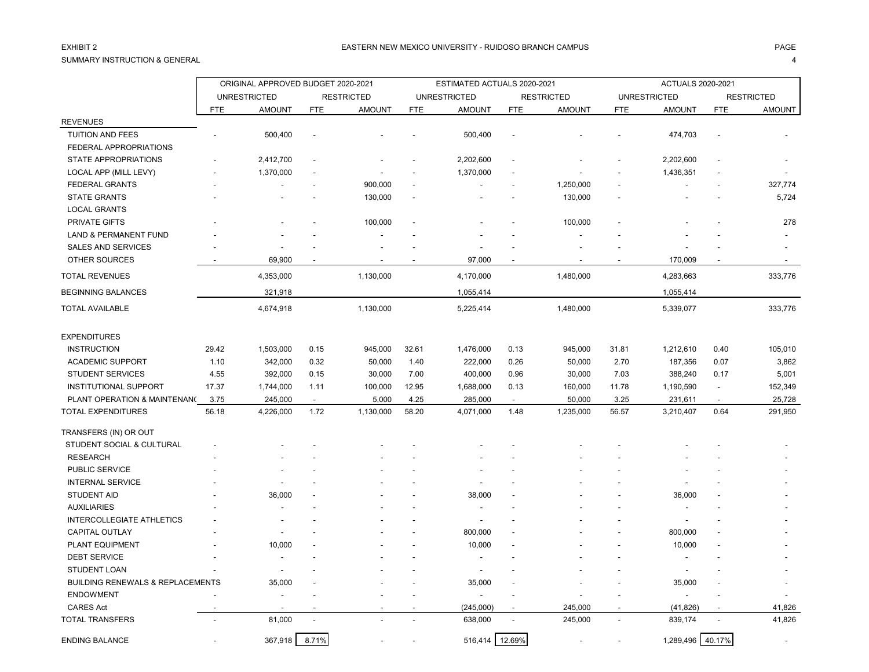## SUMMARY INSTRUCTION & GENERAL 4

ORIGINAL APPROVED BUDGET 2020-2021 ESTIMATED ACTUALS 2020-2021 ACTUALS 2020-2021 UNRESTRICTED RESTRICTED UNRESTRICTED RESTRICTED UNRESTRICTED RESTRICTED FTE AMOUNT FTE AMOUNT FTE AMOUNT FTE AMOUNT FTE AMOUNT FTE AMOUNT REVENUES TUITION AND FEES - 500,400 - - - 500,400 - - - 474,703 - - FEDERAL APPROPRIATIONS STATE APPROPRIATIONS - 2,412,700 - - - 2,202,600 - - - 2,202,600 - - LOCAL APP (MILL LEVY) - 1,370,000 - - - 1,370,000 - - - 1,436,351 - - FEDERAL GRANTS - - - 900,000 - - - 1,250,000 - - - 327,774 STATE GRANTS - - - 130,000 - - 130,000 - - 5,724 LOCAL GRANTS PRIVATE GIFTS - - - 100,000 - - - 100,000 - - - 278 LAND & PERMANENT FUND SALES AND SERVICES - - - - - - - - - - - - OTHER SOURCES - 69,900 - - 97,000 - - -TOTAL REVENUES 4,353,000 1,130,000 1,480,000 4,283,663 333,776 BEGINNING BALANCES 1,055,414 1,055,414 1,055,414 1,055,414 1,055,414 1,055,414 1,055,414 1,055,414 TOTAL AVAILABLE 4,674,918 1,130,000 5,225,414 1,480,000 5,339,077 333,776 EXPENDITURES INSTRUCTION 29.42 1,503,000 0.15 945,000 32.61 1,476,000 0.13 945,000 31.81 1,212,610 0.40 105,010 ACADEMIC SUPPORT 1.10 342,000 0.32 50,000 1.40 222,000 0.26 50,000 2.70 187,356 0.07 3,862 STUDENT SERVICES 4.55 392,000 0.15 30,000 7.00 400,000 0.96 30,000 7.03 388,240 0.17 5,001 INSTITUTIONAL SUPPORT 17.37 1,744,000 1.11 100,000 12.95 1,688,000 0.13 160,000 11.78 1,190,590 - 152,349 PLANT OPERATION & MAINTENANC 3.75 245,000 - 5,000 4.25 285,000 - 50,000 3.25 231,611 - 25,728 TOTAL EXPENDITURES 56.18 4,226,000 1.72 1,130,000 58.20 4,071,000 1.48 1,235,000 56.57 3,210,407 0.64 291,950 TRANSFERS (IN) OR OUT STUDENT SOCIAL & CULTURAL RESEARCH - - - - - - - - - - - - PUBLIC SERVICE - - - - - - - - - - - - INTERNAL SERVICE - - - - - - - - - - - - STUDENT AID - 36,000 - - 38,000 - - 36,000 - - AUXILIARIES - - - - - - - - - - - - INTERCOLLEGIATE ATHLETICS CAPITAL OUTLAY - - - - - 800,000 - - - 800,000 - - PLANT EQUIPMENT - 10,000 - - - 10,000 - - - 10,000 - - DEBT SERVICE - - - - - - - - - - - - STUDENT LOAN - - - - - - - - - - - - BUILDING RENEWALS & REPLACEMENTS 35,000 - - - 35,000 - - - 35,000 - endowment the second contract of the second contract of the second contract of the second contract of the second contract of the second contract of the second contract of the second contract of the second contract of the s CARES Act - - - - - (245,000) - 245,000 - (41,826) - 41,826

TOTAL TRANSFERS - 81,000 - - 638,000 - 245,000 - 839,174 - 41,826 ENDING BALANCE - 367,918 8.71% - - 516,414 12.69% - - 1,289,496 40.17% -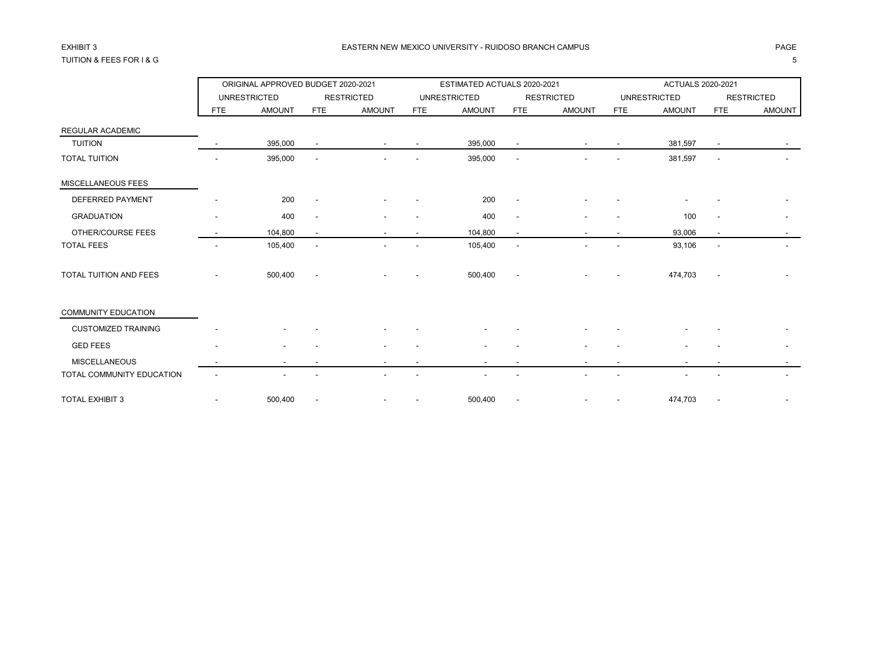## TUITION & FEES FOR I & G 5

|                            |                          | ORIGINAL APPROVED BUDGET 2020-2021 |                          |                   |            | ESTIMATED ACTUALS 2020-2021 |                          |                   |            | <b>ACTUALS 2020-2021</b> |                          |                          |
|----------------------------|--------------------------|------------------------------------|--------------------------|-------------------|------------|-----------------------------|--------------------------|-------------------|------------|--------------------------|--------------------------|--------------------------|
|                            |                          | <b>UNRESTRICTED</b>                |                          | <b>RESTRICTED</b> |            | <b>UNRESTRICTED</b>         |                          | <b>RESTRICTED</b> |            | <b>UNRESTRICTED</b>      |                          | <b>RESTRICTED</b>        |
|                            | FTE                      | <b>AMOUNT</b>                      | FTE                      | <b>AMOUNT</b>     | <b>FTE</b> | <b>AMOUNT</b>               | FTE                      | <b>AMOUNT</b>     | <b>FTE</b> | <b>AMOUNT</b>            | <b>FTE</b>               | <b>AMOUNT</b>            |
| <b>REGULAR ACADEMIC</b>    |                          |                                    |                          |                   |            |                             |                          |                   |            |                          |                          |                          |
| <b>TUITION</b>             |                          | 395,000                            |                          |                   |            | 395,000                     |                          |                   |            | 381,597                  |                          |                          |
| <b>TOTAL TUITION</b>       |                          | 395,000                            |                          |                   |            | 395,000                     |                          |                   |            | 381,597                  | $\blacksquare$           |                          |
| MISCELLANEOUS FEES         |                          |                                    |                          |                   |            |                             |                          |                   |            |                          |                          |                          |
| <b>DEFERRED PAYMENT</b>    |                          | 200                                |                          |                   |            | 200                         |                          |                   |            |                          |                          |                          |
| <b>GRADUATION</b>          | $\overline{\phantom{a}}$ | 400                                | $\overline{\phantom{a}}$ |                   |            | 400                         | $\overline{\phantom{a}}$ |                   |            | 100                      | $\overline{\phantom{a}}$ | $\overline{\phantom{a}}$ |
| OTHER/COURSE FEES          |                          | 104,800                            |                          |                   |            | 104,800                     | $\overline{\phantom{a}}$ |                   |            | 93,006                   | $\blacksquare$           |                          |
| <b>TOTAL FEES</b>          |                          | 105,400                            |                          |                   |            | 105,400                     | $\overline{\phantom{a}}$ |                   |            | 93,106                   | $\overline{\phantom{a}}$ |                          |
| TOTAL TUITION AND FEES     |                          | 500,400                            |                          |                   |            | 500,400                     |                          |                   |            | 474,703                  |                          |                          |
| <b>COMMUNITY EDUCATION</b> |                          |                                    |                          |                   |            |                             |                          |                   |            |                          |                          |                          |
| <b>CUSTOMIZED TRAINING</b> |                          |                                    |                          |                   |            |                             |                          |                   |            |                          |                          |                          |
| <b>GED FEES</b>            |                          |                                    |                          |                   |            |                             |                          |                   |            |                          |                          |                          |
| <b>MISCELLANEOUS</b>       |                          |                                    |                          |                   |            |                             |                          |                   |            |                          |                          |                          |
| TOTAL COMMUNITY EDUCATION  |                          |                                    |                          |                   |            |                             |                          |                   |            |                          |                          |                          |
| <b>TOTAL EXHIBIT 3</b>     |                          | 500,400                            |                          |                   |            | 500,400                     |                          |                   |            | 474,703                  |                          |                          |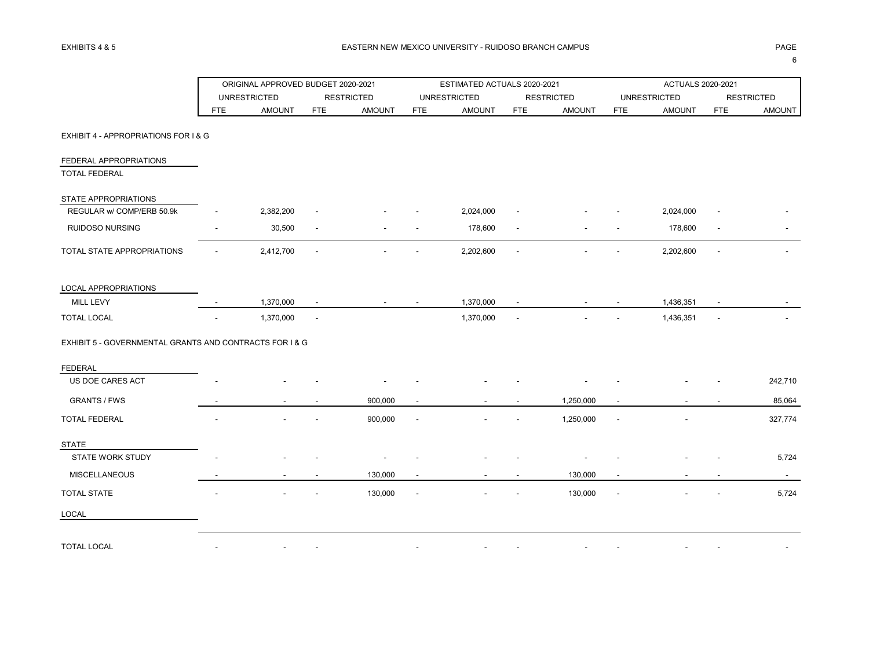|                                                         |            | ORIGINAL APPROVED BUDGET 2020-2021 |                          |                   |            | ESTIMATED ACTUALS 2020-2021 |                          |                   |            | ACTUALS 2020-2021   |                |                   |
|---------------------------------------------------------|------------|------------------------------------|--------------------------|-------------------|------------|-----------------------------|--------------------------|-------------------|------------|---------------------|----------------|-------------------|
|                                                         |            | <b>UNRESTRICTED</b>                |                          | <b>RESTRICTED</b> |            | <b>UNRESTRICTED</b>         |                          | <b>RESTRICTED</b> |            | <b>UNRESTRICTED</b> |                | <b>RESTRICTED</b> |
|                                                         | <b>FTE</b> | <b>AMOUNT</b>                      | <b>FTE</b>               | <b>AMOUNT</b>     | <b>FTE</b> | <b>AMOUNT</b>               | <b>FTE</b>               | <b>AMOUNT</b>     | <b>FTE</b> | <b>AMOUNT</b>       | <b>FTE</b>     | <b>AMOUNT</b>     |
| EXHIBIT 4 - APPROPRIATIONS FOR I & G                    |            |                                    |                          |                   |            |                             |                          |                   |            |                     |                |                   |
| FEDERAL APPROPRIATIONS                                  |            |                                    |                          |                   |            |                             |                          |                   |            |                     |                |                   |
| <b>TOTAL FEDERAL</b>                                    |            |                                    |                          |                   |            |                             |                          |                   |            |                     |                |                   |
| STATE APPROPRIATIONS                                    |            |                                    |                          |                   |            |                             |                          |                   |            |                     |                |                   |
| REGULAR w/ COMP/ERB 50.9k                               |            | 2,382,200                          |                          |                   |            | 2,024,000                   |                          |                   |            | 2,024,000           |                |                   |
| <b>RUIDOSO NURSING</b>                                  |            | 30,500                             | $\overline{\phantom{a}}$ |                   |            | 178,600                     | $\overline{\phantom{a}}$ |                   |            | 178,600             | $\blacksquare$ |                   |
| TOTAL STATE APPROPRIATIONS                              |            | 2,412,700                          |                          |                   |            | 2,202,600                   |                          |                   |            | 2,202,600           |                |                   |
| LOCAL APPROPRIATIONS                                    |            |                                    |                          |                   |            |                             |                          |                   |            |                     |                |                   |
| MILL LEVY                                               |            | 1,370,000                          |                          |                   |            | 1,370,000                   |                          |                   |            | 1,436,351           |                |                   |
| <b>TOTAL LOCAL</b>                                      |            | 1,370,000                          | $\overline{\phantom{a}}$ |                   |            | 1,370,000                   |                          |                   |            | 1,436,351           |                |                   |
| EXHIBIT 5 - GOVERNMENTAL GRANTS AND CONTRACTS FOR I & G |            |                                    |                          |                   |            |                             |                          |                   |            |                     |                |                   |
| <b>FEDERAL</b>                                          |            |                                    |                          |                   |            |                             |                          |                   |            |                     |                |                   |
| US DOE CARES ACT                                        |            |                                    |                          |                   |            |                             |                          |                   |            |                     |                | 242,710           |
| <b>GRANTS / FWS</b>                                     |            |                                    |                          | 900,000           |            |                             |                          | 1,250,000         |            |                     |                | 85,064            |
| TOTAL FEDERAL                                           |            |                                    |                          | 900,000           |            |                             |                          | 1,250,000         |            |                     |                | 327,774           |
| <b>STATE</b>                                            |            |                                    |                          |                   |            |                             |                          |                   |            |                     |                |                   |
| <b>STATE WORK STUDY</b>                                 |            |                                    |                          |                   |            |                             |                          |                   |            |                     |                | 5,724             |
| <b>MISCELLANEOUS</b>                                    |            |                                    |                          | 130,000           |            |                             |                          | 130,000           |            |                     |                |                   |
| <b>TOTAL STATE</b>                                      |            |                                    |                          | 130,000           |            |                             |                          | 130,000           |            |                     |                | 5,724             |
| LOCAL                                                   |            |                                    |                          |                   |            |                             |                          |                   |            |                     |                |                   |
| <b>TOTAL LOCAL</b>                                      |            |                                    |                          |                   |            |                             |                          |                   |            |                     |                |                   |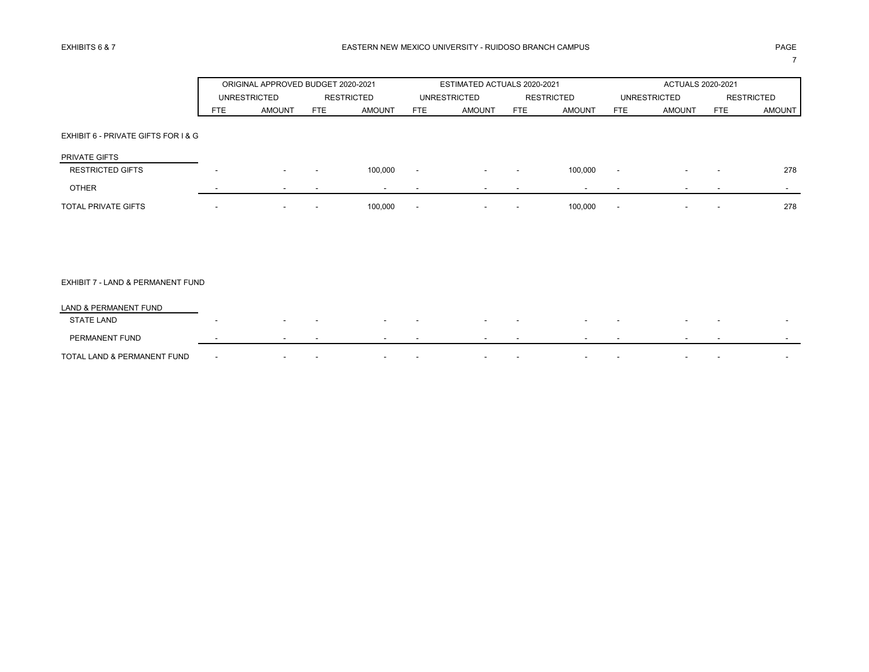|                                     |                          | ORIGINAL APPROVED BUDGET 2020-2021 |                          |                          |                          | ESTIMATED ACTUALS 2020-2021 |                          |                          |                          | ACTUALS 2020-2021        |                          |                   |
|-------------------------------------|--------------------------|------------------------------------|--------------------------|--------------------------|--------------------------|-----------------------------|--------------------------|--------------------------|--------------------------|--------------------------|--------------------------|-------------------|
|                                     |                          | <b>UNRESTRICTED</b>                |                          | <b>RESTRICTED</b>        |                          | <b>UNRESTRICTED</b>         |                          | <b>RESTRICTED</b>        |                          | <b>UNRESTRICTED</b>      |                          | <b>RESTRICTED</b> |
|                                     | <b>FTE</b>               | <b>AMOUNT</b>                      | FTE                      | <b>AMOUNT</b>            | FTE                      | <b>AMOUNT</b>               | FTE                      | <b>AMOUNT</b>            | <b>FTE</b>               | <b>AMOUNT</b>            | FTE                      | <b>AMOUNT</b>     |
|                                     |                          |                                    |                          |                          |                          |                             |                          |                          |                          |                          |                          |                   |
| EXHIBIT 6 - PRIVATE GIFTS FOR I & G |                          |                                    |                          |                          |                          |                             |                          |                          |                          |                          |                          |                   |
| PRIVATE GIFTS                       |                          |                                    |                          |                          |                          |                             |                          |                          |                          |                          |                          |                   |
| <b>RESTRICTED GIFTS</b>             | $\overline{\phantom{a}}$ | $\sim$                             | $\overline{\phantom{a}}$ | 100,000                  | $\overline{\phantom{a}}$ | $\sim$                      | $\overline{\phantom{a}}$ | 100,000                  | $\sim$                   | $\overline{\phantom{a}}$ | $\overline{\phantom{0}}$ | 278               |
| <b>OTHER</b>                        |                          | $\overline{\phantom{a}}$           | $\overline{\phantom{a}}$ | $\overline{\phantom{a}}$ |                          | $\overline{\phantom{a}}$    | $\overline{\phantom{a}}$ | $\overline{\phantom{0}}$ | $\overline{\phantom{0}}$ | $\overline{\phantom{0}}$ | $\overline{\phantom{0}}$ | $\sim$            |
| <b>TOTAL PRIVATE GIFTS</b>          | $\overline{\phantom{a}}$ | $\sim$                             |                          | 100,000                  | $\overline{\phantom{a}}$ | $\overline{\phantom{a}}$    | $\overline{\phantom{a}}$ | 100,000                  | $\sim$                   | $\overline{\phantom{0}}$ | $\overline{\phantom{a}}$ | 278               |
|                                     |                          |                                    |                          |                          |                          |                             |                          |                          |                          |                          |                          |                   |

## EXHIBIT 7 - LAND & PERMANENT FUND

| LAND & PERMANENT FUND       |  |                          |   |                          |                          |        |        |  |  |  |
|-----------------------------|--|--------------------------|---|--------------------------|--------------------------|--------|--------|--|--|--|
| <b>STATE LAND</b>           |  | $\overline{\phantom{a}}$ |   | $\overline{\phantom{0}}$ | $\overline{\phantom{a}}$ |        |        |  |  |  |
| PERMANENT FUND              |  |                          |   | $\overline{\phantom{0}}$ | $\sim$<br>$\sim$         | $\sim$ | $\sim$ |  |  |  |
| TOTAL LAND & PERMANENT FUND |  |                          | - | -                        | -<br>-                   |        |        |  |  |  |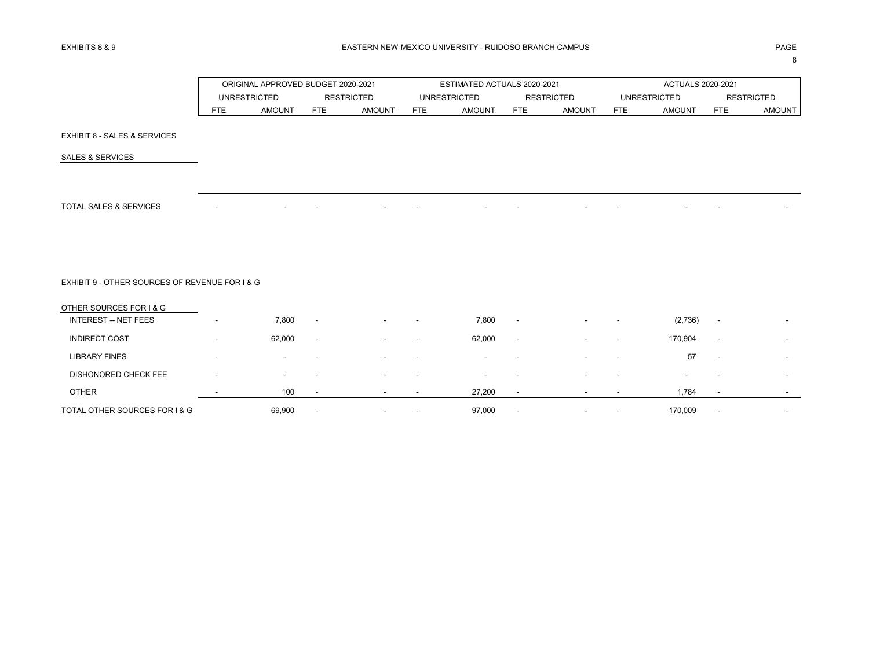8

|     | ORIGINAL APPROVED BUDGET 2020-2021 |     |                   |            | ESTIMATED ACTUALS 2020-2021 |            |                   |     | ACTUALS 2020-2021   |      |                   |
|-----|------------------------------------|-----|-------------------|------------|-----------------------------|------------|-------------------|-----|---------------------|------|-------------------|
|     | <b>UNRESTRICTED</b>                |     | <b>RESTRICTED</b> |            | <b>UNRESTRICTED</b>         |            | <b>RESTRICTED</b> |     | <b>UNRESTRICTED</b> |      | <b>RESTRICTED</b> |
| FTE | AMOUNT                             | FTE | AMOUNT            | <b>FTE</b> | <b>AMOUNT</b>               | <b>FTE</b> | AMOUNT            | FTE | <b>AMOUNT</b>       | FTE. | <b>AMOUNT</b>     |

### EXHIBIT 8 - SALES & SERVICES

SALES & SERVICES

TOTAL SALES & SERVICES A RESOLUCIÓN DE LA CARACTERÍA EL CONSUMIDADE DE LA CARACTERÍA EL CONSUMIDADE DE LA CARA

EXHIBIT 9 - OTHER SOURCES OF REVENUE FOR I & G

| OTHER SOURCES FOR I & G       |        |                          |                          |                          |                          |                          |                          |                          |         |                          |                          |
|-------------------------------|--------|--------------------------|--------------------------|--------------------------|--------------------------|--------------------------|--------------------------|--------------------------|---------|--------------------------|--------------------------|
| <b>INTEREST -- NET FEES</b>   | 7,800  | $\overline{\phantom{a}}$ | $\overline{\phantom{a}}$ | $\overline{\phantom{0}}$ | 7,800                    | $\overline{\phantom{a}}$ | $\overline{\phantom{a}}$ | $\sim$                   | (2,736) | $\overline{\phantom{a}}$ |                          |
| <b>INDIRECT COST</b>          | 62,000 | $\sim$                   | $\overline{\phantom{a}}$ | $\overline{\phantom{0}}$ | 62,000                   | $\overline{\phantom{a}}$ | $\overline{\phantom{a}}$ | $\sim$                   | 170,904 | $\overline{\phantom{a}}$ |                          |
| <b>LIBRARY FINES</b>          | $\sim$ | $\overline{\phantom{a}}$ | $\overline{\phantom{a}}$ |                          | $\overline{\phantom{a}}$ | $\overline{\phantom{a}}$ | $\overline{\phantom{a}}$ |                          | 57      | $\overline{\phantom{a}}$ | $\overline{\phantom{a}}$ |
| DISHONORED CHECK FEE          | $\sim$ |                          | $\overline{\phantom{a}}$ |                          | -                        | -                        | $\overline{\phantom{0}}$ |                          | -       | -                        | $\sim$                   |
| <b>OTHER</b>                  | 100    |                          |                          |                          | 27,200                   |                          |                          |                          | 1,784   |                          | $\overline{\phantom{0}}$ |
| TOTAL OTHER SOURCES FOR I & G | 69,900 |                          | $\overline{\phantom{a}}$ | $\overline{\phantom{0}}$ | 97,000                   | $\overline{\phantom{a}}$ | $\overline{\phantom{a}}$ | $\overline{\phantom{0}}$ | 170,009 | $\overline{\phantom{a}}$ | $\overline{\phantom{a}}$ |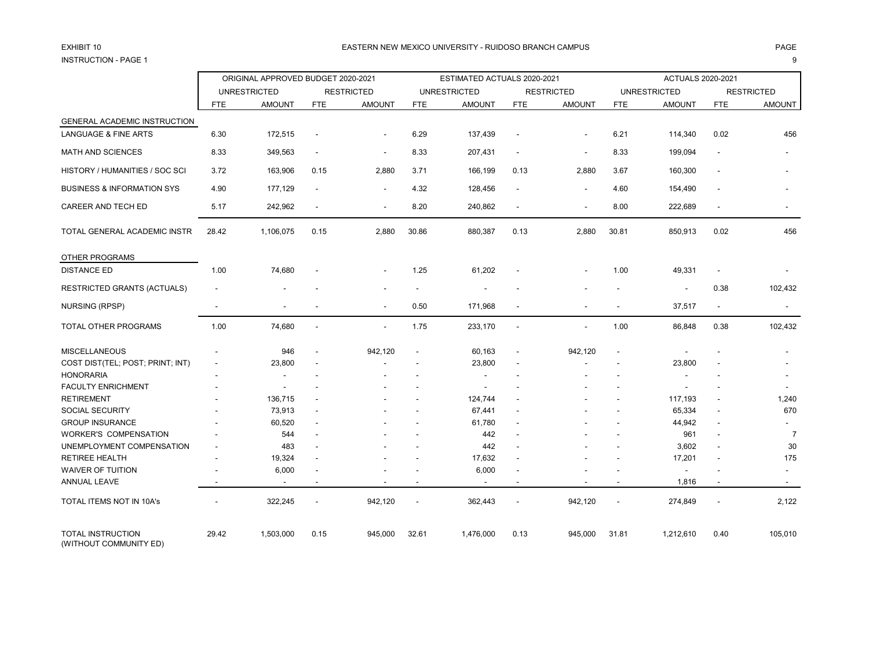# INSTRUCTION - PAGE 1 9

### EXHIBIT 10 PAGE PAGE IN PAGE IN THE SEASTERN NEW MEXICO UNIVERSITY - RUIDOSO BRANCH CAMPUS AND THE SEASTERN NEW MEXICO UNIVERSITY - RUIDOSO BRANCH CAMPUS

|                                                    |                | ORIGINAL APPROVED BUDGET 2020-2021 |                          |                          |                          | ESTIMATED ACTUALS 2020-2021 |                          |                          |                          | <b>ACTUALS 2020-2021</b> |                          |                          |
|----------------------------------------------------|----------------|------------------------------------|--------------------------|--------------------------|--------------------------|-----------------------------|--------------------------|--------------------------|--------------------------|--------------------------|--------------------------|--------------------------|
|                                                    |                | <b>UNRESTRICTED</b>                |                          | <b>RESTRICTED</b>        |                          | <b>UNRESTRICTED</b>         |                          | <b>RESTRICTED</b>        |                          | <b>UNRESTRICTED</b>      |                          | <b>RESTRICTED</b>        |
|                                                    | <b>FTE</b>     | <b>AMOUNT</b>                      | <b>FTE</b>               | <b>AMOUNT</b>            | FTE                      | <b>AMOUNT</b>               | <b>FTE</b>               | <b>AMOUNT</b>            | <b>FTE</b>               | <b>AMOUNT</b>            | <b>FTE</b>               | <b>AMOUNT</b>            |
| GENERAL ACADEMIC INSTRUCTION                       |                |                                    |                          |                          |                          |                             |                          |                          |                          |                          |                          |                          |
| <b>LANGUAGE &amp; FINE ARTS</b>                    | 6.30           | 172,515                            | $\blacksquare$           | $\blacksquare$           | 6.29                     | 137,439                     | $\blacksquare$           | $\blacksquare$           | 6.21                     | 114,340                  | 0.02                     | 456                      |
| MATH AND SCIENCES                                  | 8.33           | 349,563                            |                          | ٠                        | 8.33                     | 207,431                     | $\blacksquare$           | $\overline{\phantom{a}}$ | 8.33                     | 199,094                  |                          |                          |
| HISTORY / HUMANITIES / SOC SCI                     | 3.72           | 163,906                            | 0.15                     | 2,880                    | 3.71                     | 166,199                     | 0.13                     | 2,880                    | 3.67                     | 160,300                  | $\overline{\phantom{a}}$ |                          |
| <b>BUSINESS &amp; INFORMATION SYS</b>              | 4.90           | 177,129                            | $\overline{\phantom{a}}$ | $\overline{\phantom{a}}$ | 4.32                     | 128,456                     | $\overline{\phantom{a}}$ | $\blacksquare$           | 4.60                     | 154,490                  | $\overline{\phantom{a}}$ |                          |
| CAREER AND TECH ED                                 | 5.17           | 242,962                            | $\overline{\phantom{a}}$ | $\blacksquare$           | 8.20                     | 240,862                     | $\blacksquare$           | $\overline{\phantom{a}}$ | 8.00                     | 222,689                  | $\overline{\phantom{a}}$ |                          |
| TOTAL GENERAL ACADEMIC INSTR                       | 28.42          | 1,106,075                          | 0.15                     | 2,880                    | 30.86                    | 880,387                     | 0.13                     | 2,880                    | 30.81                    | 850,913                  | 0.02                     | 456                      |
| OTHER PROGRAMS                                     |                |                                    |                          |                          |                          |                             |                          |                          |                          |                          |                          |                          |
| <b>DISTANCE ED</b>                                 | 1.00           | 74,680                             |                          |                          | 1.25                     | 61,202                      |                          |                          | 1.00                     | 49,331                   | $\overline{\phantom{a}}$ |                          |
| <b>RESTRICTED GRANTS (ACTUALS)</b>                 | $\overline{a}$ |                                    |                          |                          | $\overline{a}$           |                             |                          |                          |                          | $\blacksquare$           | 0.38                     | 102,432                  |
| NURSING (RPSP)                                     |                |                                    |                          | ÷,                       | 0.50                     | 171,968                     |                          |                          |                          | 37,517                   | $\blacksquare$           |                          |
| TOTAL OTHER PROGRAMS                               | 1.00           | 74,680                             |                          | ÷,                       | 1.75                     | 233,170                     |                          |                          | 1.00                     | 86,848                   | 0.38                     | 102,432                  |
| <b>MISCELLANEOUS</b>                               |                | 946                                |                          | 942,120                  | $\blacksquare$           | 60,163                      | $\blacksquare$           | 942,120                  | $\blacksquare$           |                          |                          |                          |
| COST DIST(TEL; POST; PRINT; INT)                   |                | 23,800                             |                          |                          |                          | 23,800                      |                          |                          |                          | 23,800                   |                          |                          |
| <b>HONORARIA</b>                                   |                |                                    |                          |                          |                          |                             |                          |                          |                          |                          |                          |                          |
| <b>FACULTY ENRICHMENT</b>                          |                |                                    |                          |                          |                          |                             |                          |                          |                          |                          |                          |                          |
| <b>RETIREMENT</b>                                  |                | 136,715                            |                          |                          |                          | 124,744                     |                          |                          |                          | 117,193                  | $\blacksquare$           | 1,240                    |
| <b>SOCIAL SECURITY</b>                             |                | 73,913                             |                          |                          |                          | 67,441                      | $\overline{\phantom{a}}$ |                          |                          | 65,334                   | $\overline{\phantom{a}}$ | 670                      |
| <b>GROUP INSURANCE</b>                             |                | 60,520                             |                          |                          |                          | 61,780                      |                          |                          |                          | 44,942                   | $\overline{\phantom{a}}$ |                          |
| <b>WORKER'S COMPENSATION</b>                       |                | 544                                |                          |                          |                          | 442                         |                          |                          |                          | 961                      |                          | $\overline{7}$           |
| UNEMPLOYMENT COMPENSATION                          | ٠              | 483                                |                          |                          |                          | 442                         |                          |                          |                          | 3,602                    | $\overline{\phantom{a}}$ | 30                       |
| <b>RETIREE HEALTH</b>                              |                | 19,324                             |                          |                          |                          | 17,632                      |                          |                          |                          | 17,201                   | $\blacksquare$           | 175                      |
| <b>WAIVER OF TUITION</b>                           |                | 6,000                              |                          |                          |                          | 6,000                       |                          |                          |                          | $\blacksquare$           |                          |                          |
| ANNUAL LEAVE                                       |                | $\blacksquare$                     |                          |                          |                          | $\blacksquare$              | $\overline{\phantom{a}}$ |                          | $\overline{\phantom{a}}$ | 1,816                    | $\overline{\phantom{a}}$ | $\overline{\phantom{a}}$ |
| TOTAL ITEMS NOT IN 10A's                           |                | 322,245                            |                          | 942,120                  | $\overline{\phantom{a}}$ | 362,443                     |                          | 942,120                  | $\blacksquare$           | 274,849                  |                          | 2,122                    |
| <b>TOTAL INSTRUCTION</b><br>(WITHOUT COMMUNITY ED) | 29.42          | 1,503,000                          | 0.15                     | 945,000                  | 32.61                    | 1,476,000                   | 0.13                     | 945,000                  | 31.81                    | 1,212,610                | 0.40                     | 105,010                  |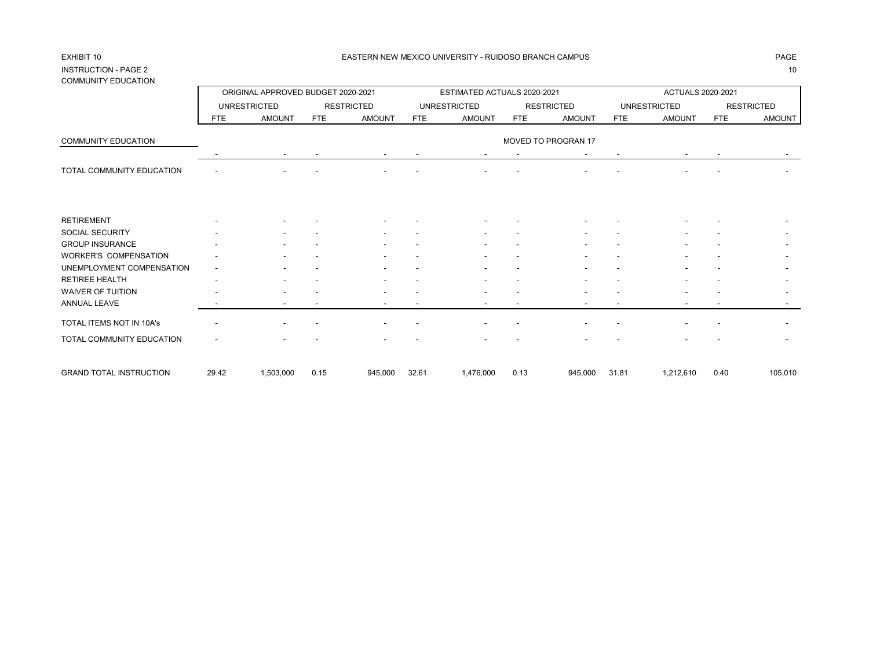## INSTRUCTION - PAGE 2 10 COMMUNITY EDUCATION

| 00111110111111111101111011     |            | ORIGINAL APPROVED BUDGET 2020-2021 |      |                   |            | ESTIMATED ACTUALS 2020-2021 |            |                     |            | ACTUALS 2020-2021   |            |                   |
|--------------------------------|------------|------------------------------------|------|-------------------|------------|-----------------------------|------------|---------------------|------------|---------------------|------------|-------------------|
|                                |            | <b>UNRESTRICTED</b>                |      | <b>RESTRICTED</b> |            | <b>UNRESTRICTED</b>         |            | <b>RESTRICTED</b>   |            | <b>UNRESTRICTED</b> |            | <b>RESTRICTED</b> |
|                                | <b>FTE</b> | <b>AMOUNT</b>                      | FTE  | <b>AMOUNT</b>     | <b>FTE</b> | <b>AMOUNT</b>               | <b>FTE</b> | <b>AMOUNT</b>       | <b>FTE</b> | <b>AMOUNT</b>       | <b>FTE</b> | <b>AMOUNT</b>     |
| <b>COMMUNITY EDUCATION</b>     |            |                                    |      |                   |            |                             |            | MOVED TO PROGRAN 17 |            |                     |            |                   |
|                                |            |                                    |      |                   |            |                             |            |                     |            |                     |            |                   |
| TOTAL COMMUNITY EDUCATION      |            |                                    |      |                   |            |                             |            |                     |            |                     |            |                   |
|                                |            |                                    |      |                   |            |                             |            |                     |            |                     |            |                   |
| <b>RETIREMENT</b>              |            |                                    |      |                   |            |                             |            |                     |            |                     |            |                   |
| SOCIAL SECURITY                |            |                                    |      |                   |            |                             |            |                     |            |                     |            |                   |
| <b>GROUP INSURANCE</b>         |            |                                    |      |                   |            |                             |            |                     |            |                     |            |                   |
| <b>WORKER'S COMPENSATION</b>   |            |                                    |      |                   |            |                             |            |                     |            |                     |            |                   |
| UNEMPLOYMENT COMPENSATION      |            |                                    |      |                   |            |                             |            |                     |            |                     |            |                   |
| <b>RETIREE HEALTH</b>          |            |                                    |      |                   |            |                             |            |                     |            |                     |            |                   |
| WAIVER OF TUITION              |            |                                    |      |                   |            |                             |            |                     |            |                     |            |                   |
| <b>ANNUAL LEAVE</b>            |            |                                    |      |                   |            |                             |            |                     |            |                     |            |                   |
| TOTAL ITEMS NOT IN 10A's       |            |                                    |      |                   |            |                             |            |                     |            |                     |            |                   |
| TOTAL COMMUNITY EDUCATION      |            |                                    |      |                   |            |                             |            |                     |            |                     |            |                   |
| <b>GRAND TOTAL INSTRUCTION</b> | 29.42      | 1,503,000                          | 0.15 | 945,000           | 32.61      | 1,476,000                   | 0.13       | 945,000             | 31.81      | 1,212,610           | 0.40       | 105,010           |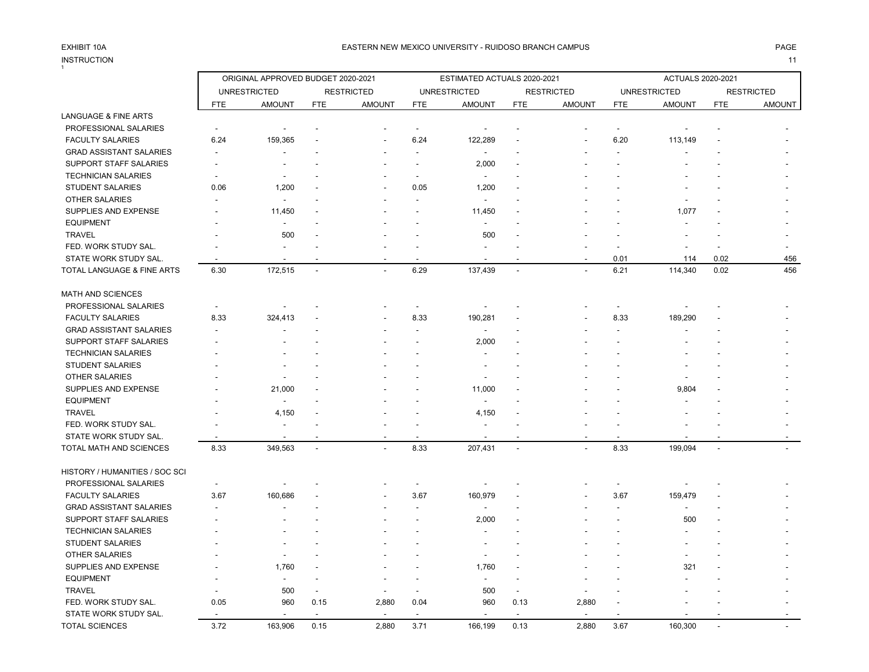## INSTRUCTION 11 INSTRUCTION

|                                |                          | ORIGINAL APPROVED BUDGET 2020-2021 |                          |                   |                | ESTIMATED ACTUALS 2020-2021 |                |                   |                | ACTUALS 2020-2021   |                          |                   |
|--------------------------------|--------------------------|------------------------------------|--------------------------|-------------------|----------------|-----------------------------|----------------|-------------------|----------------|---------------------|--------------------------|-------------------|
|                                |                          | <b>UNRESTRICTED</b>                |                          | <b>RESTRICTED</b> |                | <b>UNRESTRICTED</b>         |                | <b>RESTRICTED</b> |                | <b>UNRESTRICTED</b> |                          | <b>RESTRICTED</b> |
|                                | <b>FTE</b>               | <b>AMOUNT</b>                      | <b>FTE</b>               | <b>AMOUNT</b>     | <b>FTE</b>     | <b>AMOUNT</b>               | <b>FTE</b>     | <b>AMOUNT</b>     | <b>FTE</b>     | <b>AMOUNT</b>       | <b>FTE</b>               | <b>AMOUNT</b>     |
| LANGUAGE & FINE ARTS           |                          |                                    |                          |                   |                |                             |                |                   |                |                     |                          |                   |
| PROFESSIONAL SALARIES          |                          |                                    |                          |                   | $\blacksquare$ |                             |                |                   | $\blacksquare$ |                     |                          |                   |
| <b>FACULTY SALARIES</b>        | 6.24                     | 159,365                            |                          |                   | 6.24           | 122,289                     |                | ٠                 | 6.20           | 113,149             |                          |                   |
| <b>GRAD ASSISTANT SALARIES</b> | ۰                        |                                    |                          |                   |                | ٠                           |                |                   |                |                     |                          |                   |
| SUPPORT STAFF SALARIES         |                          |                                    |                          |                   |                | 2,000                       |                |                   |                |                     |                          |                   |
| <b>TECHNICIAN SALARIES</b>     |                          |                                    |                          |                   |                |                             |                |                   |                |                     |                          |                   |
| <b>STUDENT SALARIES</b>        | 0.06                     | 1,200                              |                          |                   | 0.05           | 1,200                       |                |                   |                |                     |                          |                   |
| <b>OTHER SALARIES</b>          |                          |                                    |                          |                   |                |                             |                |                   |                |                     |                          |                   |
| SUPPLIES AND EXPENSE           |                          | 11,450                             |                          |                   |                | 11,450                      |                |                   |                | 1,077               |                          |                   |
| <b>EQUIPMENT</b>               |                          | $\overline{\phantom{a}}$           |                          |                   |                | ٠                           |                |                   |                |                     |                          |                   |
| <b>TRAVEL</b>                  |                          | 500                                |                          |                   |                | 500                         |                |                   |                |                     |                          |                   |
| FED. WORK STUDY SAL.           |                          |                                    |                          |                   |                |                             |                |                   |                |                     |                          |                   |
| STATE WORK STUDY SAL.          |                          |                                    |                          |                   |                |                             |                |                   | 0.01           | 114                 | 0.02                     | 456               |
| TOTAL LANGUAGE & FINE ARTS     | 6.30                     | 172,515                            | $\blacksquare$           | $\overline{a}$    | 6.29           | 137,439                     | $\overline{a}$ | $\overline{a}$    | 6.21           | 114,340             | 0.02                     | 456               |
| <b>MATH AND SCIENCES</b>       |                          |                                    |                          |                   |                |                             |                |                   |                |                     |                          |                   |
| PROFESSIONAL SALARIES          |                          |                                    |                          |                   |                |                             |                |                   | $\blacksquare$ |                     |                          |                   |
| <b>FACULTY SALARIES</b>        | 8.33                     | 324,413                            |                          |                   | 8.33           | 190,281                     |                |                   | 8.33           | 189,290             |                          |                   |
| <b>GRAD ASSISTANT SALARIES</b> |                          |                                    |                          |                   |                | $\overline{\phantom{a}}$    |                |                   |                |                     |                          |                   |
| <b>SUPPORT STAFF SALARIES</b>  |                          |                                    |                          |                   |                | 2,000                       |                |                   |                |                     |                          |                   |
| <b>TECHNICIAN SALARIES</b>     |                          |                                    |                          |                   |                |                             |                |                   |                |                     |                          |                   |
| <b>STUDENT SALARIES</b>        |                          |                                    |                          |                   |                | $\overline{\phantom{a}}$    |                |                   |                |                     |                          |                   |
| OTHER SALARIES                 |                          |                                    |                          |                   |                |                             |                |                   |                |                     |                          |                   |
| SUPPLIES AND EXPENSE           |                          | 21,000                             |                          |                   |                | 11,000                      |                |                   |                | 9,804               |                          |                   |
| <b>EQUIPMENT</b>               |                          | $\overline{\phantom{a}}$           |                          |                   |                |                             |                |                   |                |                     |                          |                   |
| <b>TRAVEL</b>                  |                          | 4,150                              |                          |                   |                | 4,150                       |                |                   |                |                     |                          |                   |
| FED. WORK STUDY SAL.           |                          |                                    |                          |                   |                |                             |                |                   |                |                     |                          |                   |
| STATE WORK STUDY SAL.          |                          | $\overline{\phantom{a}}$           |                          |                   |                |                             |                |                   |                |                     |                          |                   |
| TOTAL MATH AND SCIENCES        | 8.33                     | 349,563                            | $\sim$                   | $\sim$            | 8.33           | 207,431                     | $\blacksquare$ | $\blacksquare$    | 8.33           | 199,094             | $\overline{\phantom{a}}$ |                   |
| HISTORY / HUMANITIES / SOC SCI |                          |                                    |                          |                   |                |                             |                |                   |                |                     |                          |                   |
| PROFESSIONAL SALARIES          | $\overline{\phantom{a}}$ |                                    |                          |                   |                |                             |                |                   |                |                     |                          |                   |
| <b>FACULTY SALARIES</b>        | 3.67                     | 160,686                            |                          |                   | 3.67           | 160,979                     |                |                   | 3.67           | 159,479             |                          |                   |
| <b>GRAD ASSISTANT SALARIES</b> | $\overline{\phantom{a}}$ |                                    |                          |                   |                | $\overline{\phantom{a}}$    |                |                   |                | $\sim$              |                          |                   |
| SUPPORT STAFF SALARIES         |                          |                                    |                          |                   |                | 2,000                       |                |                   |                | 500                 |                          |                   |
| <b>TECHNICIAN SALARIES</b>     |                          |                                    |                          |                   |                |                             |                |                   |                |                     |                          |                   |
| <b>STUDENT SALARIES</b>        |                          |                                    |                          |                   |                |                             |                |                   |                |                     |                          |                   |
| <b>OTHER SALARIES</b>          |                          | $\overline{\phantom{a}}$           |                          |                   |                |                             |                |                   |                |                     |                          |                   |
| SUPPLIES AND EXPENSE           |                          | 1,760                              |                          |                   |                | 1,760                       |                |                   |                | 321                 |                          |                   |
| <b>EQUIPMENT</b>               |                          | $\overline{\phantom{a}}$           |                          |                   |                | $\overline{\phantom{a}}$    |                |                   |                |                     |                          |                   |
| <b>TRAVEL</b>                  |                          | 500                                | $\overline{\phantom{a}}$ |                   |                | 500                         | $\blacksquare$ |                   |                |                     |                          |                   |
| FED. WORK STUDY SAL.           | 0.05                     | 960                                | 0.15                     | 2,880             | 0.04           | 960                         | 0.13           | 2,880             |                |                     |                          |                   |
| STATE WORK STUDY SAL.          |                          |                                    | $\overline{\phantom{a}}$ |                   |                |                             |                |                   |                |                     |                          |                   |
| <b>TOTAL SCIENCES</b>          | 3.72                     | 163,906                            | 0.15                     | 2,880             | 3.71           | 166,199                     | 0.13           | 2,880             | 3.67           | 160,300             |                          |                   |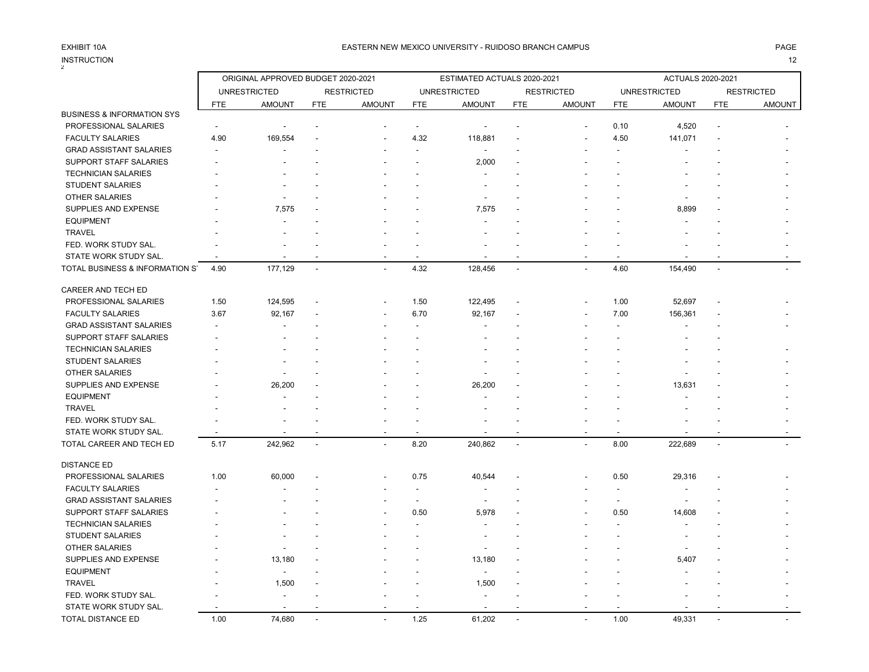$\overline{2}$ 

INSTRUCTION 12

## ORIGINAL APPROVED BUDGET 2020-2021 ESTIMATED ACTUALS 2020-2021 ACTUALS 2020-2021 UNRESTRICTED RESTRICTED UNRESTRICTED RESTRICTED UNRESTRICTED RESTRICTED FTE AMOUNT FTE AMOUNT FTE AMOUNT FTE AMOUNT FTE AMOUNT FTE AMOUNT BUSINESS & INFORMATION SYS PROFESSIONAL SALARIES - - - - - - - - 0.10 4,520 - - FACULTY SALARIES 4.90 169,554 - - 4.32 118,881 - - 4.50 141,071 - -GRAD ASSISTANT SALARIES A SECOND CONSUMING THE SECOND ASSISTANT SALARIES A SECOND ASSISTANT OF SECOND ASSISTANT SUPPORT STAFF SALARIES - - - - - - - - - - - - - - - - - - 2.000 TECHNICIAN SALARIES For the state of the state of the state of the state of the state of the state of the state of the state of the state of the state of the state of the state of the state of the state of the state of the STUDENT SALARIES - - - - - - - - - - - - OTHER SALARIES - - - - - - - - - - - - SUPPLIES AND EXPENSE  $7,575$  - - - - 7,575 - - - - - 8,899 equipment the second contract of the second contract of the second contract of the second contract of the second contract of the second contract of the second contract of the second contract of the second contract of the s TRAVEL - - - - - - - - - - - - FED. WORK STUDY SAL. STATE WORK STUDY SAL. - - - - - - - - - - - - TOTAL BUSINESS & INFORMATION S 4.90 177,129 4.32 128,456 4.60 154,490 -CAREER AND TECH ED PROFESSIONAL SALARIES 1.50 124,595 - - 1.50 122,495 - - 1.00 52,697 FACULTY SALARIES 3.67 92,167 - - 6.70 92,167 - - 7.00 156,361 - - GRAD ASSISTANT SALARIES - - - - - - - - - - - - SUPPORT STAFF SALARIES A SUPPORT STAFF SALARIES TECHNICIAN SALARIES For the state of the state of the state of the state of the state of the state of the state of the state of the state of the state of the state of the state of the state of the state of the state of the STUDENT SALARIES - - - - - - - - - - - - OTHER SALARIES - - - - - - - - - - - - SUPPLIES AND EXPENSE - 26.200 - 26.200 - 26.200 - 26.200 - 26.200 - 13,631 equipment the second contract of the second contract of the second contract of the second contract of the second contract of the second contract of the second contract of the second contract of the second contract of the s TRAVEL - - - - - - - - - - - - FED. WORK STUDY SAL. - - - - - - - - - - - - STATE WORK STUDY SAL. TOTAL CAREER AND TECH ED 5.17 242,962 - - 8.20 240,862 - - 8.00 222,689 - - DISTANCE ED PROFESSIONAL SALARIES 1.00 60,000 - - 0.75 40,544 - - - 0.50 29,316 FACULTY SALARIES - - - - - - - - - - - - GRAD ASSISTANT SALARIES - - - - - - - - - - - - SUPPORT STAFF SALARIES - - - - 0.50 5,978 - - 0.50 14,608 - - TECHNICIAN SALARIES - - - - - - - - - - - - STUDENT SALARIES - - - - - - - - - - - - OTHER SALARIES - - - - - - - - - - - - SUPPLIES AND EXPENSE 4.13,180 - 13,180 - 13,180 - 13,180 - 13,180 - 13,180 - 5,407 equipment the second contract of the second contract of the second contract of the second contract of the second contract of the second contract of the second contract of the second contract of the second contract of the s TRAVEL - 1,500 - - - 1,500 - - - - - - FED. WORK STUDY SAL. The state of the state of the state of  $\sim$  -STATE WORK STUDY SAL.

TOTAL DISTANCE ED 1.00 74,680 - - 1.25 61,202 - - - --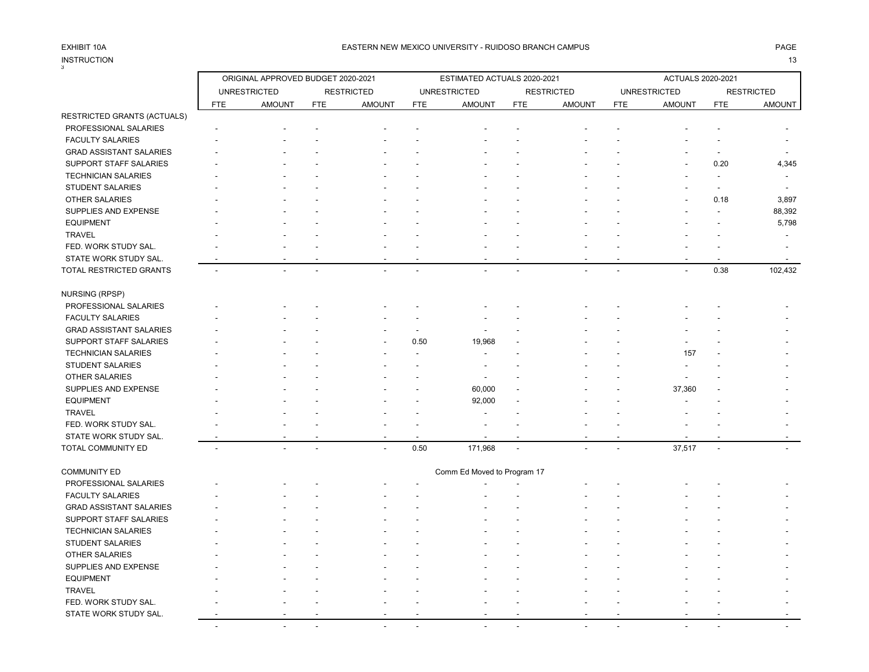# INSTRUCTION<br>3

### EXHIBIT 10A PAGE PAGE AND THE SEASTERN NEW MEXICO UNIVERSITY - RUIDOSO BRANCH CAMPUS AND THE SEASTERN NEW MEXICO UNIVERSITY - RUIDOSO BRANCH CAMPUS

## INSTRUCTION 13

|                                |            | ORIGINAL APPROVED BUDGET 2020-2021 |                |                          |                | ESTIMATED ACTUALS 2020-2021 |            |                   |            | ACTUALS 2020-2021   |                          |                          |
|--------------------------------|------------|------------------------------------|----------------|--------------------------|----------------|-----------------------------|------------|-------------------|------------|---------------------|--------------------------|--------------------------|
|                                |            | <b>UNRESTRICTED</b>                |                | <b>RESTRICTED</b>        |                | <b>UNRESTRICTED</b>         |            | <b>RESTRICTED</b> |            | <b>UNRESTRICTED</b> |                          | <b>RESTRICTED</b>        |
|                                | <b>FTE</b> | <b>AMOUNT</b>                      | <b>FTE</b>     | <b>AMOUNT</b>            | <b>FTE</b>     | <b>AMOUNT</b>               | <b>FTE</b> | <b>AMOUNT</b>     | <b>FTE</b> | <b>AMOUNT</b>       | <b>FTE</b>               | <b>AMOUNT</b>            |
| RESTRICTED GRANTS (ACTUALS)    |            |                                    |                |                          |                |                             |            |                   |            |                     |                          |                          |
| PROFESSIONAL SALARIES          |            |                                    |                |                          |                |                             |            |                   |            |                     |                          |                          |
| <b>FACULTY SALARIES</b>        |            |                                    |                |                          |                |                             |            |                   |            |                     |                          |                          |
| <b>GRAD ASSISTANT SALARIES</b> |            |                                    |                |                          |                |                             |            |                   |            |                     | $\overline{\phantom{a}}$ |                          |
| SUPPORT STAFF SALARIES         |            |                                    |                |                          |                |                             |            |                   |            |                     | 0.20                     | 4,345                    |
| <b>TECHNICIAN SALARIES</b>     |            |                                    |                |                          |                |                             |            |                   |            |                     |                          | $\overline{\phantom{a}}$ |
| <b>STUDENT SALARIES</b>        |            |                                    |                |                          |                |                             |            |                   |            |                     | $\overline{\phantom{a}}$ |                          |
| OTHER SALARIES                 |            |                                    |                |                          |                |                             |            |                   |            |                     | 0.18                     | 3,897                    |
| SUPPLIES AND EXPENSE           |            |                                    |                |                          |                |                             |            |                   |            |                     |                          | 88,392                   |
| <b>EQUIPMENT</b>               |            |                                    |                |                          |                |                             |            |                   |            |                     |                          | 5,798                    |
| <b>TRAVEL</b>                  |            |                                    |                |                          |                |                             |            |                   |            |                     |                          | $\overline{\phantom{a}}$ |
| FED. WORK STUDY SAL.           |            |                                    |                |                          |                |                             |            |                   |            |                     |                          |                          |
| STATE WORK STUDY SAL.          |            |                                    |                |                          |                |                             |            |                   |            |                     |                          |                          |
| TOTAL RESTRICTED GRANTS        |            |                                    | $\overline{a}$ |                          |                |                             |            |                   |            |                     | 0.38                     | 102,432                  |
|                                |            |                                    |                |                          |                |                             |            |                   |            |                     |                          |                          |
| <b>NURSING (RPSP)</b>          |            |                                    |                |                          |                |                             |            |                   |            |                     |                          |                          |
| PROFESSIONAL SALARIES          |            |                                    |                |                          |                |                             |            |                   |            |                     |                          |                          |
| <b>FACULTY SALARIES</b>        |            |                                    |                |                          |                |                             |            |                   |            |                     |                          |                          |
| <b>GRAD ASSISTANT SALARIES</b> |            |                                    |                |                          | $\blacksquare$ |                             |            |                   |            |                     |                          |                          |
| SUPPORT STAFF SALARIES         |            |                                    |                |                          | 0.50           | 19,968                      |            |                   |            |                     |                          |                          |
| <b>TECHNICIAN SALARIES</b>     |            |                                    |                |                          |                |                             |            |                   |            | 157                 |                          |                          |
| STUDENT SALARIES               |            |                                    |                |                          |                |                             |            |                   |            |                     |                          |                          |
| OTHER SALARIES                 |            |                                    |                |                          |                |                             |            |                   |            |                     |                          |                          |
| SUPPLIES AND EXPENSE           |            |                                    |                |                          |                | 60,000                      |            |                   |            | 37,360              |                          |                          |
| <b>EQUIPMENT</b>               |            |                                    |                |                          |                | 92,000                      |            |                   |            |                     |                          |                          |
| <b>TRAVEL</b>                  |            |                                    |                |                          |                |                             |            |                   |            |                     |                          |                          |
| FED. WORK STUDY SAL.           |            |                                    |                |                          |                |                             |            |                   |            |                     |                          |                          |
| STATE WORK STUDY SAL.          |            |                                    |                |                          |                |                             |            |                   |            |                     |                          |                          |
| TOTAL COMMUNITY ED             | $\sim$     | $\overline{a}$                     | $\overline{a}$ | $\overline{\phantom{a}}$ | 0.50           | 171,968                     | $\sim$     |                   |            | 37,517              | $\overline{\phantom{a}}$ |                          |
| <b>COMMUNITY ED</b>            |            |                                    |                |                          |                | Comm Ed Moved to Program 17 |            |                   |            |                     |                          |                          |
| PROFESSIONAL SALARIES          |            |                                    |                |                          |                |                             |            |                   |            |                     |                          |                          |
| <b>FACULTY SALARIES</b>        |            |                                    |                |                          |                |                             |            |                   |            |                     |                          |                          |
| <b>GRAD ASSISTANT SALARIES</b> |            |                                    |                |                          |                |                             |            |                   |            |                     |                          |                          |
| SUPPORT STAFF SALARIES         |            |                                    |                |                          |                |                             |            |                   |            |                     |                          |                          |
| <b>TECHNICIAN SALARIES</b>     |            |                                    |                |                          |                |                             |            |                   |            |                     |                          |                          |
| STUDENT SALARIES               |            |                                    |                |                          |                |                             |            |                   |            |                     |                          |                          |
| <b>OTHER SALARIES</b>          |            |                                    |                |                          |                |                             |            |                   |            |                     |                          |                          |
| SUPPLIES AND EXPENSE           |            |                                    |                |                          |                |                             |            |                   |            |                     |                          |                          |
| <b>EQUIPMENT</b>               |            |                                    |                |                          |                |                             |            |                   |            |                     |                          |                          |
| <b>TRAVEL</b>                  |            |                                    |                |                          |                |                             |            |                   |            |                     |                          |                          |
| FED. WORK STUDY SAL.           |            |                                    |                |                          |                |                             |            |                   |            |                     |                          |                          |
| STATE WORK STUDY SAL.          |            |                                    |                |                          |                |                             |            |                   |            |                     |                          |                          |
|                                |            |                                    |                |                          |                |                             |            |                   |            |                     |                          |                          |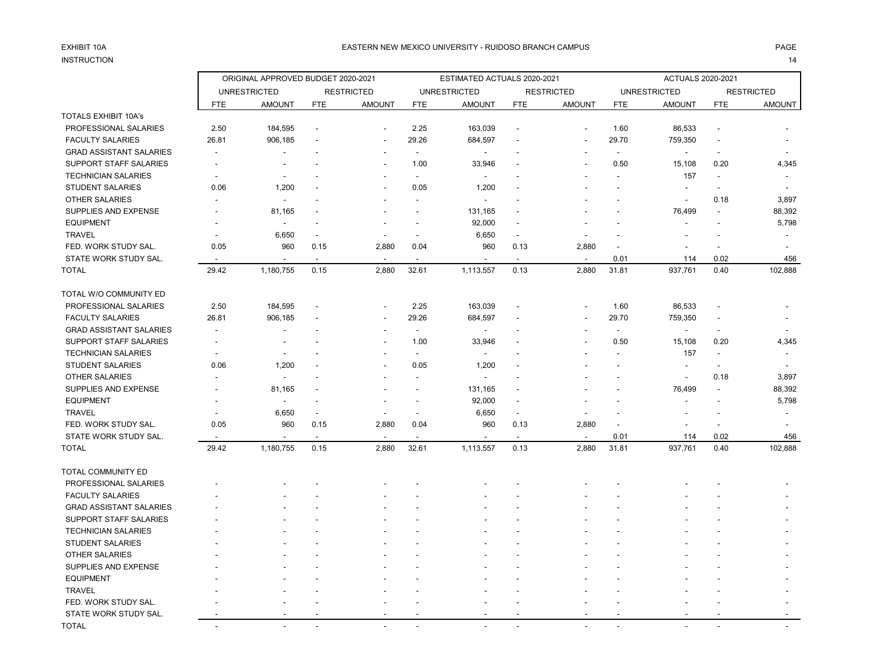# INSTRUCTION 14

|                                |                          | ORIGINAL APPROVED BUDGET 2020-2021 |                          |                          |                          | ESTIMATED ACTUALS 2020-2021  |                          |                          |                          | ACTUALS 2020-2021        |                          |                   |
|--------------------------------|--------------------------|------------------------------------|--------------------------|--------------------------|--------------------------|------------------------------|--------------------------|--------------------------|--------------------------|--------------------------|--------------------------|-------------------|
|                                |                          | <b>UNRESTRICTED</b>                |                          | <b>RESTRICTED</b>        |                          | <b>UNRESTRICTED</b>          |                          | <b>RESTRICTED</b>        |                          | <b>UNRESTRICTED</b>      |                          | <b>RESTRICTED</b> |
|                                | <b>FTE</b>               | <b>AMOUNT</b>                      | <b>FTE</b>               | <b>AMOUNT</b>            | <b>FTE</b>               | <b>AMOUNT</b>                | <b>FTE</b>               | <b>AMOUNT</b>            | FTE                      | <b>AMOUNT</b>            | <b>FTE</b>               | <b>AMOUNT</b>     |
| <b>TOTALS EXHIBIT 10A's</b>    |                          |                                    |                          |                          |                          |                              |                          |                          |                          |                          |                          |                   |
| PROFESSIONAL SALARIES          | 2.50                     | 184,595                            | $\overline{\phantom{a}}$ | $\overline{\phantom{a}}$ | 2.25                     | 163,039                      | $\overline{\phantom{a}}$ | $\overline{\phantom{a}}$ | 1.60                     | 86,533                   | $\overline{a}$           |                   |
| <b>FACULTY SALARIES</b>        | 26.81                    | 906,185                            |                          |                          | 29.26                    | 684,597                      |                          |                          | 29.70                    | 759,350                  |                          |                   |
| <b>GRAD ASSISTANT SALARIES</b> |                          |                                    |                          |                          | $\overline{\phantom{a}}$ | $\qquad \qquad \blacksquare$ |                          |                          | $\blacksquare$           | $\overline{\phantom{a}}$ | $\overline{\phantom{a}}$ |                   |
| SUPPORT STAFF SALARIES         |                          |                                    |                          |                          | 1.00                     | 33,946                       |                          |                          | 0.50                     | 15,108                   | 0.20                     | 4,345             |
| <b>TECHNICIAN SALARIES</b>     |                          |                                    |                          |                          | $\blacksquare$           | $\overline{a}$               |                          |                          |                          | 157                      |                          |                   |
| <b>STUDENT SALARIES</b>        | 0.06                     | 1,200                              |                          | ٠                        | 0.05                     | 1,200                        |                          |                          | $\overline{\phantom{a}}$ | $\overline{\phantom{a}}$ | $\blacksquare$           |                   |
| <b>OTHER SALARIES</b>          |                          | $\overline{a}$                     |                          |                          | $\overline{a}$           | ٠                            |                          |                          |                          | $\overline{\phantom{a}}$ | 0.18                     | 3,897             |
| SUPPLIES AND EXPENSE           |                          | 81,165                             |                          |                          | $\overline{a}$           | 131,165                      |                          |                          |                          | 76,499                   | $\overline{a}$           | 88,392            |
| <b>EQUIPMENT</b>               |                          |                                    |                          |                          |                          | 92,000                       |                          |                          |                          |                          |                          | 5,798             |
| <b>TRAVEL</b>                  |                          | 6,650                              | $\overline{a}$           |                          | $\overline{\phantom{a}}$ | 6,650                        | $\overline{\phantom{a}}$ |                          |                          | $\overline{\phantom{a}}$ |                          |                   |
| FED. WORK STUDY SAL.           | 0.05                     | 960                                | 0.15                     | 2,880                    | 0.04                     | 960                          | 0.13                     | 2,880                    | $\overline{\phantom{a}}$ | $\overline{\phantom{a}}$ |                          |                   |
| STATE WORK STUDY SAL.          |                          |                                    |                          |                          |                          |                              |                          | $\blacksquare$           | 0.01                     | 114                      | 0.02                     | 456               |
| <b>TOTAL</b>                   | 29.42                    | 1,180,755                          | 0.15                     | 2,880                    | 32.61                    | 1,113,557                    | 0.13                     | 2,880                    | 31.81                    | 937,761                  | 0.40                     | 102,888           |
| TOTAL W/O COMMUNITY ED         |                          |                                    |                          |                          |                          |                              |                          |                          |                          |                          |                          |                   |
| PROFESSIONAL SALARIES          | 2.50                     | 184,595                            |                          | $\overline{a}$           | 2.25                     | 163,039                      |                          | $\overline{\phantom{a}}$ | 1.60                     | 86,533                   |                          |                   |
| <b>FACULTY SALARIES</b>        | 26.81                    | 906,185                            |                          |                          | 29.26                    | 684,597                      |                          |                          | 29.70                    | 759,350                  | $\overline{\phantom{a}}$ |                   |
| <b>GRAD ASSISTANT SALARIES</b> | $\blacksquare$           |                                    |                          |                          | $\overline{\phantom{a}}$ | $\overline{a}$               |                          |                          | $\sim$                   | $\blacksquare$           |                          |                   |
| SUPPORT STAFF SALARIES         |                          |                                    |                          |                          | 1.00                     | 33,946                       |                          |                          | 0.50                     | 15,108                   | 0.20                     | 4,345             |
| <b>TECHNICIAN SALARIES</b>     |                          | $\overline{a}$                     |                          |                          | $\blacksquare$           | ٠                            |                          |                          |                          | 157                      | $\blacksquare$           |                   |
| <b>STUDENT SALARIES</b>        | 0.06                     | 1,200                              |                          |                          | 0.05                     | 1,200                        |                          |                          |                          | $\overline{\phantom{a}}$ |                          |                   |
| <b>OTHER SALARIES</b>          |                          | $\overline{\phantom{a}}$           |                          |                          |                          | $\overline{a}$               |                          |                          |                          | $\overline{\phantom{a}}$ | 0.18                     | 3,897             |
| SUPPLIES AND EXPENSE           |                          | 81,165                             |                          |                          |                          | 131,165                      |                          |                          |                          | 76,499                   |                          | 88,392            |
| <b>EQUIPMENT</b>               |                          |                                    |                          |                          |                          | 92,000                       | $\overline{\phantom{a}}$ |                          |                          |                          |                          | 5,798             |
| <b>TRAVEL</b>                  |                          | 6,650                              | $\sim$                   |                          | $\overline{\phantom{a}}$ | 6,650                        | $\overline{\phantom{a}}$ |                          | ٠                        | $\overline{\phantom{a}}$ | $\overline{\phantom{a}}$ |                   |
| FED. WORK STUDY SAL.           | 0.05                     | 960                                | 0.15                     | 2,880                    | 0.04                     | 960                          | 0.13                     | 2,880                    |                          |                          |                          |                   |
| STATE WORK STUDY SAL.          | $\overline{\phantom{a}}$ | $\blacksquare$                     | $\sim$                   | $\overline{\phantom{a}}$ | $\blacksquare$           | $\blacksquare$               | $\blacksquare$           | $\overline{\phantom{a}}$ | 0.01                     | 114                      | 0.02                     | 456               |
| <b>TOTAL</b>                   | 29.42                    | 1,180,755                          | 0.15                     | 2,880                    | 32.61                    | 1,113,557                    | 0.13                     | 2,880                    | 31.81                    | 937,761                  | 0.40                     | 102,888           |
| TOTAL COMMUNITY ED             |                          |                                    |                          |                          |                          |                              |                          |                          |                          |                          |                          |                   |
| PROFESSIONAL SALARIES          |                          |                                    |                          |                          |                          |                              |                          |                          |                          |                          |                          |                   |
| <b>FACULTY SALARIES</b>        |                          |                                    |                          |                          |                          |                              |                          |                          |                          |                          |                          |                   |
| <b>GRAD ASSISTANT SALARIES</b> |                          |                                    |                          |                          |                          |                              |                          |                          |                          |                          |                          |                   |
| SUPPORT STAFF SALARIES         |                          |                                    |                          |                          |                          |                              |                          |                          |                          |                          |                          |                   |
| <b>TECHNICIAN SALARIES</b>     |                          |                                    |                          |                          |                          |                              |                          |                          |                          |                          |                          |                   |
| <b>STUDENT SALARIES</b>        |                          |                                    |                          |                          |                          |                              |                          |                          |                          |                          |                          |                   |
| OTHER SALARIES                 |                          |                                    |                          |                          |                          |                              |                          |                          |                          |                          |                          |                   |
| SUPPLIES AND EXPENSE           |                          |                                    |                          |                          |                          |                              |                          |                          |                          |                          |                          |                   |
| <b>EQUIPMENT</b>               |                          |                                    |                          |                          |                          |                              |                          |                          |                          |                          |                          |                   |
| <b>TRAVEL</b>                  |                          |                                    |                          |                          |                          |                              |                          |                          |                          |                          |                          |                   |
| FED. WORK STUDY SAL.           |                          |                                    |                          |                          |                          |                              |                          |                          |                          |                          |                          |                   |
| STATE WORK STUDY SAL.          |                          |                                    |                          |                          |                          |                              |                          |                          |                          |                          |                          |                   |
| <b>TOTAL</b>                   |                          |                                    |                          |                          |                          |                              |                          |                          |                          |                          |                          |                   |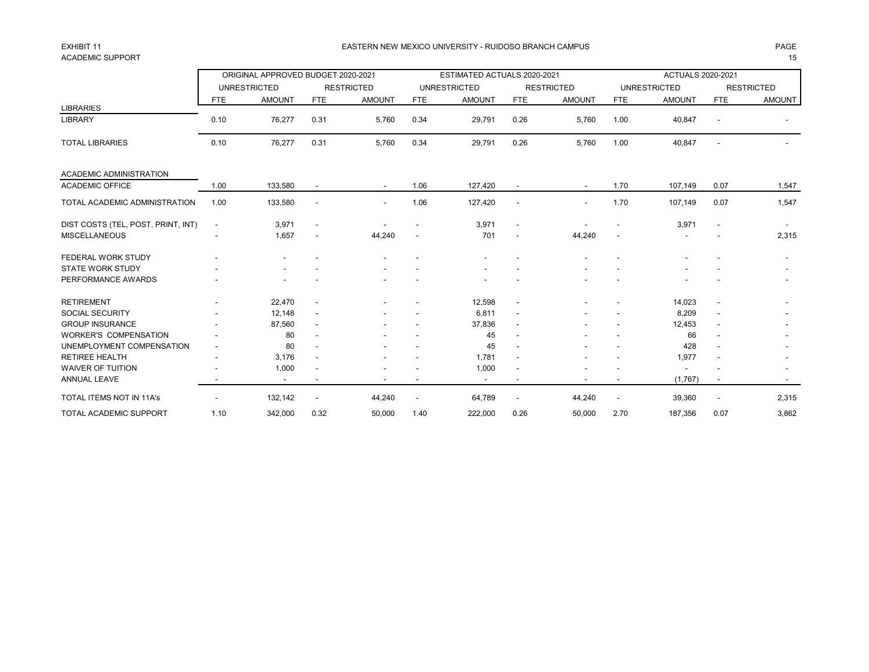## ACADEMIC SUPPORT THE RESERVED OF STRAIGHT AND STRAIGHT AND STRAIGHT AND STRAIGHT AND STRAIGHT AND STRAIGHT AND STRAIGHT AND STRAIGHT AND STRAIGHT AND STRAIGHT AND STRAIGHT AND STRAIGHT AND STRAIGHT AND STRAIGHT AND STRAIGH

### EXHIBIT 11 PAGE EASTERN NEW MEXICO UNIVERSITY - RUIDOSO BRANCH CAMPUS

|                                    |                          | ORIGINAL APPROVED BUDGET 2020-2021 |                          |                   |                          | ESTIMATED ACTUALS 2020-2021 |                          |                   |                          | <b>ACTUALS 2020-2021</b> |                          |                   |
|------------------------------------|--------------------------|------------------------------------|--------------------------|-------------------|--------------------------|-----------------------------|--------------------------|-------------------|--------------------------|--------------------------|--------------------------|-------------------|
|                                    |                          | <b>UNRESTRICTED</b>                |                          | <b>RESTRICTED</b> |                          | <b>UNRESTRICTED</b>         |                          | <b>RESTRICTED</b> |                          | <b>UNRESTRICTED</b>      |                          | <b>RESTRICTED</b> |
|                                    | <b>FTE</b>               | <b>AMOUNT</b>                      | <b>FTE</b>               | <b>AMOUNT</b>     | <b>FTE</b>               | <b>AMOUNT</b>               | <b>FTE</b>               | <b>AMOUNT</b>     | <b>FTE</b>               | <b>AMOUNT</b>            | <b>FTE</b>               | <b>AMOUNT</b>     |
| <b>LIBRARIES</b>                   |                          |                                    |                          |                   |                          |                             |                          |                   |                          |                          |                          |                   |
| <b>LIBRARY</b>                     | 0.10                     | 76,277                             | 0.31                     | 5,760             | 0.34                     | 29,791                      | 0.26                     | 5,760             | 1.00                     | 40,847                   | $\overline{\phantom{a}}$ |                   |
| <b>TOTAL LIBRARIES</b>             | 0.10                     | 76,277                             | 0.31                     | 5,760             | 0.34                     | 29,791                      | 0.26                     | 5.760             | 1.00                     | 40,847                   | $\overline{\phantom{a}}$ |                   |
| <b>ACADEMIC ADMINISTRATION</b>     |                          |                                    |                          |                   |                          |                             |                          |                   |                          |                          |                          |                   |
| <b>ACADEMIC OFFICE</b>             | 1.00                     | 133,580                            |                          |                   | 1.06                     | 127,420                     |                          |                   | 1.70                     | 107,149                  | 0.07                     | 1,547             |
| TOTAL ACADEMIC ADMINISTRATION      | 1.00                     | 133,580                            | $\overline{\phantom{a}}$ |                   | 1.06                     | 127,420                     | $\overline{\phantom{a}}$ |                   | 1.70                     | 107,149                  | 0.07                     | 1,547             |
| DIST COSTS (TEL, POST, PRINT, INT) | $\overline{\phantom{a}}$ | 3,971                              | $\overline{\phantom{a}}$ |                   |                          | 3,971                       | $\blacksquare$           |                   |                          | 3,971                    | $\overline{\phantom{a}}$ |                   |
| <b>MISCELLANEOUS</b>               |                          | 1,657                              |                          | 44,240            |                          | 701                         | $\blacksquare$           | 44,240            |                          |                          |                          | 2,315             |
| FEDERAL WORK STUDY                 |                          |                                    |                          |                   |                          |                             |                          |                   |                          |                          |                          |                   |
| <b>STATE WORK STUDY</b>            |                          |                                    |                          |                   |                          |                             |                          |                   |                          |                          |                          |                   |
| PERFORMANCE AWARDS                 |                          |                                    |                          |                   |                          |                             |                          |                   |                          |                          |                          |                   |
| <b>RETIREMENT</b>                  |                          | 22,470                             | $\overline{\phantom{a}}$ |                   |                          | 12,598                      | $\overline{\phantom{a}}$ |                   |                          | 14,023                   | $\blacksquare$           |                   |
| <b>SOCIAL SECURITY</b>             |                          | 12,148                             | ٠                        |                   |                          | 6,811                       | $\blacksquare$           |                   |                          | 8,209                    | $\blacksquare$           |                   |
| <b>GROUP INSURANCE</b>             |                          | 87,560                             | ٠                        |                   |                          | 37,836                      | $\blacksquare$           |                   |                          | 12,453                   | $\overline{\phantom{a}}$ |                   |
| <b>WORKER'S COMPENSATION</b>       |                          | 80                                 |                          |                   |                          | 45                          | $\blacksquare$           |                   |                          | 66                       |                          |                   |
| UNEMPLOYMENT COMPENSATION          |                          | 80                                 |                          |                   |                          | 45                          | $\blacksquare$           |                   |                          | 428                      |                          |                   |
| <b>RETIREE HEALTH</b>              |                          | 3,176                              | $\overline{\phantom{a}}$ |                   |                          | 1,781                       | $\blacksquare$           |                   |                          | 1,977                    | $\overline{\phantom{a}}$ |                   |
| <b>WAIVER OF TUITION</b>           |                          | 1,000                              |                          |                   |                          | 1,000                       | $\overline{\phantom{a}}$ |                   |                          |                          |                          |                   |
| <b>ANNUAL LEAVE</b>                |                          | $\overline{\phantom{a}}$           |                          |                   |                          | $\overline{\phantom{a}}$    | $\overline{\phantom{a}}$ |                   |                          | (1,767)                  | $\overline{\phantom{a}}$ |                   |
| TOTAL ITEMS NOT IN 11A's           |                          | 132,142                            | $\overline{\phantom{a}}$ | 44,240            | $\overline{\phantom{a}}$ | 64,789                      | $\overline{\phantom{a}}$ | 44,240            | $\overline{\phantom{a}}$ | 39,360                   | $\overline{\phantom{a}}$ | 2,315             |
| <b>TOTAL ACADEMIC SUPPORT</b>      | 1.10                     | 342.000                            | 0.32                     | 50,000            | 1.40                     | 222,000                     | 0.26                     | 50,000            | 2.70                     | 187,356                  | 0.07                     | 3.862             |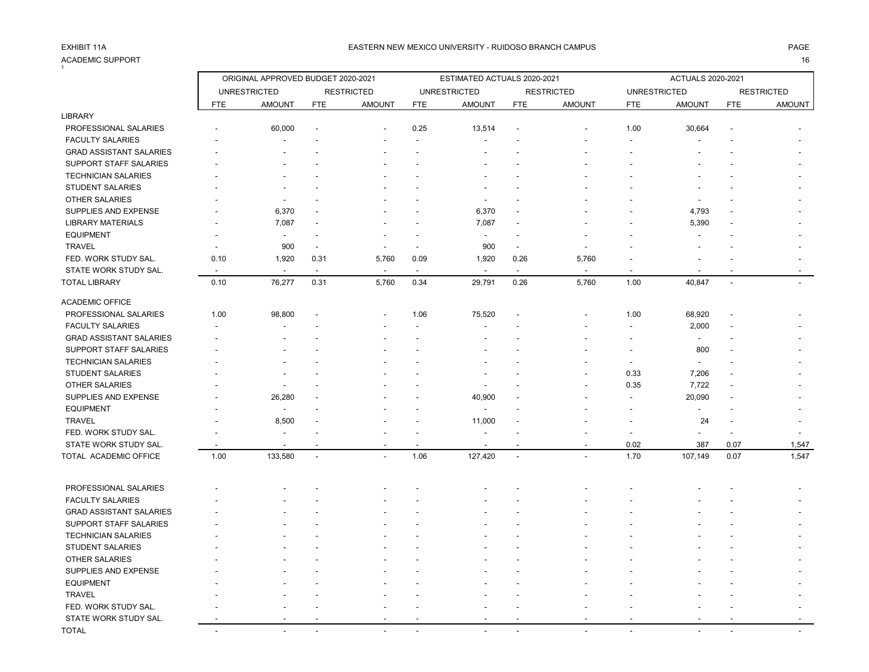### ACADEMIC SUPPORT 16  $\frac{1}{1}$

|                                |                          | ORIGINAL APPROVED BUDGET 2020-2021 |                      |                          |                          | ESTIMATED ACTUALS 2020-2021 |                          |                   |                          | <b>ACTUALS 2020-2021</b> |                |                   |
|--------------------------------|--------------------------|------------------------------------|----------------------|--------------------------|--------------------------|-----------------------------|--------------------------|-------------------|--------------------------|--------------------------|----------------|-------------------|
|                                |                          | <b>UNRESTRICTED</b>                |                      | <b>RESTRICTED</b>        |                          | <b>UNRESTRICTED</b>         |                          | <b>RESTRICTED</b> | <b>UNRESTRICTED</b>      |                          |                | <b>RESTRICTED</b> |
|                                | <b>FTE</b>               | <b>AMOUNT</b>                      | <b>FTE</b>           | <b>AMOUNT</b>            | <b>FTE</b>               | <b>AMOUNT</b>               | <b>FTE</b>               | <b>AMOUNT</b>     | <b>FTE</b>               | <b>AMOUNT</b>            | <b>FTE</b>     | AMOUNT            |
| <b>LIBRARY</b>                 |                          |                                    |                      |                          |                          |                             |                          |                   |                          |                          |                |                   |
| PROFESSIONAL SALARIES          |                          | 60,000                             |                      |                          | 0.25                     | 13,514                      |                          |                   | 1.00                     | 30,664                   |                |                   |
| <b>FACULTY SALARIES</b>        |                          |                                    |                      |                          |                          |                             |                          |                   |                          |                          |                |                   |
| <b>GRAD ASSISTANT SALARIES</b> |                          |                                    |                      |                          |                          |                             |                          |                   |                          |                          |                |                   |
| SUPPORT STAFF SALARIES         |                          |                                    |                      |                          |                          |                             |                          |                   |                          |                          |                |                   |
| <b>TECHNICIAN SALARIES</b>     |                          |                                    |                      |                          |                          |                             |                          |                   |                          |                          |                |                   |
| STUDENT SALARIES               |                          | $\blacksquare$                     |                      |                          |                          | ٠                           |                          |                   |                          |                          |                |                   |
| OTHER SALARIES                 |                          | $\overline{\phantom{a}}$           |                      |                          |                          | $\overline{\phantom{a}}$    |                          |                   |                          |                          |                |                   |
| SUPPLIES AND EXPENSE           |                          | 6,370                              |                      |                          |                          | 6,370                       |                          |                   |                          | 4,793                    |                |                   |
| <b>LIBRARY MATERIALS</b>       |                          | 7,087                              |                      |                          |                          | 7,087                       |                          |                   |                          | 5,390                    |                |                   |
| <b>EQUIPMENT</b>               |                          | $\overline{a}$                     | ٠                    |                          |                          | $\blacksquare$              |                          |                   |                          |                          |                |                   |
| <b>TRAVEL</b>                  |                          | 900                                | $\blacksquare$       | $\overline{\phantom{a}}$ |                          | 900                         | $\blacksquare$           |                   |                          |                          |                |                   |
| FED. WORK STUDY SAL.           | 0.10                     | 1,920                              | 0.31                 | 5,760                    | 0.09                     | 1,920                       | 0.26                     | 5,760             |                          |                          |                |                   |
| STATE WORK STUDY SAL.          | $\overline{\phantom{a}}$ | $\blacksquare$                     | $\sim$               | $\sim$                   | $\overline{\phantom{a}}$ | $\sim$                      | $\overline{\phantom{a}}$ |                   |                          |                          |                |                   |
| <b>TOTAL LIBRARY</b>           | 0.10                     | 76,277                             | 0.31                 | 5,760                    | 0.34                     | 29,791                      | 0.26                     | 5,760             | 1.00                     | 40,847                   | $\overline{a}$ |                   |
| <b>ACADEMIC OFFICE</b>         |                          |                                    |                      |                          |                          |                             |                          |                   |                          |                          |                |                   |
| PROFESSIONAL SALARIES          | 1.00                     | 98,800                             | $\overline{a}$       |                          | 1.06                     | 75,520                      |                          |                   | 1.00                     | 68,920                   |                |                   |
| <b>FACULTY SALARIES</b>        |                          |                                    |                      |                          |                          | ÷,                          |                          |                   |                          | 2,000                    |                |                   |
| <b>GRAD ASSISTANT SALARIES</b> |                          |                                    |                      |                          |                          |                             |                          |                   |                          | $\sim$                   |                |                   |
| SUPPORT STAFF SALARIES         |                          |                                    |                      |                          |                          |                             |                          |                   |                          | 800                      |                |                   |
| <b>TECHNICIAN SALARIES</b>     |                          |                                    |                      |                          |                          |                             |                          |                   |                          |                          |                |                   |
| <b>STUDENT SALARIES</b>        |                          |                                    |                      |                          |                          |                             |                          |                   | 0.33                     | 7,206                    |                |                   |
| <b>OTHER SALARIES</b>          |                          | $\overline{\phantom{a}}$           |                      |                          |                          | $\overline{\phantom{a}}$    |                          |                   | 0.35                     | 7,722                    |                |                   |
| SUPPLIES AND EXPENSE           |                          | 26,280                             |                      |                          |                          | 40,900                      |                          |                   |                          | 20,090                   |                |                   |
| <b>EQUIPMENT</b>               |                          | $\blacksquare$                     |                      |                          |                          | $\blacksquare$              |                          |                   |                          |                          |                |                   |
| <b>TRAVEL</b>                  |                          | 8,500                              |                      |                          |                          | 11,000                      |                          |                   |                          | 24                       |                |                   |
| FED. WORK STUDY SAL.           |                          | ÷.                                 |                      |                          |                          |                             |                          |                   |                          |                          |                |                   |
| STATE WORK STUDY SAL           | $\overline{\phantom{a}}$ | $\overline{\phantom{a}}$           | $\overline{a}$       | $\blacksquare$           | $\overline{\phantom{a}}$ | $\overline{\phantom{a}}$    |                          |                   | 0.02                     | 387                      | 0.07           | 1,547             |
| TOTAL ACADEMIC OFFICE          | 1.00                     | 133,580                            | $\ddot{\phantom{a}}$ |                          | 1.06                     | 127,420                     |                          |                   | 1.70                     | 107,149                  | 0.07           | 1,547             |
|                                |                          |                                    |                      |                          |                          |                             |                          |                   |                          |                          |                |                   |
| PROFESSIONAL SALARIES          |                          |                                    |                      |                          |                          |                             |                          |                   |                          |                          |                |                   |
| <b>FACULTY SALARIES</b>        |                          |                                    |                      |                          |                          |                             |                          |                   |                          |                          |                |                   |
| <b>GRAD ASSISTANT SALARIES</b> |                          |                                    |                      |                          |                          |                             |                          |                   |                          |                          |                |                   |
| <b>SUPPORT STAFF SALARIES</b>  |                          |                                    |                      |                          |                          |                             |                          |                   |                          |                          |                |                   |
| <b>TECHNICIAN SALARIES</b>     |                          |                                    |                      |                          |                          |                             |                          |                   |                          |                          |                |                   |
| <b>STUDENT SALARIES</b>        |                          |                                    |                      |                          |                          |                             |                          |                   |                          |                          |                |                   |
| <b>OTHER SALARIES</b>          |                          |                                    |                      |                          |                          |                             |                          |                   |                          |                          |                |                   |
| SUPPLIES AND EXPENSE           |                          |                                    |                      |                          |                          |                             |                          |                   |                          |                          |                |                   |
| <b>EQUIPMENT</b>               |                          |                                    |                      |                          |                          |                             |                          |                   |                          |                          |                |                   |
| <b>TRAVEL</b>                  |                          |                                    |                      |                          |                          |                             |                          |                   |                          |                          |                |                   |
| FED. WORK STUDY SAL.           |                          |                                    |                      |                          |                          |                             |                          |                   |                          |                          |                |                   |
| STATE WORK STUDY SAL.          |                          |                                    |                      |                          |                          |                             |                          |                   |                          |                          |                |                   |
| <b>TOTAL</b>                   | $\sim$                   | in 1919.                           |                      |                          |                          |                             |                          |                   | $\overline{\phantom{a}}$ |                          |                |                   |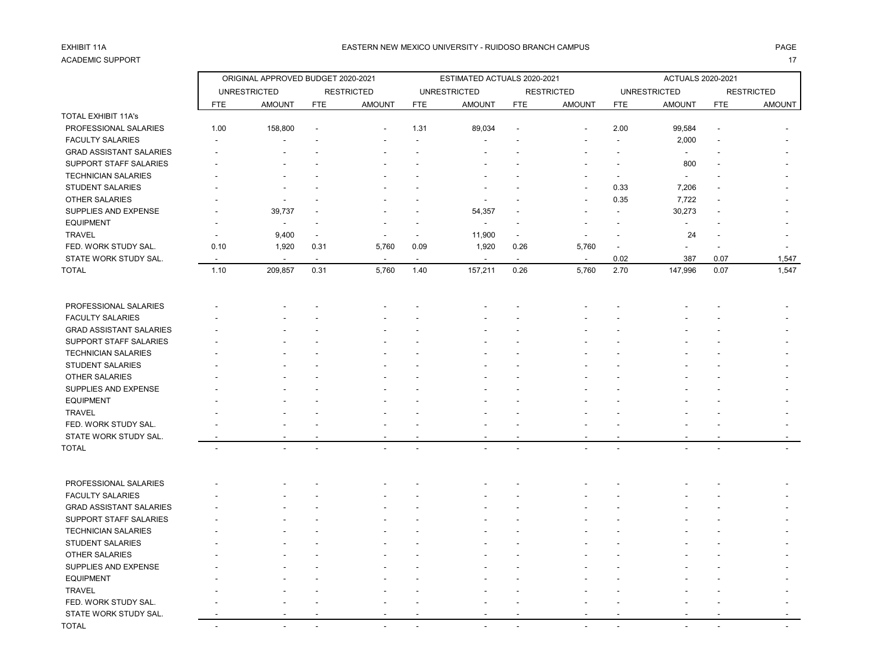# ACADEMIC SUPPORT And the contract of the contract of the contract of the contract of the contract of the contract of the contract of the contract of the contract of the contract of the contract of the contract of the contr

|                                |            | ORIGINAL APPROVED BUDGET 2020-2021 |                          |                   |                          | ESTIMATED ACTUALS 2020-2021 |                          |                          |                          | ACTUALS 2020-2021   |            |                   |
|--------------------------------|------------|------------------------------------|--------------------------|-------------------|--------------------------|-----------------------------|--------------------------|--------------------------|--------------------------|---------------------|------------|-------------------|
|                                |            | <b>UNRESTRICTED</b>                |                          | <b>RESTRICTED</b> |                          | <b>UNRESTRICTED</b>         |                          | <b>RESTRICTED</b>        |                          | <b>UNRESTRICTED</b> |            | <b>RESTRICTED</b> |
|                                | <b>FTE</b> | <b>AMOUNT</b>                      | <b>FTE</b>               | <b>AMOUNT</b>     | <b>FTE</b>               | <b>AMOUNT</b>               | <b>FTE</b>               | <b>AMOUNT</b>            | <b>FTE</b>               | <b>AMOUNT</b>       | <b>FTE</b> | AMOUNT            |
| <b>TOTAL EXHIBIT 11A's</b>     |            |                                    |                          |                   |                          |                             |                          |                          |                          |                     |            |                   |
| PROFESSIONAL SALARIES          | 1.00       | 158,800                            |                          |                   | 1.31                     | 89,034                      |                          |                          | 2.00                     | 99,584              |            |                   |
| <b>FACULTY SALARIES</b>        |            |                                    |                          |                   |                          |                             |                          |                          |                          | 2,000               |            |                   |
| <b>GRAD ASSISTANT SALARIES</b> |            |                                    |                          |                   |                          |                             |                          |                          |                          | $\sim$              |            |                   |
| SUPPORT STAFF SALARIES         |            |                                    |                          |                   |                          |                             |                          |                          |                          | 800                 |            |                   |
| <b>TECHNICIAN SALARIES</b>     |            |                                    |                          |                   |                          |                             |                          |                          |                          |                     |            |                   |
| STUDENT SALARIES               |            |                                    |                          |                   |                          |                             |                          |                          | 0.33                     | 7,206               |            |                   |
| <b>OTHER SALARIES</b>          |            |                                    |                          |                   |                          |                             |                          |                          | 0.35                     | 7,722               |            |                   |
| SUPPLIES AND EXPENSE           |            | 39,737                             |                          |                   |                          | 54,357                      |                          |                          |                          | 30,273              |            |                   |
| <b>EQUIPMENT</b>               |            | $\overline{a}$                     |                          |                   |                          |                             |                          |                          |                          |                     |            |                   |
| <b>TRAVEL</b>                  |            | 9,400                              |                          |                   |                          | 11,900                      |                          |                          |                          | 24                  |            |                   |
| FED. WORK STUDY SAL.           | 0.10       | 1,920                              | 0.31                     | 5,760             | 0.09                     | 1,920                       | 0.26                     | 5,760                    | $\overline{\phantom{a}}$ |                     |            |                   |
| STATE WORK STUDY SAL.          |            | $\overline{\phantom{a}}$           | $\overline{\phantom{a}}$ | $\blacksquare$    | $\overline{\phantom{a}}$ | $\overline{\phantom{a}}$    | $\overline{\phantom{a}}$ | $\overline{\phantom{a}}$ | 0.02                     | 387                 | 0.07       | 1,547             |
| <b>TOTAL</b>                   | 1.10       | 209,857                            | 0.31                     | 5,760             | 1.40                     | 157,211                     | 0.26                     | 5,760                    | 2.70                     | 147,996             | 0.07       | 1,547             |
| PROFESSIONAL SALARIES          |            |                                    |                          |                   |                          |                             |                          |                          |                          |                     |            |                   |
| <b>FACULTY SALARIES</b>        |            |                                    |                          |                   |                          |                             |                          |                          |                          |                     |            |                   |
| <b>GRAD ASSISTANT SALARIES</b> |            |                                    |                          |                   |                          |                             |                          |                          |                          |                     |            |                   |
| SUPPORT STAFF SALARIES         |            |                                    |                          |                   |                          |                             |                          |                          |                          |                     |            |                   |
| <b>TECHNICIAN SALARIES</b>     |            |                                    |                          |                   |                          |                             |                          |                          |                          |                     |            |                   |
| STUDENT SALARIES               |            |                                    |                          |                   |                          |                             |                          |                          |                          |                     |            |                   |
| <b>OTHER SALARIES</b>          |            |                                    |                          |                   |                          |                             |                          |                          |                          |                     |            |                   |
| SUPPLIES AND EXPENSE           |            |                                    |                          |                   |                          |                             |                          |                          |                          |                     |            |                   |
| <b>EQUIPMENT</b>               |            |                                    |                          |                   |                          |                             |                          |                          |                          |                     |            |                   |
| <b>TRAVEL</b>                  |            |                                    |                          |                   |                          |                             |                          |                          |                          |                     |            |                   |
| FED. WORK STUDY SAL.           |            |                                    |                          |                   |                          |                             |                          |                          |                          |                     |            |                   |
| STATE WORK STUDY SAL.          |            |                                    |                          |                   |                          |                             |                          |                          |                          |                     |            |                   |
| <b>TOTAL</b>                   |            |                                    |                          |                   |                          |                             |                          |                          |                          |                     |            |                   |
|                                |            |                                    |                          |                   |                          |                             |                          |                          |                          |                     |            |                   |
| PROFESSIONAL SALARIES          |            |                                    |                          |                   |                          |                             |                          |                          |                          |                     |            |                   |
| <b>FACULTY SALARIES</b>        |            |                                    |                          |                   |                          |                             |                          |                          |                          |                     |            |                   |
| <b>GRAD ASSISTANT SALARIES</b> |            |                                    |                          |                   |                          |                             |                          |                          |                          |                     |            |                   |
| SUPPORT STAFF SALARIES         |            |                                    |                          |                   |                          |                             |                          |                          |                          |                     |            |                   |
| <b>TECHNICIAN SALARIES</b>     |            |                                    |                          |                   |                          |                             |                          |                          |                          |                     |            |                   |
| STUDENT SALARIES               |            |                                    |                          |                   |                          |                             |                          |                          |                          |                     |            |                   |
| OTHER SALARIES                 |            |                                    |                          |                   |                          |                             |                          |                          |                          |                     |            |                   |
| SUPPLIES AND EXPENSE           |            |                                    |                          |                   |                          |                             |                          |                          |                          |                     |            |                   |
| <b>EQUIPMENT</b>               |            |                                    |                          |                   |                          |                             |                          |                          |                          |                     |            |                   |
| <b>TRAVEL</b>                  |            |                                    |                          |                   |                          |                             |                          |                          |                          |                     |            |                   |
| FED. WORK STUDY SAL.           |            |                                    |                          |                   |                          |                             |                          |                          |                          |                     |            |                   |
| STATE WORK STUDY SAL.          |            |                                    |                          |                   |                          |                             |                          |                          |                          |                     |            |                   |
| <b>TOTAL</b>                   | $\sim$     | ÷                                  |                          |                   |                          |                             |                          |                          |                          |                     |            |                   |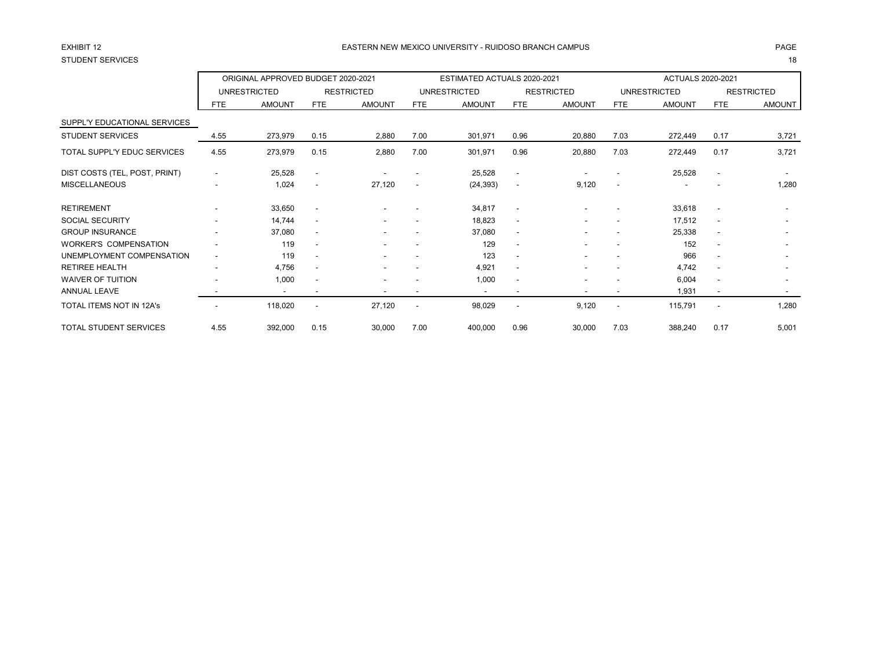# STUDENT SERVICES 18

### EASTERN NEW MEXICO UNIVERSITY - RUIDOSO BRANCH CAMPUS AND THE REASTERN AGE AND THE REASTERN NEW MEXICO UNIVERSITY - RUIDOSO BRANCH CAMPUS AND THE REASTERN NEW MEXICO UNIVERSITY - RUIDOSO BRANCH CAMPUS

|                                    |                          | ORIGINAL APPROVED BUDGET 2020-2021 |                          |                   |                          | ESTIMATED ACTUALS 2020-2021 |                          |                          |                          | ACTUALS 2020-2021   |                          |                          |
|------------------------------------|--------------------------|------------------------------------|--------------------------|-------------------|--------------------------|-----------------------------|--------------------------|--------------------------|--------------------------|---------------------|--------------------------|--------------------------|
|                                    |                          | <b>UNRESTRICTED</b>                |                          | <b>RESTRICTED</b> |                          | <b>UNRESTRICTED</b>         |                          | <b>RESTRICTED</b>        |                          | <b>UNRESTRICTED</b> |                          | <b>RESTRICTED</b>        |
|                                    | <b>FTE</b>               | <b>AMOUNT</b>                      | FTE                      | <b>AMOUNT</b>     | <b>FTE</b>               | <b>AMOUNT</b>               | FTE                      | <b>AMOUNT</b>            | <b>FTE</b>               | <b>AMOUNT</b>       | <b>FTE</b>               | <b>AMOUNT</b>            |
| SUPPL'Y EDUCATIONAL SERVICES       |                          |                                    |                          |                   |                          |                             |                          |                          |                          |                     |                          |                          |
| <b>STUDENT SERVICES</b>            | 4.55                     | 273,979                            | 0.15                     | 2,880             | 7.00                     | 301,971                     | 0.96                     | 20,880                   | 7.03                     | 272,449             | 0.17                     | 3,721                    |
| <b>TOTAL SUPPL'Y EDUC SERVICES</b> | 4.55                     | 273,979                            | 0.15                     | 2,880             | 7.00                     | 301,971                     | 0.96                     | 20,880                   | 7.03                     | 272,449             | 0.17                     | 3,721                    |
| DIST COSTS (TEL, POST, PRINT)      | $\overline{\phantom{a}}$ | 25,528                             | $\overline{\phantom{a}}$ |                   |                          | 25,528                      | $\overline{\phantom{a}}$ |                          |                          | 25,528              | $\overline{\phantom{a}}$ |                          |
| <b>MISCELLANEOUS</b>               |                          | 1,024                              | $\overline{\phantom{a}}$ | 27,120            | $\overline{\phantom{a}}$ | (24, 393)                   | $\overline{\phantom{a}}$ | 9,120                    | $\overline{\phantom{a}}$ |                     |                          | 1,280                    |
| <b>RETIREMENT</b>                  |                          | 33,650                             | $\overline{\phantom{a}}$ |                   |                          | 34,817                      | $\overline{\phantom{a}}$ |                          |                          | 33,618              | $\overline{\phantom{a}}$ |                          |
| <b>SOCIAL SECURITY</b>             |                          | 14,744                             | $\overline{\phantom{a}}$ |                   |                          | 18,823                      | $\sim$                   |                          |                          | 17,512              | $\overline{\phantom{a}}$ | $\overline{\phantom{a}}$ |
| <b>GROUP INSURANCE</b>             | ۰.                       | 37,080                             | $\overline{\phantom{0}}$ |                   | $\blacksquare$           | 37,080                      | $\sim$                   | $\overline{\phantom{a}}$ | $\overline{\phantom{a}}$ | 25,338              | $\overline{\phantom{a}}$ | $\overline{\phantom{a}}$ |
| <b>WORKER'S COMPENSATION</b>       |                          | 119                                | $\overline{\phantom{a}}$ |                   | $\blacksquare$           | 129                         | $\overline{\phantom{a}}$ |                          | $\overline{\phantom{a}}$ | 152                 | $\overline{\phantom{a}}$ |                          |
| UNEMPLOYMENT COMPENSATION          | $\overline{\phantom{0}}$ | 119                                | $\overline{\phantom{0}}$ |                   |                          | 123                         | $\overline{\phantom{a}}$ |                          |                          | 966                 | $\overline{\phantom{a}}$ | $\overline{\phantom{a}}$ |
| <b>RETIREE HEALTH</b>              | $\overline{\phantom{0}}$ | 4,756                              | $\overline{\phantom{a}}$ |                   | $\overline{\phantom{a}}$ | 4,921                       | $\overline{\phantom{a}}$ | ۰.                       | $\overline{\phantom{a}}$ | 4,742               | $\overline{\phantom{a}}$ | $\overline{\phantom{a}}$ |
| <b>WAIVER OF TUITION</b>           |                          | 1,000                              | $\overline{\phantom{a}}$ |                   |                          | 1,000                       | $\overline{\phantom{a}}$ |                          |                          | 6,004               | $\overline{\phantom{a}}$ | $\overline{\phantom{a}}$ |
| <b>ANNUAL LEAVE</b>                |                          | $\overline{\phantom{a}}$           | ٠                        |                   | $\overline{\phantom{a}}$ | $\overline{\phantom{a}}$    | $\overline{\phantom{a}}$ | $\overline{\phantom{a}}$ | $\overline{\phantom{a}}$ | 1,931               | $\overline{\phantom{a}}$ | $\sim$                   |
| <b>TOTAL ITEMS NOT IN 12A's</b>    |                          | 118,020                            | $\overline{\phantom{a}}$ | 27,120            | $\overline{\phantom{a}}$ | 98,029                      | $\overline{\phantom{a}}$ | 9,120                    | $\overline{\phantom{a}}$ | 115,791             | $\overline{\phantom{a}}$ | 1,280                    |
| TOTAL STUDENT SERVICES             | 4.55                     | 392,000                            | 0.15                     | 30,000            | 7.00                     | 400,000                     | 0.96                     | 30,000                   | 7.03                     | 388,240             | 0.17                     | 5,001                    |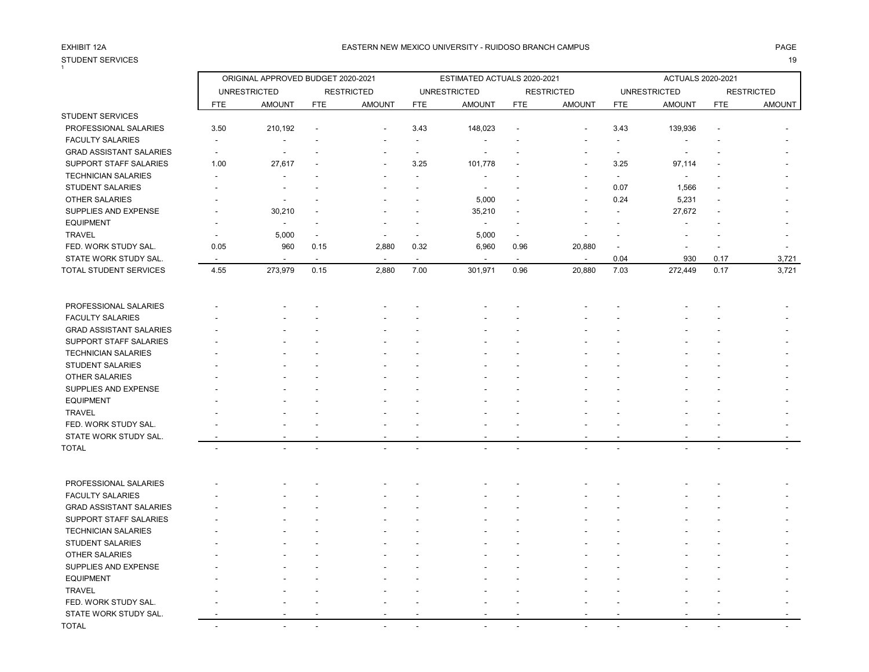# STUDENT SERVICES 19

### EXHIBIT 12A PAGE EASTERN NEW MEXICO UNIVERSITY - RUIDOSO BRANCH CAMPUS

| $\mathbf{1}$                                          |                          | ORIGINAL APPROVED BUDGET 2020-2021 |            |                   |                          | ESTIMATED ACTUALS 2020-2021 |            |                   |                          | <b>ACTUALS 2020-2021</b> |            |                   |
|-------------------------------------------------------|--------------------------|------------------------------------|------------|-------------------|--------------------------|-----------------------------|------------|-------------------|--------------------------|--------------------------|------------|-------------------|
|                                                       |                          | <b>UNRESTRICTED</b>                |            | <b>RESTRICTED</b> |                          | <b>UNRESTRICTED</b>         |            | <b>RESTRICTED</b> |                          | <b>UNRESTRICTED</b>      |            | <b>RESTRICTED</b> |
|                                                       | <b>FTE</b>               | <b>AMOUNT</b>                      | <b>FTE</b> | <b>AMOUNT</b>     | <b>FTE</b>               | <b>AMOUNT</b>               | <b>FTE</b> | <b>AMOUNT</b>     | <b>FTE</b>               | <b>AMOUNT</b>            | <b>FTE</b> | AMOUNT            |
| STUDENT SERVICES                                      |                          |                                    |            |                   |                          |                             |            |                   |                          |                          |            |                   |
| PROFESSIONAL SALARIES                                 | 3.50                     | 210,192                            |            |                   | 3.43                     | 148,023                     |            |                   | 3.43                     | 139,936                  |            |                   |
| <b>FACULTY SALARIES</b>                               |                          |                                    |            |                   |                          |                             |            |                   |                          |                          |            |                   |
| <b>GRAD ASSISTANT SALARIES</b>                        |                          |                                    |            |                   | $\sim$                   |                             |            |                   | $\overline{\phantom{a}}$ |                          |            |                   |
| SUPPORT STAFF SALARIES                                | 1.00                     | 27,617                             |            |                   | 3.25                     | 101,778                     |            |                   | 3.25                     | 97,114                   |            |                   |
| <b>TECHNICIAN SALARIES</b>                            |                          |                                    |            |                   |                          |                             |            |                   | $\overline{\phantom{a}}$ | $\blacksquare$           |            |                   |
| <b>STUDENT SALARIES</b>                               |                          |                                    |            |                   |                          | $\overline{\phantom{a}}$    |            |                   | 0.07                     | 1,566                    |            |                   |
| <b>OTHER SALARIES</b>                                 |                          |                                    |            |                   |                          | 5,000                       |            |                   | 0.24                     | 5,231                    |            |                   |
| SUPPLIES AND EXPENSE                                  |                          | 30,210                             |            |                   |                          | 35,210                      |            |                   |                          | 27,672                   |            |                   |
| <b>EQUIPMENT</b>                                      |                          |                                    |            |                   |                          | $\blacksquare$              |            |                   |                          |                          |            |                   |
| <b>TRAVEL</b>                                         |                          | 5,000                              |            |                   | $\overline{\phantom{a}}$ | 5,000                       | $\sim$     |                   |                          |                          |            |                   |
| FED. WORK STUDY SAL.                                  | 0.05                     | 960                                | 0.15       | 2,880             | 0.32                     | 6,960                       | 0.96       | 20,880            | $\blacksquare$           |                          |            |                   |
| STATE WORK STUDY SAL.                                 |                          |                                    | $\sim$     |                   | $\sim$                   |                             | $\sim$     | $\sim$            | 0.04                     | 930                      | 0.17       | 3,721             |
| TOTAL STUDENT SERVICES                                | 4.55                     | 273,979                            | 0.15       | 2,880             | 7.00                     | 301,971                     | 0.96       | 20,880            | 7.03                     | 272,449                  | 0.17       | 3,721             |
|                                                       |                          |                                    |            |                   |                          |                             |            |                   |                          |                          |            |                   |
| PROFESSIONAL SALARIES                                 |                          |                                    |            |                   |                          |                             |            |                   |                          |                          |            |                   |
| <b>FACULTY SALARIES</b>                               |                          |                                    |            |                   |                          |                             |            |                   |                          |                          |            |                   |
| <b>GRAD ASSISTANT SALARIES</b>                        |                          |                                    |            |                   |                          |                             |            |                   |                          |                          |            |                   |
| SUPPORT STAFF SALARIES                                |                          |                                    |            |                   |                          |                             |            |                   |                          |                          |            |                   |
| <b>TECHNICIAN SALARIES</b>                            |                          |                                    |            |                   |                          |                             |            |                   |                          |                          |            |                   |
| <b>STUDENT SALARIES</b>                               |                          |                                    |            |                   |                          |                             |            |                   |                          |                          |            |                   |
| <b>OTHER SALARIES</b>                                 |                          |                                    |            |                   |                          |                             |            |                   |                          |                          |            |                   |
| SUPPLIES AND EXPENSE                                  |                          |                                    |            |                   |                          |                             |            |                   |                          |                          |            |                   |
| <b>EQUIPMENT</b>                                      |                          |                                    |            |                   |                          |                             |            |                   |                          |                          |            |                   |
| <b>TRAVEL</b>                                         |                          |                                    |            |                   |                          |                             |            |                   |                          |                          |            |                   |
| FED. WORK STUDY SAL.                                  |                          |                                    |            |                   |                          |                             |            |                   |                          |                          |            |                   |
| STATE WORK STUDY SAL.                                 |                          |                                    |            |                   |                          |                             |            |                   |                          |                          |            |                   |
| <b>TOTAL</b>                                          |                          |                                    |            |                   |                          |                             |            |                   |                          |                          |            |                   |
|                                                       |                          |                                    |            |                   |                          |                             |            |                   |                          |                          |            |                   |
| PROFESSIONAL SALARIES<br><b>FACULTY SALARIES</b>      |                          |                                    |            |                   |                          |                             |            |                   |                          |                          |            |                   |
| <b>GRAD ASSISTANT SALARIES</b>                        |                          |                                    |            |                   |                          |                             |            |                   |                          |                          |            |                   |
| SUPPORT STAFF SALARIES                                |                          |                                    |            |                   |                          |                             |            |                   |                          |                          |            |                   |
|                                                       |                          |                                    |            |                   |                          |                             |            |                   |                          |                          |            |                   |
| <b>TECHNICIAN SALARIES</b><br><b>STUDENT SALARIES</b> |                          |                                    |            |                   |                          |                             |            |                   |                          |                          |            |                   |
|                                                       |                          |                                    |            |                   |                          |                             |            |                   |                          |                          |            |                   |
| <b>OTHER SALARIES</b>                                 |                          |                                    |            |                   |                          |                             |            |                   |                          |                          |            |                   |
| SUPPLIES AND EXPENSE                                  |                          |                                    |            |                   |                          |                             |            |                   |                          |                          |            |                   |
| <b>EQUIPMENT</b>                                      |                          |                                    |            |                   |                          |                             |            |                   |                          |                          |            |                   |
| <b>TRAVEL</b>                                         |                          |                                    |            |                   |                          |                             |            |                   |                          |                          |            |                   |
| FED. WORK STUDY SAL.                                  |                          |                                    |            |                   |                          |                             |            |                   |                          |                          |            |                   |
| STATE WORK STUDY SAL.                                 |                          |                                    |            |                   |                          |                             |            |                   |                          |                          |            |                   |
| <b>TOTAL</b>                                          | $\overline{\phantom{a}}$ |                                    |            |                   |                          |                             |            |                   |                          |                          |            |                   |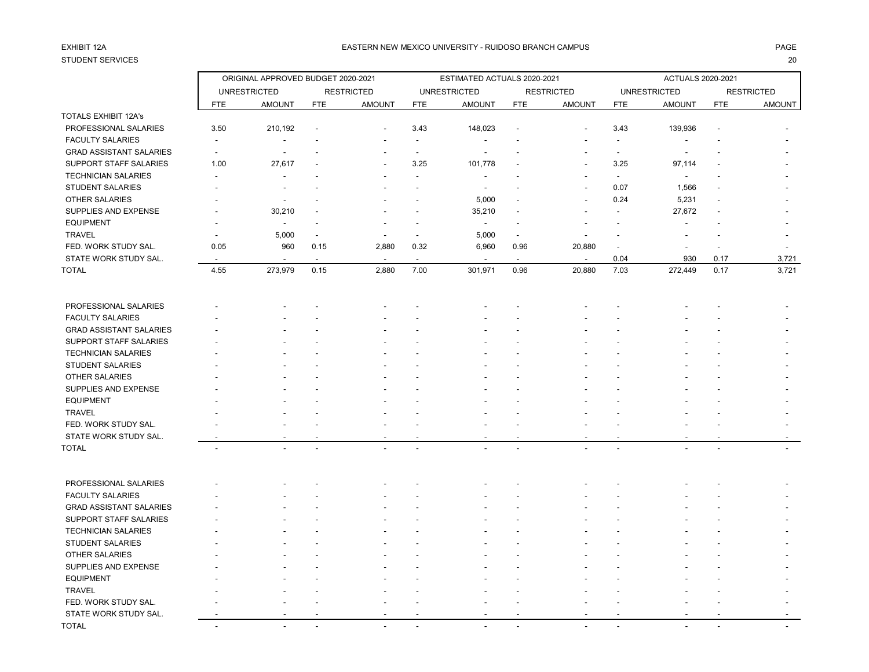# STUDENT SERVICES 20

### EASTERN NEW MEXICO UNIVERSITY - RUIDOSO BRANCH CAMPUS AND THE REASTERN AGE AND THE REASTERN NEW MEXICO UNIVERSITY - RUIDOSO BRANCH CAMPUS AND THE REASTERN NEW MEXICO UNIVERSITY - RUIDOSO BRANCH CAMPUS

|                                |                          | ORIGINAL APPROVED BUDGET 2020-2021 |                |                   |                          | ESTIMATED ACTUALS 2020-2021 |                          |                   |                          | ACTUALS 2020-2021   |            |                   |
|--------------------------------|--------------------------|------------------------------------|----------------|-------------------|--------------------------|-----------------------------|--------------------------|-------------------|--------------------------|---------------------|------------|-------------------|
|                                |                          | <b>UNRESTRICTED</b>                |                | <b>RESTRICTED</b> |                          | <b>UNRESTRICTED</b>         |                          | <b>RESTRICTED</b> |                          | <b>UNRESTRICTED</b> |            | <b>RESTRICTED</b> |
|                                | <b>FTE</b>               | <b>AMOUNT</b>                      | <b>FTE</b>     | <b>AMOUNT</b>     | <b>FTE</b>               | <b>AMOUNT</b>               | <b>FTE</b>               | <b>AMOUNT</b>     | <b>FTE</b>               | <b>AMOUNT</b>       | <b>FTE</b> | <b>AMOUNT</b>     |
| TOTALS EXHIBIT 12A's           |                          |                                    |                |                   |                          |                             |                          |                   |                          |                     |            |                   |
| PROFESSIONAL SALARIES          | 3.50                     | 210,192                            |                |                   | 3.43                     | 148,023                     |                          |                   | 3.43                     | 139,936             |            |                   |
| <b>FACULTY SALARIES</b>        | $\overline{a}$           |                                    |                |                   | $\sim$                   | $\overline{\phantom{a}}$    |                          |                   | $\sim$                   |                     |            |                   |
| <b>GRAD ASSISTANT SALARIES</b> | $\overline{\phantom{a}}$ |                                    |                |                   |                          |                             |                          |                   | $\blacksquare$           |                     |            |                   |
| SUPPORT STAFF SALARIES         | 1.00                     | 27,617                             |                |                   | 3.25                     | 101,778                     |                          |                   | 3.25                     | 97,114              |            |                   |
| <b>TECHNICIAN SALARIES</b>     |                          |                                    |                |                   |                          | $\overline{\phantom{a}}$    |                          |                   | $\overline{\phantom{a}}$ | $\blacksquare$      |            |                   |
| <b>STUDENT SALARIES</b>        |                          |                                    |                |                   |                          | $\blacksquare$              |                          |                   | 0.07                     | 1,566               |            |                   |
| <b>OTHER SALARIES</b>          |                          |                                    |                |                   |                          | 5,000                       |                          |                   | 0.24                     | 5,231               |            |                   |
| SUPPLIES AND EXPENSE           |                          | 30,210                             |                |                   |                          | 35,210                      |                          |                   |                          | 27,672              |            |                   |
| <b>EQUIPMENT</b>               |                          | $\blacksquare$                     |                |                   |                          | $\overline{\phantom{a}}$    |                          |                   |                          |                     |            |                   |
| <b>TRAVEL</b>                  |                          | 5,000                              |                |                   | $\overline{\phantom{a}}$ | 5,000                       | $\overline{\phantom{a}}$ |                   |                          |                     |            |                   |
| FED. WORK STUDY SAL.           | 0.05                     | 960                                | 0.15           | 2,880             | 0.32                     | 6,960                       | 0.96                     | 20,880            |                          |                     |            |                   |
| STATE WORK STUDY SAL.          |                          |                                    |                |                   | $\overline{\phantom{a}}$ |                             |                          | $\sim$            | 0.04                     | 930                 | 0.17       | 3,721             |
| TOTAL                          | 4.55                     | 273,979                            | 0.15           | 2,880             | 7.00                     | 301,971                     | 0.96                     | 20,880            | 7.03                     | 272,449             | 0.17       | 3,721             |
| PROFESSIONAL SALARIES          |                          |                                    |                |                   |                          |                             |                          |                   |                          |                     |            |                   |
| <b>FACULTY SALARIES</b>        |                          |                                    |                |                   |                          |                             |                          |                   |                          |                     |            |                   |
| <b>GRAD ASSISTANT SALARIES</b> |                          |                                    |                |                   |                          |                             |                          |                   |                          |                     |            |                   |
| SUPPORT STAFF SALARIES         |                          |                                    |                |                   |                          |                             |                          |                   |                          |                     |            |                   |
| <b>TECHNICIAN SALARIES</b>     |                          |                                    |                |                   |                          |                             |                          |                   |                          |                     |            |                   |
| <b>STUDENT SALARIES</b>        |                          |                                    |                |                   |                          |                             |                          |                   |                          |                     |            |                   |
| OTHER SALARIES                 |                          |                                    |                |                   |                          |                             |                          |                   |                          |                     |            |                   |
| SUPPLIES AND EXPENSE           |                          |                                    |                |                   |                          |                             |                          |                   |                          |                     |            |                   |
| <b>EQUIPMENT</b>               |                          |                                    |                |                   |                          |                             |                          |                   |                          |                     |            |                   |
| <b>TRAVEL</b>                  |                          |                                    |                |                   |                          |                             |                          |                   |                          |                     |            |                   |
| FED. WORK STUDY SAL.           |                          |                                    |                |                   |                          |                             |                          |                   |                          |                     |            |                   |
| STATE WORK STUDY SAL.          |                          |                                    |                |                   |                          |                             |                          |                   |                          |                     |            |                   |
| TOTAL                          | $\blacksquare$           |                                    | $\overline{a}$ |                   | $\overline{a}$           |                             |                          |                   | $\overline{a}$           |                     |            |                   |
| PROFESSIONAL SALARIES          |                          |                                    |                |                   |                          |                             |                          |                   |                          |                     |            |                   |
| <b>FACULTY SALARIES</b>        |                          |                                    |                |                   |                          |                             |                          |                   |                          |                     |            |                   |
| <b>GRAD ASSISTANT SALARIES</b> |                          |                                    |                |                   |                          |                             |                          |                   |                          |                     |            |                   |
| SUPPORT STAFF SALARIES         |                          |                                    |                |                   |                          |                             |                          |                   |                          |                     |            |                   |
| <b>TECHNICIAN SALARIES</b>     |                          |                                    |                |                   |                          |                             |                          |                   |                          |                     |            |                   |
| STUDENT SALARIES               |                          |                                    |                |                   |                          |                             |                          |                   |                          |                     |            |                   |
| OTHER SALARIES                 |                          |                                    |                |                   |                          |                             |                          |                   |                          |                     |            |                   |
| SUPPLIES AND EXPENSE           |                          |                                    |                |                   |                          |                             |                          |                   |                          |                     |            |                   |
| <b>EQUIPMENT</b>               |                          |                                    |                |                   |                          |                             |                          |                   |                          |                     |            |                   |
| <b>TRAVEL</b>                  |                          |                                    |                |                   |                          |                             |                          |                   |                          |                     |            |                   |
| FED. WORK STUDY SAL.           |                          |                                    |                |                   |                          |                             |                          |                   |                          |                     |            |                   |
| STATE WORK STUDY SAL           |                          |                                    |                |                   |                          |                             |                          |                   |                          |                     |            |                   |

TOTAL - - - - - - - - - - - -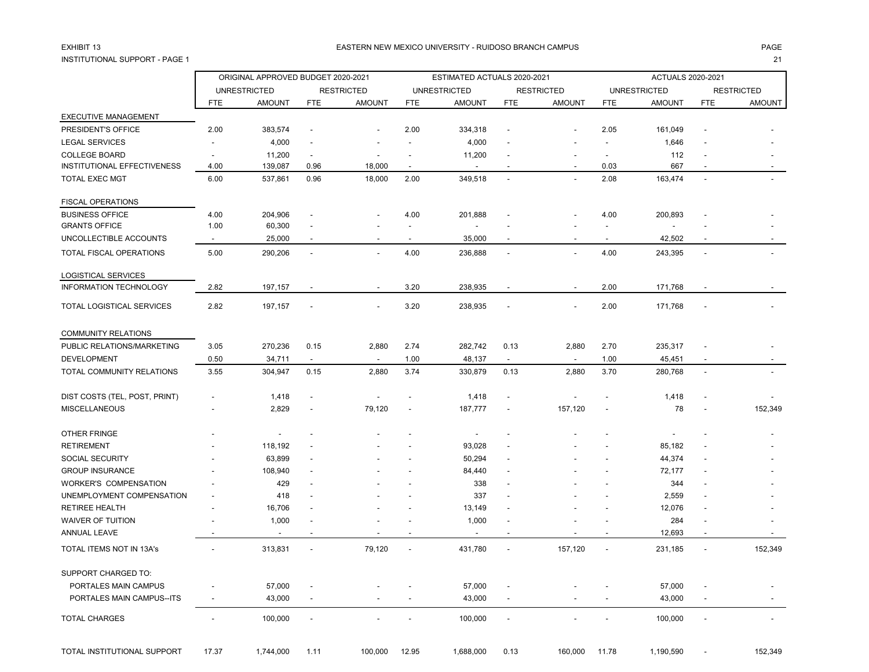## INSTITUTIONAL SUPPORT - PAGE 1 21

### EXHIBIT 13 PAGE EASTERN NEW MEXICO UNIVERSITY - RUIDOSO BRANCH CAMPUS

|                               |                | ORIGINAL APPROVED BUDGET 2020-2021 |                          |                          |                          | ESTIMATED ACTUALS 2020-2021 |                          |                          |                          | <b>ACTUALS 2020-2021</b> |                |                   |
|-------------------------------|----------------|------------------------------------|--------------------------|--------------------------|--------------------------|-----------------------------|--------------------------|--------------------------|--------------------------|--------------------------|----------------|-------------------|
|                               |                | <b>UNRESTRICTED</b>                |                          | <b>RESTRICTED</b>        |                          | <b>UNRESTRICTED</b>         |                          | <b>RESTRICTED</b>        |                          | <b>UNRESTRICTED</b>      |                | <b>RESTRICTED</b> |
|                               | <b>FTE</b>     | <b>AMOUNT</b>                      | <b>FTE</b>               | <b>AMOUNT</b>            | <b>FTE</b>               | <b>AMOUNT</b>               | <b>FTE</b>               | <b>AMOUNT</b>            | <b>FTE</b>               | <b>AMOUNT</b>            | <b>FTE</b>     | <b>AMOUNT</b>     |
| EXECUTIVE MANAGEMENT          |                |                                    |                          |                          |                          |                             |                          |                          |                          |                          |                |                   |
| PRESIDENT'S OFFICE            | 2.00           | 383,574                            | ÷,                       |                          | 2.00                     | 334,318                     | ÷,                       |                          | 2.05                     | 161,049                  |                |                   |
| <b>LEGAL SERVICES</b>         |                | 4,000                              | $\overline{\phantom{a}}$ |                          |                          | 4,000                       |                          |                          |                          | 1,646                    |                |                   |
| <b>COLLEGE BOARD</b>          |                | 11,200                             | $\overline{a}$           |                          |                          | 11,200                      | $\overline{a}$           |                          |                          | 112                      |                |                   |
| INSTITUTIONAL EFFECTIVENESS   | 4.00           | 139,087                            | 0.96                     | 18,000                   | $\sim$                   | $\overline{\phantom{a}}$    | $\overline{\phantom{a}}$ | $\overline{\phantom{a}}$ | 0.03                     | 667                      | $\blacksquare$ |                   |
| <b>TOTAL EXEC MGT</b>         | 6.00           | 537,861                            | 0.96                     | 18,000                   | 2.00                     | 349,518                     | $\overline{a}$           |                          | 2.08                     | 163,474                  | L.             |                   |
| <b>FISCAL OPERATIONS</b>      |                |                                    |                          |                          |                          |                             |                          |                          |                          |                          |                |                   |
| <b>BUSINESS OFFICE</b>        | 4.00           | 204,906                            |                          |                          | 4.00                     | 201,888                     |                          |                          | 4.00                     | 200,893                  |                |                   |
| <b>GRANTS OFFICE</b>          | 1.00           | 60,300                             | $\overline{a}$           |                          | $\blacksquare$           | $\overline{\phantom{a}}$    |                          |                          | $\blacksquare$           | $\blacksquare$           |                |                   |
| UNCOLLECTIBLE ACCOUNTS        | $\sim$         | 25,000                             | $\overline{\phantom{a}}$ | $\overline{\phantom{a}}$ | $\sim$                   | 35,000                      | $\overline{\phantom{a}}$ |                          | $\overline{\phantom{a}}$ | 42,502                   |                |                   |
| TOTAL FISCAL OPERATIONS       | 5.00           | 290,206                            | $\overline{a}$           |                          | 4.00                     | 236,888                     | $\overline{\phantom{a}}$ |                          | 4.00                     | 243,395                  | $\overline{a}$ |                   |
| LOGISTICAL SERVICES           |                |                                    |                          |                          |                          |                             |                          |                          |                          |                          |                |                   |
| <b>INFORMATION TECHNOLOGY</b> | 2.82           | 197,157                            |                          |                          | 3.20                     | 238,935                     |                          |                          | 2.00                     | 171,768                  |                |                   |
| TOTAL LOGISTICAL SERVICES     | 2.82           | 197,157                            |                          |                          | 3.20                     | 238,935                     | $\overline{a}$           |                          | 2.00                     | 171,768                  |                |                   |
| <b>COMMUNITY RELATIONS</b>    |                |                                    |                          |                          |                          |                             |                          |                          |                          |                          |                |                   |
| PUBLIC RELATIONS/MARKETING    | 3.05           | 270,236                            | 0.15                     | 2,880                    | 2.74                     | 282,742                     | 0.13                     | 2,880                    | 2.70                     | 235,317                  |                |                   |
| <b>DEVELOPMENT</b>            | 0.50           | 34,711                             | $\overline{a}$           |                          | 1.00                     | 48,137                      | $\overline{\phantom{a}}$ | $\overline{\phantom{a}}$ | 1.00                     | 45,451                   |                |                   |
| TOTAL COMMUNITY RELATIONS     | 3.55           | 304,947                            | 0.15                     | 2,880                    | 3.74                     | 330,879                     | 0.13                     | 2,880                    | 3.70                     | 280,768                  | $\overline{a}$ |                   |
| DIST COSTS (TEL, POST, PRINT) |                | 1,418                              | ÷,                       |                          |                          | 1,418                       | $\overline{a}$           |                          |                          | 1,418                    |                |                   |
| <b>MISCELLANEOUS</b>          |                | 2,829                              |                          | 79,120                   |                          | 187,777                     |                          | 157,120                  |                          | 78                       |                | 152,349           |
| OTHER FRINGE                  |                |                                    |                          |                          |                          | $\overline{\phantom{a}}$    |                          |                          |                          |                          |                |                   |
| <b>RETIREMENT</b>             |                | 118,192                            |                          |                          |                          | 93,028                      |                          |                          |                          | 85,182                   |                |                   |
| <b>SOCIAL SECURITY</b>        |                | 63,899                             |                          |                          |                          | 50,294                      |                          |                          |                          | 44,374                   |                |                   |
| <b>GROUP INSURANCE</b>        |                | 108,940                            |                          |                          |                          | 84,440                      |                          |                          |                          | 72,177                   |                |                   |
| <b>WORKER'S COMPENSATION</b>  |                | 429                                |                          |                          |                          | 338                         |                          |                          |                          | 344                      |                |                   |
| UNEMPLOYMENT COMPENSATION     |                | 418                                |                          |                          |                          | 337                         | $\overline{\phantom{a}}$ |                          |                          | 2,559                    |                |                   |
| RETIREE HEALTH                |                | 16,706                             |                          |                          |                          | 13,149                      |                          |                          |                          | 12,076                   |                |                   |
| <b>WAIVER OF TUITION</b>      |                | 1,000                              |                          |                          |                          | 1,000                       | $\overline{\phantom{a}}$ |                          |                          | 284                      |                |                   |
| ANNUAL LEAVE                  |                |                                    |                          |                          |                          |                             | Ĭ.                       |                          |                          | 12,693                   | $\blacksquare$ |                   |
| TOTAL ITEMS NOT IN 13A's      |                | 313,831                            | $\overline{\phantom{a}}$ | 79,120                   | $\overline{\phantom{a}}$ | 431,780                     | $\blacksquare$           | 157,120                  | $\overline{\phantom{a}}$ | 231,185                  |                | 152,349           |
| SUPPORT CHARGED TO:           |                |                                    |                          |                          |                          |                             |                          |                          |                          |                          |                |                   |
| PORTALES MAIN CAMPUS          |                | 57,000                             |                          |                          |                          | 57,000                      | Ĭ.                       |                          |                          | 57,000                   |                |                   |
| PORTALES MAIN CAMPUS--ITS     | $\blacksquare$ | 43,000                             | $\overline{a}$           |                          |                          | 43,000                      | $\blacksquare$           |                          |                          | 43,000                   | $\blacksquare$ |                   |
| <b>TOTAL CHARGES</b>          |                | 100,000                            |                          |                          |                          | 100,000                     | $\overline{a}$           |                          |                          | 100,000                  |                |                   |
|                               |                |                                    |                          |                          |                          |                             |                          |                          |                          |                          |                |                   |

TOTAL INSTITUTIONAL SUPPORT 17.37 1,744,000 1.11 100,000 12.95 1,688,000 0.13 160,000 11.78 1,190,590 - 152,349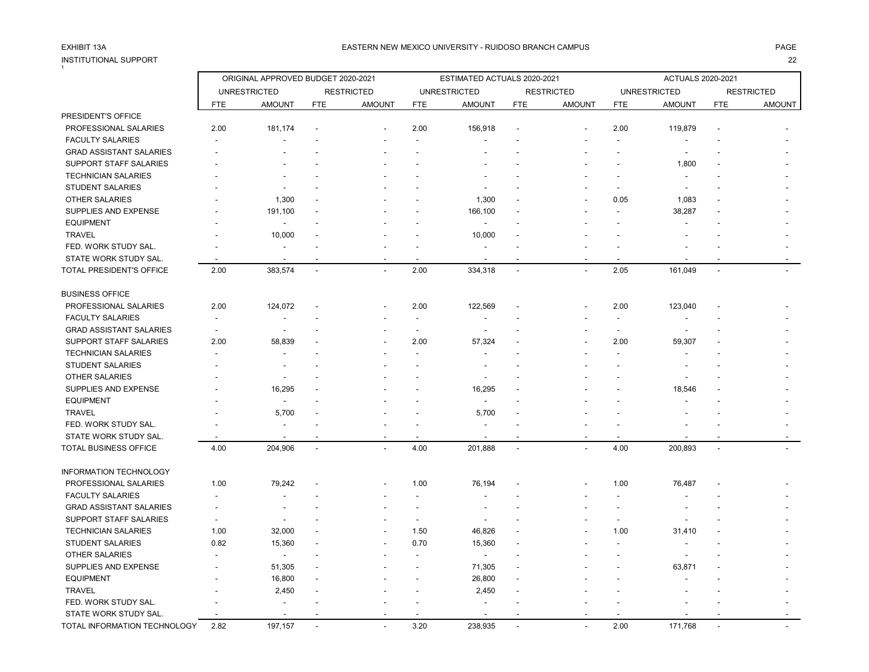# INSTITUTIONAL SUPPORT<br>1

### EASTERN NEW MEXICO UNIVERSITY - RUIDOSO BRANCH CAMPUS AND THE REASTERN AGE AND THE REASTERN NEW MEXICO UNIVERSITY - RUIDOSO BRANCH CAMPUS AND THE REASTERN NEW MEXICO UNIVERSITY - RUIDOSO BRANCH CAMPUS

|                                 |                          | ORIGINAL APPROVED BUDGET 2020-2021 |                |                          |                          | ESTIMATED ACTUALS 2020-2021 |                |                   |                          | ACTUALS 2020-2021   |                |                   |
|---------------------------------|--------------------------|------------------------------------|----------------|--------------------------|--------------------------|-----------------------------|----------------|-------------------|--------------------------|---------------------|----------------|-------------------|
|                                 |                          | <b>UNRESTRICTED</b>                |                | <b>RESTRICTED</b>        |                          | <b>UNRESTRICTED</b>         |                | <b>RESTRICTED</b> |                          | <b>UNRESTRICTED</b> |                | <b>RESTRICTED</b> |
|                                 | <b>FTE</b>               | <b>AMOUNT</b>                      | <b>FTE</b>     | <b>AMOUNT</b>            | <b>FTE</b>               | <b>AMOUNT</b>               | <b>FTE</b>     | <b>AMOUNT</b>     | <b>FTE</b>               | <b>AMOUNT</b>       | <b>FTE</b>     | <b>AMOUNT</b>     |
| PRESIDENT'S OFFICE              |                          |                                    |                |                          |                          |                             |                |                   |                          |                     |                |                   |
| PROFESSIONAL SALARIES           | 2.00                     | 181,174                            |                |                          | 2.00                     | 156,918                     |                |                   | 2.00                     | 119,879             |                |                   |
| <b>FACULTY SALARIES</b>         |                          |                                    |                |                          |                          |                             |                |                   |                          |                     |                |                   |
| <b>GRAD ASSISTANT SALARIES</b>  |                          |                                    |                |                          |                          |                             |                |                   |                          |                     |                |                   |
| <b>SUPPORT STAFF SALARIES</b>   |                          |                                    |                |                          |                          |                             |                |                   |                          | 1,800               |                |                   |
| <b>TECHNICIAN SALARIES</b>      |                          |                                    |                |                          |                          |                             |                |                   |                          |                     |                |                   |
| <b>STUDENT SALARIES</b>         |                          |                                    |                |                          |                          |                             |                |                   |                          | $\overline{a}$      |                |                   |
| <b>OTHER SALARIES</b>           |                          | 1,300                              |                |                          |                          | 1,300                       |                |                   | 0.05                     | 1,083               |                |                   |
| SUPPLIES AND EXPENSE            |                          | 191,100                            |                |                          |                          | 166,100                     |                |                   |                          | 38,287              |                |                   |
| <b>EQUIPMENT</b>                |                          |                                    |                |                          |                          |                             |                |                   |                          |                     |                |                   |
| <b>TRAVEL</b>                   |                          | 10,000                             |                |                          |                          | 10,000                      |                |                   |                          |                     |                |                   |
| FED. WORK STUDY SAL.            |                          | $\blacksquare$                     |                |                          |                          |                             |                |                   |                          |                     |                |                   |
| STATE WORK STUDY SAL.           |                          | $\overline{\phantom{a}}$           |                |                          |                          |                             |                |                   |                          |                     |                |                   |
| <b>TOTAL PRESIDENT'S OFFICE</b> | 2.00                     | 383,574                            | $\blacksquare$ | $\blacksquare$           | 2.00                     | 334,318                     | $\blacksquare$ | $\sim$            | 2.05                     | 161,049             | $\blacksquare$ |                   |
| <b>BUSINESS OFFICE</b>          |                          |                                    |                |                          |                          |                             |                |                   |                          |                     |                |                   |
| PROFESSIONAL SALARIES           | 2.00                     | 124,072                            |                |                          | 2.00                     | 122,569                     |                |                   | 2.00                     | 123,040             |                |                   |
| <b>FACULTY SALARIES</b>         | $\overline{\phantom{a}}$ |                                    |                |                          | $\overline{\phantom{a}}$ |                             |                |                   |                          |                     |                |                   |
| <b>GRAD ASSISTANT SALARIES</b>  | $\overline{\phantom{a}}$ |                                    |                |                          | $\overline{\phantom{a}}$ |                             |                |                   | $\blacksquare$           |                     |                |                   |
| SUPPORT STAFF SALARIES          | 2.00                     | 58,839                             |                |                          | 2.00                     | 57,324                      |                |                   | 2.00                     | 59,307              |                |                   |
| <b>TECHNICIAN SALARIES</b>      |                          |                                    |                |                          |                          |                             |                |                   |                          |                     |                |                   |
| <b>STUDENT SALARIES</b>         |                          | $\overline{\phantom{a}}$           |                |                          |                          |                             |                |                   |                          |                     |                |                   |
| OTHER SALARIES                  |                          |                                    |                |                          |                          |                             |                |                   |                          |                     |                |                   |
| SUPPLIES AND EXPENSE            |                          | 16,295                             |                |                          |                          | 16,295                      |                |                   |                          | 18,546              |                |                   |
| <b>EQUIPMENT</b>                |                          |                                    |                |                          |                          |                             |                |                   |                          |                     |                |                   |
| <b>TRAVEL</b>                   |                          | 5,700                              |                |                          |                          | 5,700                       |                |                   |                          |                     |                |                   |
| FED. WORK STUDY SAL.            |                          | $\blacksquare$                     |                |                          |                          |                             |                |                   |                          |                     |                |                   |
| STATE WORK STUDY SAL.           |                          |                                    |                |                          |                          |                             |                |                   |                          |                     |                |                   |
| TOTAL BUSINESS OFFICE           | 4.00                     | 204,906                            | $\sim$         |                          | 4.00                     | 201,888                     | $\blacksquare$ |                   | 4.00                     | 200,893             | $\overline{a}$ |                   |
| <b>INFORMATION TECHNOLOGY</b>   |                          |                                    |                |                          |                          |                             |                |                   |                          |                     |                |                   |
| PROFESSIONAL SALARIES           | 1.00                     | 79,242                             |                |                          | 1.00                     | 76,194                      |                |                   | 1.00                     | 76,487              |                |                   |
| <b>FACULTY SALARIES</b>         |                          |                                    |                |                          |                          |                             |                |                   |                          |                     |                |                   |
| <b>GRAD ASSISTANT SALARIES</b>  |                          |                                    |                |                          |                          |                             |                |                   |                          |                     |                |                   |
| <b>SUPPORT STAFF SALARIES</b>   |                          |                                    |                |                          | $\sim$                   |                             |                |                   | $\overline{\phantom{a}}$ |                     |                |                   |
| <b>TECHNICIAN SALARIES</b>      | 1.00                     | 32,000                             |                |                          | 1.50                     | 46,826                      |                |                   | 1.00                     | 31,410              |                |                   |
| <b>STUDENT SALARIES</b>         | 0.82                     | 15,360                             |                |                          | 0.70                     | 15,360                      |                |                   |                          |                     |                |                   |
| <b>OTHER SALARIES</b>           |                          | $\overline{a}$                     |                |                          |                          |                             |                |                   |                          |                     |                |                   |
| SUPPLIES AND EXPENSE            |                          | 51,305                             |                |                          |                          | 71,305                      |                |                   |                          | 63,871              |                |                   |
| <b>EQUIPMENT</b>                |                          | 16,800                             |                |                          |                          | 26,800                      |                |                   |                          |                     |                |                   |
| <b>TRAVEL</b>                   |                          | 2,450                              |                |                          |                          | 2,450                       |                |                   |                          |                     |                |                   |
| FED. WORK STUDY SAL.            |                          |                                    |                |                          |                          |                             |                |                   |                          |                     |                |                   |
| STATE WORK STUDY SAL.           |                          |                                    |                |                          |                          |                             |                |                   |                          |                     |                |                   |
| TOTAL INFORMATION TECHNOLOGY    | 2.82                     | 197,157                            | $\overline{a}$ | $\overline{\phantom{a}}$ | 3.20                     | 238,935                     |                |                   | 2.00                     | 171,768             |                |                   |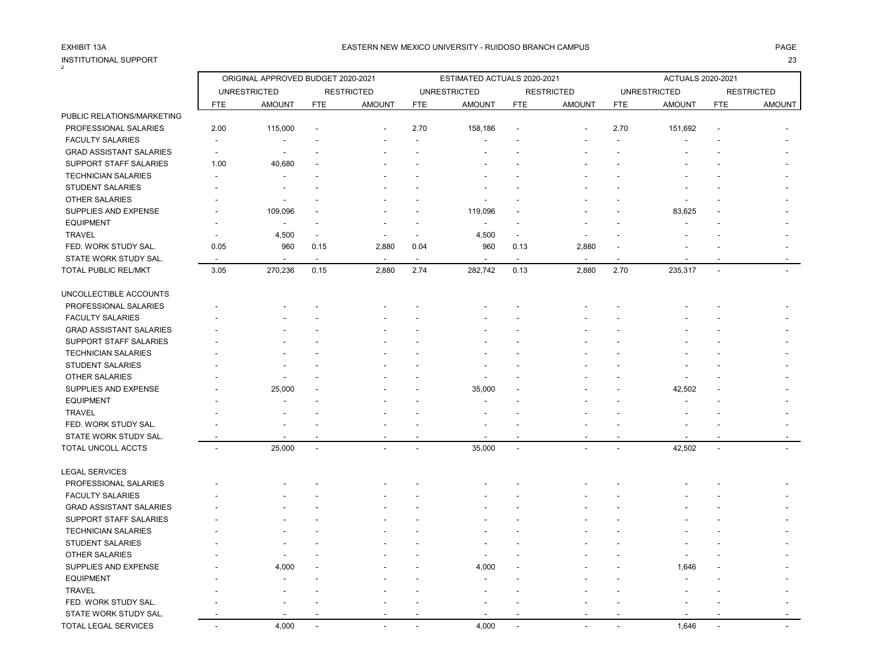| INSTITUTIONAL SUPPORT<br>$\mathfrak{p}$ |                          |                                    |                          |                          |                |                             |                          |                   |            |                          |                          | 23                |
|-----------------------------------------|--------------------------|------------------------------------|--------------------------|--------------------------|----------------|-----------------------------|--------------------------|-------------------|------------|--------------------------|--------------------------|-------------------|
|                                         |                          | ORIGINAL APPROVED BUDGET 2020-2021 |                          |                          |                | ESTIMATED ACTUALS 2020-2021 |                          |                   |            | <b>ACTUALS 2020-2021</b> |                          |                   |
|                                         |                          | <b>UNRESTRICTED</b>                |                          | <b>RESTRICTED</b>        |                | <b>UNRESTRICTED</b>         |                          | <b>RESTRICTED</b> |            | <b>UNRESTRICTED</b>      |                          | <b>RESTRICTED</b> |
|                                         | <b>FTE</b>               | <b>AMOUNT</b>                      | <b>FTE</b>               | <b>AMOUNT</b>            | <b>FTE</b>     | <b>AMOUNT</b>               | <b>FTE</b>               | <b>AMOUNT</b>     | <b>FTE</b> | <b>AMOUNT</b>            | <b>FTE</b>               | <b>AMOUNT</b>     |
| PUBLIC RELATIONS/MARKETING              |                          |                                    |                          |                          |                |                             |                          |                   |            |                          |                          |                   |
| PROFESSIONAL SALARIES                   | 2.00                     | 115,000                            |                          |                          | 2.70           | 158,186                     |                          |                   | 2.70       | 151,692                  |                          |                   |
| <b>FACULTY SALARIES</b>                 | $\overline{\phantom{a}}$ |                                    |                          |                          |                |                             |                          |                   |            |                          |                          |                   |
| <b>GRAD ASSISTANT SALARIES</b>          | $\overline{\phantom{a}}$ | ÷,                                 |                          |                          |                |                             |                          |                   |            |                          |                          |                   |
| <b>SUPPORT STAFF SALARIES</b>           | 1.00                     | 40,680                             |                          |                          |                |                             |                          |                   |            |                          |                          |                   |
| <b>TECHNICIAN SALARIES</b>              |                          | $\blacksquare$                     |                          |                          |                |                             |                          |                   |            |                          |                          |                   |
| <b>STUDENT SALARIES</b>                 |                          |                                    |                          |                          |                |                             |                          |                   |            |                          |                          |                   |
| OTHER SALARIES                          |                          |                                    |                          |                          |                |                             |                          |                   |            |                          |                          |                   |
| SUPPLIES AND EXPENSE                    |                          | 109,096                            |                          |                          |                | 119,096                     |                          |                   |            | 83,625                   |                          |                   |
| <b>EQUIPMENT</b>                        |                          |                                    |                          |                          |                |                             |                          |                   |            |                          |                          |                   |
| <b>TRAVEL</b>                           |                          | 4,500                              | $\overline{\phantom{a}}$ | $\overline{\phantom{a}}$ | $\overline{a}$ | 4,500                       | $\blacksquare$           |                   |            |                          |                          |                   |
| FED. WORK STUDY SAL.                    | 0.05                     | 960                                | 0.15                     | 2,880                    | 0.04           | 960                         | 0.13                     | 2,880             |            |                          |                          |                   |
| STATE WORK STUDY SAL.                   |                          | $\overline{a}$                     |                          |                          | $\sim$         |                             | $\overline{a}$           |                   |            |                          |                          |                   |
| TOTAL PUBLIC REL/MKT                    | 3.05                     | 270,236                            | 0.15                     | 2,880                    | 2.74           | 282,742                     | 0.13                     | 2,880             | 2.70       | 235,317                  | $\blacksquare$           |                   |
| UNCOLLECTIBLE ACCOUNTS                  |                          |                                    |                          |                          |                |                             |                          |                   |            |                          |                          |                   |
| PROFESSIONAL SALARIES                   |                          |                                    |                          |                          |                |                             |                          |                   |            |                          |                          |                   |
| <b>FACULTY SALARIES</b>                 |                          |                                    |                          |                          |                |                             |                          |                   |            |                          |                          |                   |
| <b>GRAD ASSISTANT SALARIES</b>          |                          |                                    |                          |                          |                |                             |                          |                   |            |                          |                          |                   |
| <b>SUPPORT STAFF SALARIES</b>           |                          |                                    |                          |                          |                |                             |                          |                   |            |                          |                          |                   |
| <b>TECHNICIAN SALARIES</b>              |                          |                                    |                          |                          |                |                             |                          |                   |            |                          |                          |                   |
| <b>STUDENT SALARIES</b>                 |                          |                                    |                          |                          |                |                             |                          |                   |            |                          |                          |                   |
| <b>OTHER SALARIES</b>                   |                          |                                    |                          |                          |                |                             |                          |                   |            |                          |                          |                   |
| SUPPLIES AND EXPENSE                    |                          | 25,000                             |                          |                          |                | 35,000                      |                          |                   |            | 42,502                   |                          |                   |
| <b>EQUIPMENT</b>                        |                          |                                    |                          |                          |                |                             |                          |                   |            |                          |                          |                   |
| <b>TRAVEL</b>                           |                          |                                    |                          |                          |                |                             |                          |                   |            |                          |                          |                   |
| FED. WORK STUDY SAL.                    |                          |                                    |                          |                          |                |                             |                          |                   |            |                          |                          |                   |
| STATE WORK STUDY SAL.                   |                          |                                    |                          |                          |                |                             |                          |                   |            |                          |                          |                   |
| TOTAL UNCOLL ACCTS                      |                          | 25,000                             | $\overline{a}$           |                          | $\overline{a}$ | 35,000                      | $\sim$                   |                   |            | 42,502                   | $\overline{\phantom{a}}$ |                   |
| <b>LEGAL SERVICES</b>                   |                          |                                    |                          |                          |                |                             |                          |                   |            |                          |                          |                   |
| PROFESSIONAL SALARIES                   |                          |                                    |                          |                          |                |                             |                          |                   |            |                          |                          |                   |
| <b>FACULTY SALARIES</b>                 |                          |                                    |                          |                          |                |                             |                          |                   |            |                          |                          |                   |
| <b>GRAD ASSISTANT SALARIES</b>          |                          |                                    |                          |                          |                |                             |                          |                   |            |                          |                          |                   |
| <b>SUPPORT STAFF SALARIES</b>           |                          |                                    |                          |                          |                |                             |                          |                   |            |                          |                          |                   |
| <b>TECHNICIAN SALARIES</b>              |                          |                                    |                          |                          |                |                             |                          |                   |            |                          |                          |                   |
| <b>STUDENT SALARIES</b>                 |                          |                                    |                          |                          |                |                             |                          |                   |            |                          |                          |                   |
| <b>OTHER SALARIES</b>                   |                          |                                    |                          |                          |                |                             |                          |                   |            |                          |                          |                   |
| SUPPLIES AND EXPENSE                    |                          | 4,000                              |                          |                          |                | 4,000                       |                          |                   |            | 1,646                    |                          |                   |
| <b>EQUIPMENT</b>                        |                          |                                    |                          |                          |                |                             |                          |                   |            |                          |                          |                   |
| <b>TRAVEL</b>                           |                          |                                    |                          |                          |                |                             |                          |                   |            |                          |                          |                   |
| FED. WORK STUDY SAL.                    |                          |                                    |                          |                          |                |                             |                          |                   |            |                          |                          |                   |
| STATE WORK STUDY SAL.                   |                          |                                    |                          |                          |                |                             |                          |                   |            |                          |                          |                   |
| <b>TOTAL LEGAL SERVICES</b>             | i.                       | 4,000                              | $\overline{a}$           | $\overline{a}$           | $\overline{a}$ | 4.000                       | $\overline{\phantom{a}}$ |                   |            | 1.646                    | in 1919.                 |                   |
|                                         |                          |                                    |                          |                          |                |                             |                          |                   |            |                          |                          |                   |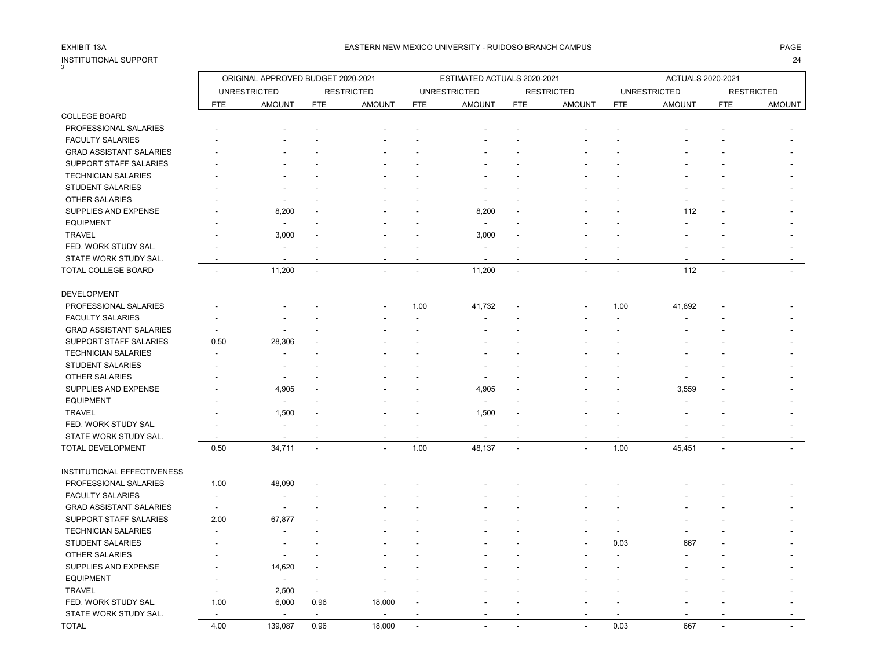## INSTITUTIONAL SUPPORT 24 3

|                                |                          | ORIGINAL APPROVED BUDGET 2020-2021 |                          |                          |            | ESTIMATED ACTUALS 2020-2021 |                          |                   |            | <b>ACTUALS 2020-2021</b> |                          |                   |
|--------------------------------|--------------------------|------------------------------------|--------------------------|--------------------------|------------|-----------------------------|--------------------------|-------------------|------------|--------------------------|--------------------------|-------------------|
|                                |                          | <b>UNRESTRICTED</b>                |                          | <b>RESTRICTED</b>        |            | <b>UNRESTRICTED</b>         |                          | <b>RESTRICTED</b> |            | <b>UNRESTRICTED</b>      |                          | <b>RESTRICTED</b> |
|                                | <b>FTE</b>               | <b>AMOUNT</b>                      | <b>FTE</b>               | <b>AMOUNT</b>            | <b>FTE</b> | <b>AMOUNT</b>               | <b>FTE</b>               | <b>AMOUNT</b>     | <b>FTE</b> | <b>AMOUNT</b>            | <b>FTE</b>               | <b>AMOUNT</b>     |
| <b>COLLEGE BOARD</b>           |                          |                                    |                          |                          |            |                             |                          |                   |            |                          |                          |                   |
| PROFESSIONAL SALARIES          |                          |                                    |                          |                          |            |                             |                          |                   |            |                          |                          |                   |
| <b>FACULTY SALARIES</b>        |                          |                                    |                          |                          |            |                             |                          |                   |            |                          |                          |                   |
| <b>GRAD ASSISTANT SALARIES</b> |                          |                                    |                          |                          |            |                             |                          |                   |            |                          |                          |                   |
| SUPPORT STAFF SALARIES         |                          |                                    |                          |                          |            |                             |                          |                   |            |                          |                          |                   |
| <b>TECHNICIAN SALARIES</b>     |                          |                                    |                          |                          |            |                             |                          |                   |            |                          |                          |                   |
| <b>STUDENT SALARIES</b>        |                          |                                    |                          |                          |            |                             |                          |                   |            |                          |                          |                   |
| <b>OTHER SALARIES</b>          |                          | $\overline{\phantom{a}}$           |                          |                          |            |                             |                          |                   |            |                          |                          |                   |
| SUPPLIES AND EXPENSE           |                          | 8,200                              |                          |                          |            | 8,200                       |                          |                   |            | 112                      |                          |                   |
| <b>EQUIPMENT</b>               |                          | $\blacksquare$                     |                          |                          |            | $\overline{\phantom{a}}$    |                          |                   |            |                          |                          |                   |
| <b>TRAVEL</b>                  |                          | 3,000                              |                          |                          |            | 3,000                       |                          |                   |            |                          |                          |                   |
| FED. WORK STUDY SAL.           |                          |                                    |                          |                          |            |                             |                          |                   |            |                          |                          |                   |
| STATE WORK STUDY SAL.          |                          |                                    |                          |                          |            |                             |                          |                   |            |                          |                          |                   |
| TOTAL COLLEGE BOARD            |                          | 11,200                             | $\overline{\phantom{a}}$ |                          |            | 11,200                      | $\overline{\phantom{a}}$ |                   |            | 112                      |                          |                   |
| DEVELOPMENT                    |                          |                                    |                          |                          |            |                             |                          |                   |            |                          |                          |                   |
| PROFESSIONAL SALARIES          |                          |                                    |                          |                          | 1.00       | 41,732                      |                          |                   | 1.00       | 41,892                   |                          |                   |
| <b>FACULTY SALARIES</b>        |                          |                                    |                          |                          |            |                             |                          |                   |            |                          |                          |                   |
| <b>GRAD ASSISTANT SALARIES</b> |                          | $\blacksquare$                     |                          |                          |            |                             |                          |                   |            |                          |                          |                   |
| SUPPORT STAFF SALARIES         | 0.50                     | 28,306                             |                          |                          |            |                             |                          |                   |            |                          |                          |                   |
| <b>TECHNICIAN SALARIES</b>     |                          |                                    |                          |                          |            |                             |                          |                   |            |                          |                          |                   |
| <b>STUDENT SALARIES</b>        |                          |                                    |                          |                          |            |                             |                          |                   |            |                          |                          |                   |
| <b>OTHER SALARIES</b>          |                          |                                    |                          |                          |            |                             |                          |                   |            |                          |                          |                   |
| SUPPLIES AND EXPENSE           |                          | 4,905                              |                          |                          |            | 4,905                       |                          |                   |            | 3,559                    |                          |                   |
| <b>EQUIPMENT</b>               |                          |                                    |                          |                          |            | $\overline{\phantom{a}}$    |                          |                   |            |                          |                          |                   |
| <b>TRAVEL</b>                  |                          | 1,500                              |                          |                          |            | 1,500                       |                          |                   |            |                          |                          |                   |
| FED. WORK STUDY SAL.           |                          | $\overline{\phantom{a}}$           |                          |                          |            |                             |                          |                   |            |                          |                          |                   |
| STATE WORK STUDY SAL.          |                          | $\overline{\phantom{a}}$           |                          |                          |            |                             |                          |                   |            |                          |                          |                   |
| <b>TOTAL DEVELOPMENT</b>       | 0.50                     | 34,711                             | $\overline{\phantom{a}}$ | $\overline{\phantom{a}}$ | 1.00       | 48,137                      | $\sim$                   | $\blacksquare$    | 1.00       | 45,451                   | $\overline{\phantom{a}}$ |                   |
| INSTITUTIONAL EFFECTIVENESS    |                          |                                    |                          |                          |            |                             |                          |                   |            |                          |                          |                   |
| PROFESSIONAL SALARIES          | 1.00                     | 48,090                             |                          |                          |            |                             |                          |                   |            |                          |                          |                   |
| <b>FACULTY SALARIES</b>        | $\overline{\phantom{a}}$ | $\overline{\phantom{a}}$           |                          |                          |            |                             |                          |                   |            |                          |                          |                   |
| <b>GRAD ASSISTANT SALARIES</b> | $\overline{\phantom{a}}$ | $\blacksquare$                     |                          |                          |            |                             |                          |                   |            |                          |                          |                   |
| SUPPORT STAFF SALARIES         | 2.00                     | 67,877                             |                          |                          |            |                             |                          |                   |            |                          |                          |                   |
| <b>TECHNICIAN SALARIES</b>     |                          |                                    |                          |                          |            |                             |                          |                   |            |                          |                          |                   |
| <b>STUDENT SALARIES</b>        |                          |                                    |                          |                          |            |                             |                          |                   | 0.03       | 667                      |                          |                   |
| OTHER SALARIES                 |                          | $\overline{\phantom{a}}$           |                          |                          |            |                             |                          |                   |            |                          |                          |                   |
| SUPPLIES AND EXPENSE           |                          | 14,620                             |                          |                          |            |                             |                          |                   |            |                          |                          |                   |
| <b>EQUIPMENT</b>               |                          | $\overline{\phantom{a}}$           |                          |                          |            |                             |                          |                   |            |                          |                          |                   |
| <b>TRAVEL</b>                  |                          | 2,500                              |                          |                          |            |                             |                          |                   |            |                          |                          |                   |
| FED. WORK STUDY SAL.           | 1.00                     | 6,000                              | 0.96                     | 18,000                   |            |                             |                          |                   |            |                          |                          |                   |
| STATE WORK STUDY SAL.          |                          | $\overline{\phantom{a}}$           | ÷,                       |                          |            |                             |                          |                   |            |                          |                          |                   |
| TOTAL                          | 4.00                     | 139,087                            | 0.96                     | 18,000                   |            |                             | $\sim$                   | - -               | 0.03       | 667                      |                          |                   |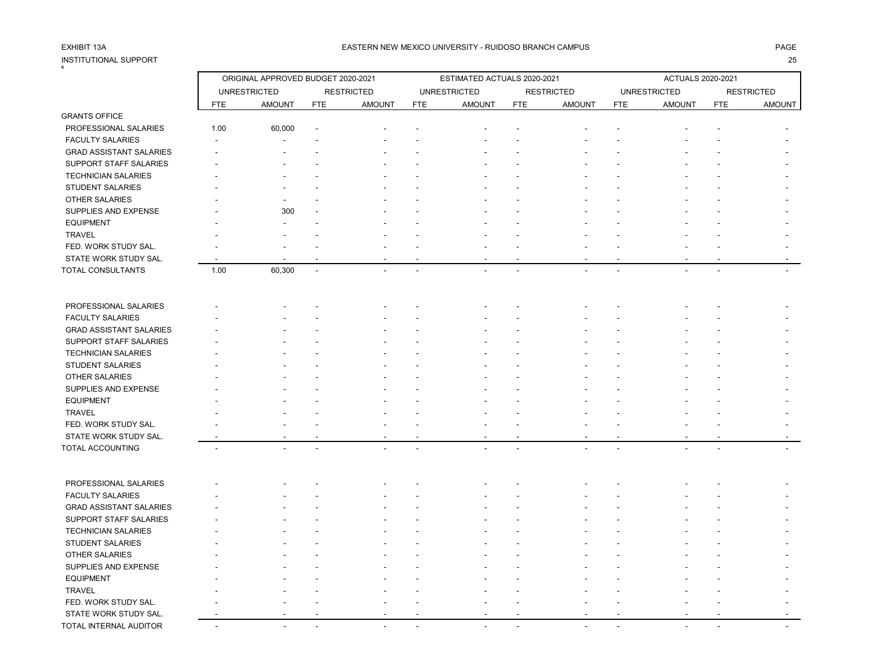### EASTERN NEW MEXICO UNIVERSITY - RUIDOSO BRANCH CAMPUS AND THE REASTERN AGE AND THE REASTERN NEW MEXICO UNIVERSITY - RUIDOSO BRANCH CAMPUS AND THE REASTERN NEW MEXICO UNIVERSITY - RUIDOSO BRANCH CAMPUS

| INSTITUTIONAL SUPPORT          |            |                                    |            |                   |            |                             |            |                   |                   |                     |                | 25                |
|--------------------------------|------------|------------------------------------|------------|-------------------|------------|-----------------------------|------------|-------------------|-------------------|---------------------|----------------|-------------------|
|                                |            | ORIGINAL APPROVED BUDGET 2020-2021 |            |                   |            | ESTIMATED ACTUALS 2020-2021 |            |                   | ACTUALS 2020-2021 |                     |                |                   |
|                                |            | <b>UNRESTRICTED</b>                |            | <b>RESTRICTED</b> |            | <b>UNRESTRICTED</b>         |            | <b>RESTRICTED</b> |                   | <b>UNRESTRICTED</b> |                | <b>RESTRICTED</b> |
|                                | <b>FTE</b> | <b>AMOUNT</b>                      | <b>FTE</b> | <b>AMOUNT</b>     | <b>FTE</b> | <b>AMOUNT</b>               | <b>FTE</b> | <b>AMOUNT</b>     | <b>FTE</b>        | <b>AMOUNT</b>       | <b>FTE</b>     | <b>AMOUNT</b>     |
| <b>GRANTS OFFICE</b>           |            |                                    |            |                   |            |                             |            |                   |                   |                     |                |                   |
| PROFESSIONAL SALARIES          | 1.00       | 60,000                             |            |                   |            |                             |            |                   |                   |                     |                |                   |
| <b>FACULTY SALARIES</b>        |            |                                    |            |                   |            |                             |            |                   |                   |                     |                |                   |
| <b>GRAD ASSISTANT SALARIES</b> |            |                                    |            |                   |            |                             |            |                   |                   |                     |                |                   |
| SUPPORT STAFF SALARIES         |            |                                    |            |                   |            |                             |            |                   |                   |                     |                |                   |
| <b>TECHNICIAN SALARIES</b>     |            |                                    |            |                   |            |                             |            |                   |                   |                     |                |                   |
| <b>STUDENT SALARIES</b>        |            |                                    |            |                   |            |                             |            |                   |                   |                     |                |                   |
| OTHER SALARIES                 |            |                                    |            |                   |            |                             |            |                   |                   |                     |                |                   |
| SUPPLIES AND EXPENSE           |            | 300                                |            |                   |            |                             |            |                   |                   |                     |                |                   |
| <b>EQUIPMENT</b>               |            |                                    |            |                   |            |                             |            |                   |                   |                     |                |                   |
| <b>TRAVEL</b>                  |            |                                    |            |                   |            |                             |            |                   |                   |                     |                |                   |
| FED. WORK STUDY SAL.           |            |                                    |            |                   |            |                             |            |                   |                   |                     |                |                   |
| STATE WORK STUDY SAL.          |            |                                    |            |                   |            |                             |            |                   |                   |                     |                |                   |
| TOTAL CONSULTANTS              | 1.00       | 60,300                             | $\sim$     |                   |            |                             |            |                   |                   |                     |                |                   |
|                                |            |                                    |            |                   |            |                             |            |                   |                   |                     |                |                   |
| PROFESSIONAL SALARIES          |            |                                    |            |                   |            |                             |            |                   |                   |                     |                |                   |
| <b>FACULTY SALARIES</b>        |            |                                    |            |                   |            |                             |            |                   |                   |                     |                |                   |
| <b>GRAD ASSISTANT SALARIES</b> |            |                                    |            |                   |            |                             |            |                   |                   |                     |                |                   |
| SUPPORT STAFF SALARIES         |            |                                    |            |                   |            |                             |            |                   |                   |                     |                |                   |
| <b>TECHNICIAN SALARIES</b>     |            |                                    |            |                   |            |                             |            |                   |                   |                     |                |                   |
| <b>STUDENT SALARIES</b>        |            |                                    |            |                   |            |                             |            |                   |                   |                     |                |                   |
| <b>OTHER SALARIES</b>          |            |                                    |            |                   |            |                             |            |                   |                   |                     |                |                   |
| SUPPLIES AND EXPENSE           |            |                                    |            |                   |            |                             |            |                   |                   |                     |                |                   |
| <b>EQUIPMENT</b>               |            |                                    |            |                   |            |                             |            |                   |                   |                     |                |                   |
| <b>TRAVEL</b>                  |            |                                    |            |                   |            |                             |            |                   |                   |                     |                |                   |
| FED. WORK STUDY SAL.           |            |                                    |            |                   |            |                             |            |                   |                   |                     |                |                   |
| STATE WORK STUDY SAL.          |            |                                    |            |                   |            |                             |            |                   |                   |                     |                |                   |
| TOTAL ACCOUNTING               |            |                                    |            |                   |            |                             |            |                   |                   |                     | $\overline{a}$ |                   |
|                                |            |                                    |            |                   |            |                             |            |                   |                   |                     |                |                   |
| PROFESSIONAL SALARIES          |            |                                    |            |                   |            |                             |            |                   |                   |                     |                |                   |
| <b>FACULTY SALARIES</b>        |            |                                    |            |                   |            |                             |            |                   |                   |                     |                |                   |
| <b>GRAD ASSISTANT SALARIES</b> |            |                                    |            |                   |            |                             |            |                   |                   |                     |                |                   |
| SUPPORT STAFF SALARIES         |            |                                    |            |                   |            |                             |            |                   |                   |                     |                |                   |
| <b>TECHNICIAN SALARIES</b>     |            |                                    |            |                   |            |                             |            |                   |                   |                     |                |                   |
| <b>STUDENT SALARIES</b>        |            |                                    |            |                   |            |                             |            |                   |                   |                     |                |                   |
| OTHER SALARIES                 |            |                                    |            |                   |            |                             |            |                   |                   |                     |                |                   |
| SUPPLIES AND EXPENSE           |            |                                    |            |                   |            |                             |            |                   |                   |                     |                |                   |
| <b>EQUIPMENT</b>               |            |                                    |            |                   |            |                             |            |                   |                   |                     |                |                   |
| <b>TRAVEL</b>                  |            |                                    |            |                   |            |                             |            |                   |                   |                     |                |                   |
| FED. WORK STUDY SAL.           |            |                                    |            |                   |            |                             |            |                   |                   |                     |                |                   |
| STATE WORK STUDY SAL.          |            |                                    |            |                   |            |                             |            |                   |                   |                     |                |                   |
| <b>TOTAL INTERNAL AUDITOR</b>  |            |                                    |            |                   |            |                             |            |                   |                   |                     |                |                   |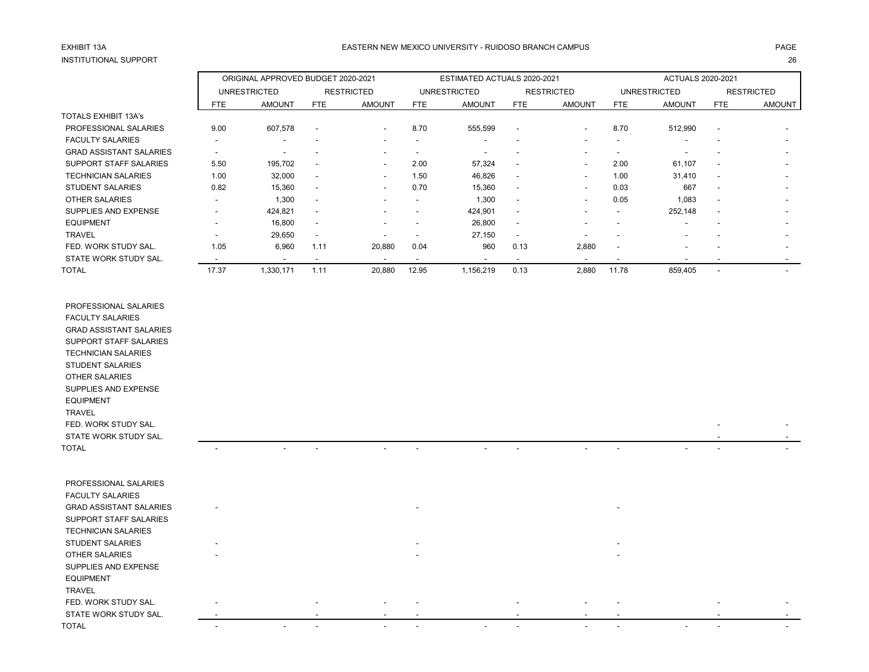# INSTITUTIONAL SUPPORT 26

### EASTERN NEW MEXICO UNIVERSITY - RUIDOSO BRANCH CAMPUS AND THE REASTERN AGE AND THE REASTERN NEW MEXICO UNIVERSITY - RUIDOSO BRANCH CAMPUS AND THE REASTERN NEW MEXICO UNIVERSITY - RUIDOSO BRANCH CAMPUS

|                                |                          | ORIGINAL APPROVED BUDGET 2020-2021 |                          |                          |                          | ESTIMATED ACTUALS 2020-2021 |                          |                          | ACTUALS 2020-2021        |                          |                          |                          |
|--------------------------------|--------------------------|------------------------------------|--------------------------|--------------------------|--------------------------|-----------------------------|--------------------------|--------------------------|--------------------------|--------------------------|--------------------------|--------------------------|
|                                |                          | <b>UNRESTRICTED</b>                |                          | <b>RESTRICTED</b>        |                          | UNRESTRICTED                |                          | <b>RESTRICTED</b>        |                          | <b>UNRESTRICTED</b>      |                          | <b>RESTRICTED</b>        |
|                                | <b>FTE</b>               | <b>AMOUNT</b>                      | <b>FTE</b>               | <b>AMOUNT</b>            | <b>FTE</b>               | <b>AMOUNT</b>               | FTE                      | <b>AMOUNT</b>            | FTE                      | <b>AMOUNT</b>            | <b>FTE</b>               | AMOUNT                   |
| TOTALS EXHIBIT 13A's           |                          |                                    |                          |                          |                          |                             |                          |                          |                          |                          |                          |                          |
| PROFESSIONAL SALARIES          | 9.00                     | 607,578                            | $\overline{\phantom{a}}$ | $\overline{\phantom{a}}$ | 8.70                     | 555,599                     | $\overline{\phantom{a}}$ | $\overline{\phantom{a}}$ | 8.70                     | 512,990                  | $\overline{\phantom{a}}$ |                          |
| <b>FACULTY SALARIES</b>        | $\blacksquare$           | $\overline{\phantom{a}}$           |                          | $\overline{\phantom{a}}$ |                          |                             |                          |                          |                          |                          |                          |                          |
| <b>GRAD ASSISTANT SALARIES</b> | $\overline{\phantom{a}}$ | $\overline{\phantom{a}}$           |                          | $\overline{\phantom{a}}$ | $\overline{\phantom{a}}$ |                             |                          |                          |                          |                          |                          | $\overline{\phantom{0}}$ |
| SUPPORT STAFF SALARIES         | 5.50                     | 195,702                            | $\overline{\phantom{a}}$ | $\sim$                   | 2.00                     | 57,324                      | $\overline{\phantom{a}}$ | $\overline{\phantom{0}}$ | 2.00                     | 61,107                   | $\overline{\phantom{a}}$ |                          |
| <b>TECHNICIAN SALARIES</b>     | 1.00                     | 32,000                             | $\overline{\phantom{a}}$ | $\overline{\phantom{a}}$ | 1.50                     | 46,826                      | $\overline{\phantom{a}}$ | $\overline{\phantom{0}}$ | 1.00                     | 31,410                   | $\overline{\phantom{a}}$ | $\overline{\phantom{0}}$ |
| <b>STUDENT SALARIES</b>        | 0.82                     | 15,360                             | $\overline{\phantom{a}}$ | $\overline{\phantom{a}}$ | 0.70                     | 15,360                      | $\sim$                   |                          | 0.03                     | 667                      | $\overline{\phantom{a}}$ | $\overline{\phantom{a}}$ |
| <b>OTHER SALARIES</b>          |                          | 1,300                              | $\overline{\phantom{a}}$ |                          |                          | 1,300                       | $\overline{\phantom{a}}$ |                          | 0.05                     | 1,083                    | $\overline{\phantom{a}}$ |                          |
| SUPPLIES AND EXPENSE           |                          | 424,821                            | $\overline{\phantom{a}}$ |                          |                          | 424,901                     | $\overline{\phantom{a}}$ |                          | -                        | 252,148                  | $\overline{\phantom{a}}$ |                          |
| <b>EQUIPMENT</b>               | $\overline{\phantom{a}}$ | 16,800                             | $\overline{\phantom{a}}$ | $\overline{\phantom{a}}$ |                          | 26,800                      | $\overline{\phantom{a}}$ |                          |                          | $\overline{\phantom{a}}$ |                          | $\overline{\phantom{0}}$ |
| <b>TRAVEL</b>                  | . .                      | 29,650                             | $\overline{\phantom{a}}$ | $\overline{\phantom{a}}$ |                          | 27,150                      | $\overline{\phantom{a}}$ |                          |                          |                          |                          |                          |
| FED. WORK STUDY SAL.           | 1.05                     | 6,960                              | 1.11                     | 20,880                   | 0.04                     | 960                         | 0.13                     | 2,880                    | $\overline{\phantom{a}}$ |                          |                          | $\overline{\phantom{a}}$ |
| STATE WORK STUDY SAL.          |                          | $\overline{\phantom{a}}$           |                          | $\overline{\phantom{a}}$ | $\overline{\phantom{a}}$ |                             | $\overline{\phantom{a}}$ |                          |                          |                          |                          |                          |
| <b>TOTAL</b>                   | 17.37                    | 1,330,171                          | 1.11                     | 20,880                   | 12.95                    | 1,156,219                   | 0.13                     | 2,880                    | 11.78                    | 859,405                  |                          |                          |

| PROFESSIONAL SALARIES    |  |
|--------------------------|--|
| <b>FACULTY SALARIES</b>  |  |
| GRAD ASSISTANT SAI ARIES |  |
| SUPPORT STAFF SALARIES   |  |
| TECHNICIAN SAI ARIES     |  |

STATE WORK STUDY SAL.

| PROFESSIONAL SALARIES          |                          |                          |                          |                          |                          |                          |                          |  |
|--------------------------------|--------------------------|--------------------------|--------------------------|--------------------------|--------------------------|--------------------------|--------------------------|--|
| <b>FACULTY SALARIES</b>        |                          |                          |                          |                          |                          |                          |                          |  |
| <b>GRAD ASSISTANT SALARIES</b> | $\overline{\phantom{a}}$ |                          |                          | $\overline{\phantom{0}}$ |                          | $\overline{\phantom{a}}$ |                          |  |
| SUPPORT STAFF SALARIES         |                          |                          |                          |                          |                          |                          |                          |  |
| <b>TECHNICIAN SALARIES</b>     |                          |                          |                          |                          |                          |                          |                          |  |
| STUDENT SALARIES               | $\overline{\phantom{a}}$ |                          |                          | $\overline{\phantom{0}}$ |                          | $\overline{\phantom{0}}$ |                          |  |
| OTHER SALARIES                 | $\overline{\phantom{0}}$ |                          |                          | $\overline{\phantom{0}}$ |                          | $\overline{\phantom{a}}$ |                          |  |
| SUPPLIES AND EXPENSE           |                          |                          |                          |                          |                          |                          |                          |  |
| <b>EQUIPMENT</b>               |                          |                          |                          |                          |                          |                          |                          |  |
| <b>TRAVEL</b>                  |                          |                          |                          |                          |                          |                          |                          |  |
| FED. WORK STUDY SAL.           |                          | $\overline{\phantom{a}}$ | $\overline{\phantom{a}}$ | $\overline{\phantom{0}}$ | $\overline{\phantom{a}}$ | $\overline{\phantom{a}}$ | $\overline{\phantom{a}}$ |  |

TOTAL - - - - - - - - - - - -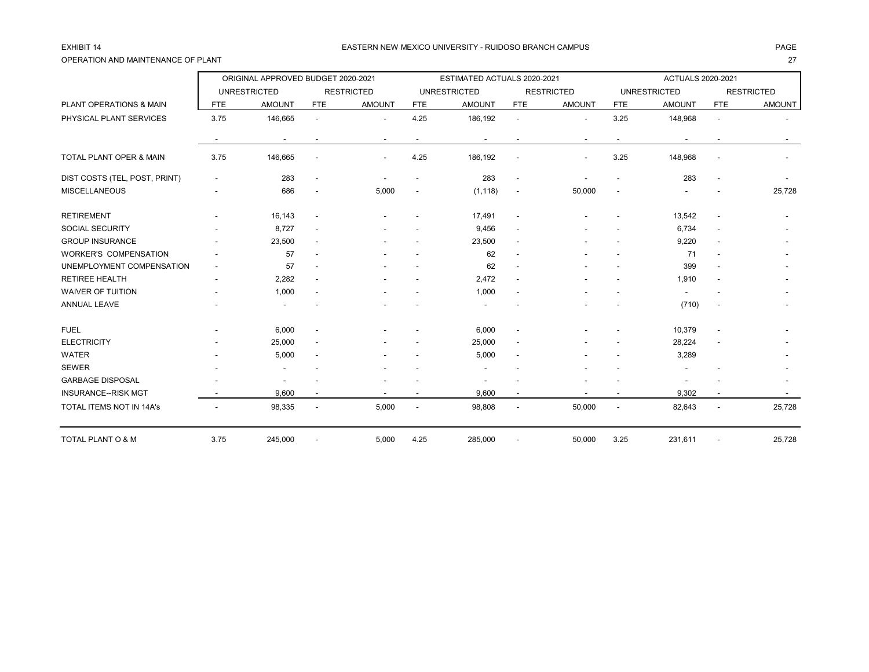## OPERATION AND MAINTENANCE OF PLANT 27

### EXHIBIT 14 CHANGE AND THE SERVICE OF THE SERVICE OF MEXICO UNIVERSITY - RUIDOSO BRANCH CAMPUS AND THE SERVICE OF THE SERVICE OF THE SERVICE OF THE SERVICE OF THE SERVICE OF THE SERVICE OF THE SERVICE OF THE SERVICE OF THE

|                               |                          | ORIGINAL APPROVED BUDGET 2020-2021 |                          |                   |            | ESTIMATED ACTUALS 2020-2021 |                          |                   | <b>ACTUALS 2020-2021</b> |                          |                          |                   |
|-------------------------------|--------------------------|------------------------------------|--------------------------|-------------------|------------|-----------------------------|--------------------------|-------------------|--------------------------|--------------------------|--------------------------|-------------------|
|                               |                          | <b>UNRESTRICTED</b>                |                          | <b>RESTRICTED</b> |            | <b>UNRESTRICTED</b>         |                          | <b>RESTRICTED</b> |                          | <b>UNRESTRICTED</b>      |                          | <b>RESTRICTED</b> |
| PLANT OPERATIONS & MAIN       | <b>FTE</b>               | <b>AMOUNT</b>                      | <b>FTE</b>               | <b>AMOUNT</b>     | <b>FTE</b> | <b>AMOUNT</b>               | <b>FTE</b>               | <b>AMOUNT</b>     | <b>FTE</b>               | <b>AMOUNT</b>            | <b>FTE</b>               | <b>AMOUNT</b>     |
| PHYSICAL PLANT SERVICES       | 3.75                     | 146,665                            |                          |                   | 4.25       | 186,192                     | $\overline{a}$           |                   | 3.25                     | 148,968                  | ä,                       |                   |
|                               |                          |                                    |                          |                   |            |                             |                          |                   |                          |                          |                          |                   |
| TOTAL PLANT OPER & MAIN       | 3.75                     | 146,665                            |                          |                   | 4.25       | 186,192                     | $\blacksquare$           |                   | 3.25                     | 148,968                  |                          |                   |
| DIST COSTS (TEL, POST, PRINT) |                          | 283                                |                          |                   |            | 283                         | $\blacksquare$           |                   |                          | 283                      |                          |                   |
| <b>MISCELLANEOUS</b>          |                          | 686                                |                          | 5,000             |            | (1, 118)                    | $\overline{\phantom{a}}$ | 50,000            |                          |                          |                          | 25,728            |
| <b>RETIREMENT</b>             |                          | 16,143                             | $\overline{\phantom{a}}$ |                   |            | 17,491                      | $\blacksquare$           |                   |                          | 13,542                   | $\blacksquare$           |                   |
| <b>SOCIAL SECURITY</b>        |                          | 8,727                              | $\overline{\phantom{a}}$ |                   |            | 9,456                       | $\overline{\phantom{a}}$ |                   |                          | 6,734                    | $\blacksquare$           |                   |
| <b>GROUP INSURANCE</b>        |                          | 23,500                             | $\overline{\phantom{a}}$ |                   |            | 23,500                      | $\blacksquare$           |                   |                          | 9,220                    | $\overline{\phantom{a}}$ |                   |
| <b>WORKER'S COMPENSATION</b>  |                          | 57                                 |                          |                   |            | 62                          | $\overline{\phantom{a}}$ |                   |                          | 71                       |                          |                   |
| UNEMPLOYMENT COMPENSATION     | $\overline{\phantom{a}}$ | 57                                 |                          |                   |            | 62                          | $\blacksquare$           |                   |                          | 399                      |                          |                   |
| <b>RETIREE HEALTH</b>         |                          | 2,282                              | $\blacksquare$           |                   |            | 2,472                       | $\blacksquare$           |                   |                          | 1,910                    |                          |                   |
| <b>WAIVER OF TUITION</b>      |                          | 1,000                              |                          |                   |            | 1,000                       | $\blacksquare$           |                   |                          | $\overline{\phantom{a}}$ |                          |                   |
| <b>ANNUAL LEAVE</b>           |                          |                                    |                          |                   |            |                             |                          |                   |                          | (710)                    |                          |                   |
| <b>FUEL</b>                   |                          | 6,000                              |                          |                   |            | 6,000                       | $\overline{\phantom{a}}$ |                   |                          | 10,379                   |                          |                   |
| <b>ELECTRICITY</b>            |                          | 25,000                             | $\blacksquare$           |                   |            | 25,000                      | $\blacksquare$           |                   |                          | 28,224                   |                          |                   |
| <b>WATER</b>                  |                          | 5,000                              |                          |                   |            | 5,000                       |                          |                   |                          | 3,289                    |                          |                   |
| <b>SEWER</b>                  |                          |                                    |                          |                   |            |                             |                          |                   |                          |                          |                          |                   |
| <b>GARBAGE DISPOSAL</b>       |                          |                                    |                          |                   |            |                             |                          |                   |                          |                          |                          |                   |
| <b>INSURANCE--RISK MGT</b>    |                          | 9,600                              |                          |                   |            | 9,600                       |                          |                   |                          | 9,302                    |                          |                   |
| TOTAL ITEMS NOT IN 14A's      |                          | 98,335                             | $\overline{\phantom{a}}$ | 5,000             |            | 98,808                      | $\blacksquare$           | 50,000            | $\blacksquare$           | 82,643                   | $\blacksquare$           | 25,728            |
| TOTAL PLANT O & M             | 3.75                     | 245,000                            |                          | 5,000             | 4.25       | 285,000                     |                          | 50,000            | 3.25                     | 231,611                  |                          | 25,728            |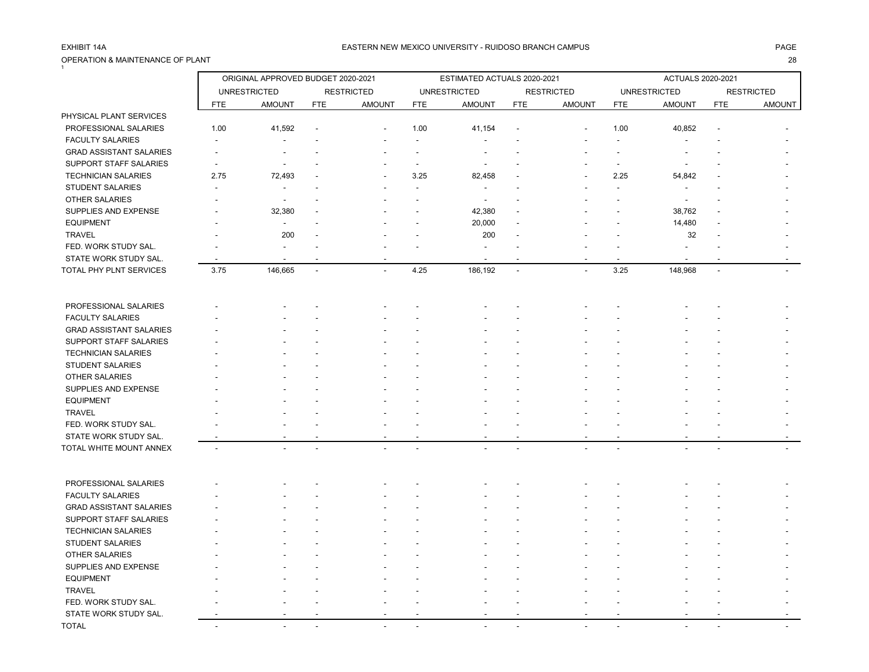## OPERATION & MAINTENANCE OF PLANT 28 1

|                                |                          | ORIGINAL APPROVED BUDGET 2020-2021 |                |                   | ESTIMATED ACTUALS 2020-2021 |                     |                |                      |                | <b>ACTUALS 2020-2021</b> |                |                   |  |
|--------------------------------|--------------------------|------------------------------------|----------------|-------------------|-----------------------------|---------------------|----------------|----------------------|----------------|--------------------------|----------------|-------------------|--|
|                                |                          | <b>UNRESTRICTED</b>                |                | <b>RESTRICTED</b> |                             | <b>UNRESTRICTED</b> |                | <b>RESTRICTED</b>    |                | <b>UNRESTRICTED</b>      |                | <b>RESTRICTED</b> |  |
|                                | <b>FTE</b>               | <b>AMOUNT</b>                      | <b>FTE</b>     | <b>AMOUNT</b>     | <b>FTE</b>                  | <b>AMOUNT</b>       | <b>FTE</b>     | <b>AMOUNT</b>        | <b>FTE</b>     | <b>AMOUNT</b>            | <b>FTE</b>     | <b>AMOUNT</b>     |  |
| PHYSICAL PLANT SERVICES        |                          |                                    |                |                   |                             |                     |                |                      |                |                          |                |                   |  |
| PROFESSIONAL SALARIES          | 1.00                     | 41,592                             |                |                   | 1.00                        | 41,154              |                |                      | 1.00           | 40,852                   |                |                   |  |
| <b>FACULTY SALARIES</b>        |                          |                                    |                |                   |                             |                     |                |                      |                |                          |                |                   |  |
| <b>GRAD ASSISTANT SALARIES</b> |                          |                                    |                |                   |                             |                     |                |                      |                |                          |                |                   |  |
| <b>SUPPORT STAFF SALARIES</b>  | $\overline{\phantom{a}}$ |                                    |                |                   | $\overline{\phantom{a}}$    |                     |                |                      | $\blacksquare$ |                          |                |                   |  |
| <b>TECHNICIAN SALARIES</b>     | 2.75                     | 72,493                             |                |                   | 3.25                        | 82,458              |                |                      | 2.25           | 54,842                   |                |                   |  |
| <b>STUDENT SALARIES</b>        |                          |                                    |                |                   |                             |                     |                |                      |                |                          |                |                   |  |
| <b>OTHER SALARIES</b>          |                          |                                    |                |                   |                             |                     |                |                      |                |                          |                |                   |  |
| SUPPLIES AND EXPENSE           |                          | 32,380                             |                |                   |                             | 42,380              |                |                      |                | 38,762                   |                |                   |  |
| <b>EQUIPMENT</b>               |                          | $\blacksquare$                     |                |                   |                             | 20,000              |                |                      |                | 14,480                   |                |                   |  |
| <b>TRAVEL</b>                  |                          | 200                                |                |                   |                             | 200                 |                |                      |                | 32                       |                |                   |  |
| FED. WORK STUDY SAL.           |                          |                                    |                |                   |                             |                     |                |                      |                |                          |                |                   |  |
| STATE WORK STUDY SAL.          |                          |                                    |                |                   |                             |                     |                |                      |                |                          |                |                   |  |
| TOTAL PHY PLNT SERVICES        | 3.75                     | 146,665                            | $\overline{a}$ | $\overline{a}$    | 4.25                        | 186,192             | $\blacksquare$ | $\ddot{\phantom{a}}$ | 3.25           | 148,968                  | $\overline{a}$ |                   |  |
| PROFESSIONAL SALARIES          |                          |                                    |                |                   |                             |                     |                |                      |                |                          |                |                   |  |
| <b>FACULTY SALARIES</b>        |                          |                                    |                |                   |                             |                     |                |                      |                |                          |                |                   |  |
| <b>GRAD ASSISTANT SALARIES</b> |                          |                                    |                |                   |                             |                     |                |                      |                |                          |                |                   |  |
| SUPPORT STAFF SALARIES         |                          |                                    |                |                   |                             |                     |                |                      |                |                          |                |                   |  |
| <b>TECHNICIAN SALARIES</b>     |                          |                                    |                |                   |                             |                     |                |                      |                |                          |                |                   |  |
| <b>STUDENT SALARIES</b>        |                          |                                    |                |                   |                             |                     |                |                      |                |                          |                |                   |  |
| OTHER SALARIES                 |                          |                                    |                |                   |                             |                     |                |                      |                |                          |                |                   |  |
| SUPPLIES AND EXPENSE           |                          |                                    |                |                   |                             |                     |                |                      |                |                          |                |                   |  |
| <b>EQUIPMENT</b>               |                          |                                    |                |                   |                             |                     |                |                      |                |                          |                |                   |  |
| <b>TRAVEL</b>                  |                          |                                    |                |                   |                             |                     |                |                      |                |                          |                |                   |  |
| FED. WORK STUDY SAL.           |                          |                                    |                |                   |                             |                     |                |                      |                |                          |                |                   |  |
| STATE WORK STUDY SAL.          |                          |                                    |                |                   |                             |                     |                |                      |                |                          |                |                   |  |
| TOTAL WHITE MOUNT ANNEX        | $\overline{a}$           |                                    |                |                   |                             |                     |                |                      | $\overline{a}$ |                          |                |                   |  |
| PROFESSIONAL SALARIES          |                          |                                    |                |                   |                             |                     |                |                      |                |                          |                |                   |  |
| <b>FACULTY SALARIES</b>        |                          |                                    |                |                   |                             |                     |                |                      |                |                          |                |                   |  |
| <b>GRAD ASSISTANT SALARIES</b> |                          |                                    |                |                   |                             |                     |                |                      |                |                          |                |                   |  |
| SUPPORT STAFF SALARIES         |                          |                                    |                |                   |                             |                     |                |                      |                |                          |                |                   |  |
| <b>TECHNICIAN SALARIES</b>     |                          |                                    |                |                   |                             |                     |                |                      |                |                          |                |                   |  |
| <b>STUDENT SALARIES</b>        |                          |                                    |                |                   |                             |                     |                |                      |                |                          |                |                   |  |
| OTHER SALARIES                 |                          |                                    |                |                   |                             |                     |                |                      |                |                          |                |                   |  |
| SUPPLIES AND EXPENSE           |                          |                                    |                |                   |                             |                     |                |                      |                |                          |                |                   |  |
| <b>EQUIPMENT</b>               |                          |                                    |                |                   |                             |                     |                |                      |                |                          |                |                   |  |
| <b>TRAVEL</b>                  |                          |                                    |                |                   |                             |                     |                |                      |                |                          |                |                   |  |
| FED. WORK STUDY SAL.           |                          |                                    |                |                   |                             |                     |                |                      |                |                          |                |                   |  |
| STATE WORK STUDY SAL.          |                          |                                    |                |                   |                             |                     |                |                      |                |                          |                |                   |  |
| <b>TOTAL</b>                   | $\overline{\phantom{a}}$ | $\sim$                             |                |                   |                             |                     |                |                      |                |                          |                |                   |  |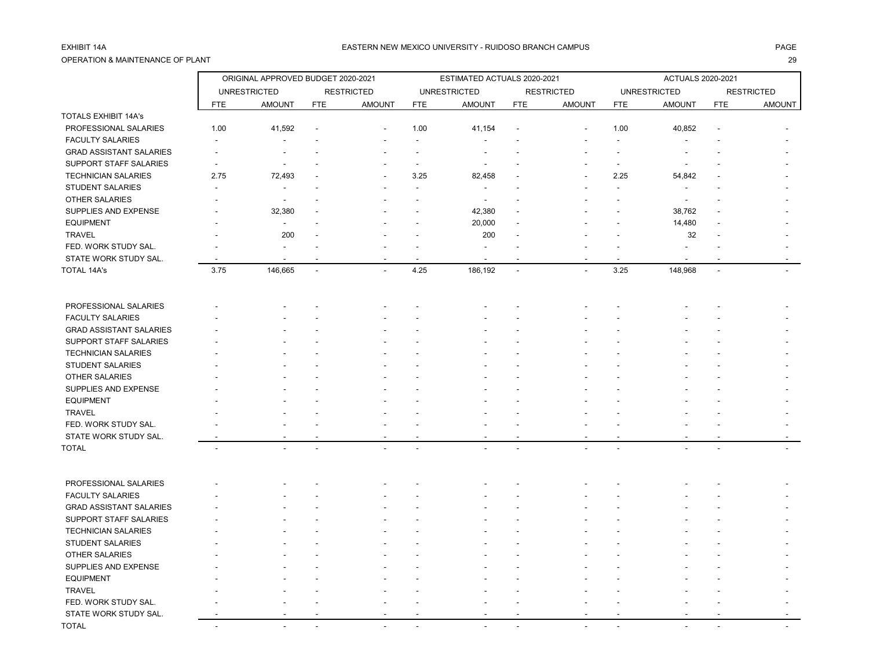## OPERATION & MAINTENANCE OF PLANT 29

### EXHIBIT 14A PAGE EASTERN NEW MEXICO UNIVERSITY - RUIDOSO BRANCH CAMPUS

|                                |            | ORIGINAL APPROVED BUDGET 2020-2021 |                |                          | ESTIMATED ACTUALS 2020-2021 |                     |                |                   |                          | <b>ACTUALS 2020-2021</b> |                |                   |  |
|--------------------------------|------------|------------------------------------|----------------|--------------------------|-----------------------------|---------------------|----------------|-------------------|--------------------------|--------------------------|----------------|-------------------|--|
|                                |            | <b>UNRESTRICTED</b>                |                | <b>RESTRICTED</b>        |                             | <b>UNRESTRICTED</b> |                | <b>RESTRICTED</b> |                          | <b>UNRESTRICTED</b>      |                | <b>RESTRICTED</b> |  |
|                                | <b>FTE</b> | <b>AMOUNT</b>                      | <b>FTE</b>     | <b>AMOUNT</b>            | <b>FTE</b>                  | <b>AMOUNT</b>       | <b>FTE</b>     | <b>AMOUNT</b>     | <b>FTE</b>               | <b>AMOUNT</b>            | <b>FTE</b>     | <b>AMOUNT</b>     |  |
| <b>TOTALS EXHIBIT 14A's</b>    |            |                                    |                |                          |                             |                     |                |                   |                          |                          |                |                   |  |
| PROFESSIONAL SALARIES          | 1.00       | 41,592                             |                |                          | 1.00                        | 41,154              |                |                   | 1.00                     | 40,852                   |                |                   |  |
| <b>FACULTY SALARIES</b>        |            |                                    |                |                          |                             |                     |                |                   |                          |                          |                |                   |  |
| <b>GRAD ASSISTANT SALARIES</b> |            |                                    |                |                          |                             |                     |                |                   |                          |                          |                |                   |  |
| SUPPORT STAFF SALARIES         |            |                                    |                |                          |                             |                     |                |                   | $\overline{\phantom{a}}$ |                          |                |                   |  |
| <b>TECHNICIAN SALARIES</b>     | 2.75       | 72,493                             |                |                          | 3.25                        | 82,458              |                |                   | 2.25                     | 54,842                   |                |                   |  |
| <b>STUDENT SALARIES</b>        |            |                                    |                |                          |                             |                     |                |                   |                          |                          |                |                   |  |
| OTHER SALARIES                 |            | $\overline{\phantom{a}}$           |                |                          |                             |                     |                |                   |                          |                          |                |                   |  |
| SUPPLIES AND EXPENSE           |            | 32,380                             |                |                          |                             | 42,380              |                |                   |                          | 38,762                   |                |                   |  |
| <b>EQUIPMENT</b>               |            | ä,                                 |                |                          |                             | 20,000              |                |                   |                          | 14,480                   |                |                   |  |
| <b>TRAVEL</b>                  |            | 200                                |                |                          |                             | 200                 |                |                   |                          | 32                       |                |                   |  |
| FED. WORK STUDY SAL.           |            |                                    |                |                          |                             |                     |                |                   |                          |                          |                |                   |  |
| STATE WORK STUDY SAL.          |            |                                    |                |                          |                             |                     |                |                   |                          |                          |                |                   |  |
| TOTAL 14A's                    | 3.75       | 146,665                            | $\overline{a}$ | $\overline{\phantom{a}}$ | 4.25                        | 186,192             | $\overline{a}$ | $\mathbf{r}$      | 3.25                     | 148,968                  | $\overline{a}$ |                   |  |
| PROFESSIONAL SALARIES          |            |                                    |                |                          |                             |                     |                |                   |                          |                          |                |                   |  |
| <b>FACULTY SALARIES</b>        |            |                                    |                |                          |                             |                     |                |                   |                          |                          |                |                   |  |
| <b>GRAD ASSISTANT SALARIES</b> |            |                                    |                |                          |                             |                     |                |                   |                          |                          |                |                   |  |
| SUPPORT STAFF SALARIES         |            |                                    |                |                          |                             |                     |                |                   |                          |                          |                |                   |  |
| <b>TECHNICIAN SALARIES</b>     |            |                                    |                |                          |                             |                     |                |                   |                          |                          |                |                   |  |
| <b>STUDENT SALARIES</b>        |            |                                    |                |                          |                             |                     |                |                   |                          |                          |                |                   |  |
| OTHER SALARIES                 |            |                                    |                |                          |                             |                     |                |                   |                          |                          |                |                   |  |
| SUPPLIES AND EXPENSE           |            |                                    |                |                          |                             |                     |                |                   |                          |                          |                |                   |  |
| <b>EQUIPMENT</b>               |            |                                    |                |                          |                             |                     |                |                   |                          |                          |                |                   |  |
| <b>TRAVEL</b>                  |            |                                    |                |                          |                             |                     |                |                   |                          |                          |                |                   |  |
| FED. WORK STUDY SAL.           |            |                                    |                |                          |                             |                     |                |                   |                          |                          |                |                   |  |
| STATE WORK STUDY SAL.          |            |                                    |                |                          |                             |                     |                |                   |                          |                          |                |                   |  |
| <b>TOTAL</b>                   |            |                                    |                |                          |                             |                     |                |                   |                          |                          |                |                   |  |
| PROFESSIONAL SALARIES          |            |                                    |                |                          |                             |                     |                |                   |                          |                          |                |                   |  |
| <b>FACULTY SALARIES</b>        |            |                                    |                |                          |                             |                     |                |                   |                          |                          |                |                   |  |
| <b>GRAD ASSISTANT SALARIES</b> |            |                                    |                |                          |                             |                     |                |                   |                          |                          |                |                   |  |
| SUPPORT STAFF SALARIES         |            |                                    |                |                          |                             |                     |                |                   |                          |                          |                |                   |  |
| <b>TECHNICIAN SALARIES</b>     |            |                                    |                |                          |                             |                     |                |                   |                          |                          |                |                   |  |
| <b>STUDENT SALARIES</b>        |            |                                    |                |                          |                             |                     |                |                   |                          |                          |                |                   |  |
| <b>OTHER SALARIES</b>          |            |                                    |                |                          |                             |                     |                |                   |                          |                          |                |                   |  |
| SUPPLIES AND EXPENSE           |            |                                    |                |                          |                             |                     |                |                   |                          |                          |                |                   |  |
| <b>EQUIPMENT</b>               |            |                                    |                |                          |                             |                     |                |                   |                          |                          |                |                   |  |
| <b>TRAVEL</b>                  |            |                                    |                |                          |                             |                     |                |                   |                          |                          |                |                   |  |
| FED. WORK STUDY SAL.           |            |                                    |                |                          |                             |                     |                |                   |                          |                          |                |                   |  |
| STATE WORK STUDY SAL.          |            |                                    |                |                          |                             |                     |                |                   |                          |                          |                |                   |  |
| TOTAL                          | $\sim$     | ÷                                  |                |                          |                             |                     |                |                   |                          |                          |                |                   |  |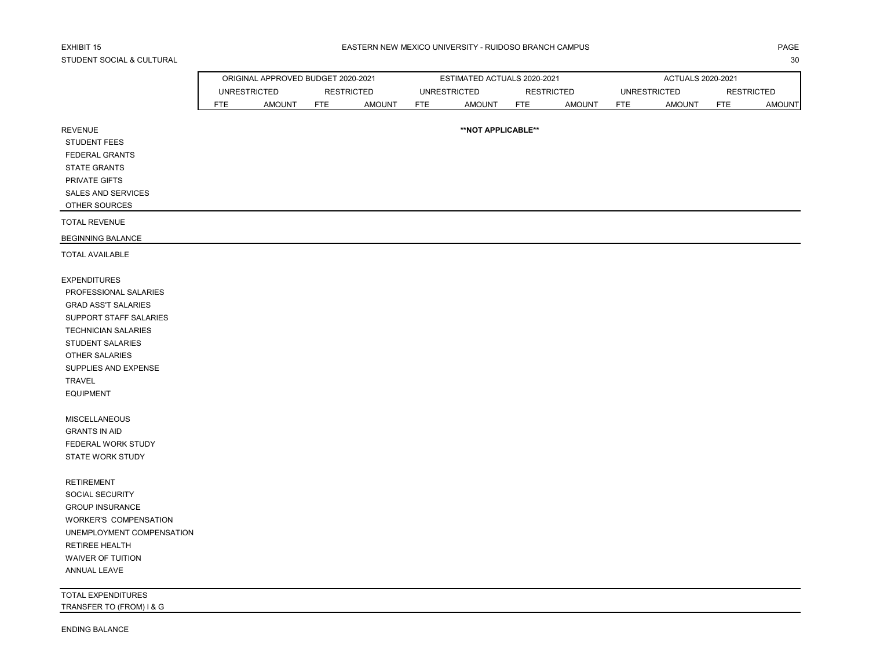# STUDENT SOCIAL & CULTURAL 30

 $\Gamma$ 

|                                                | ORIGINAL APPROVED BUDGET 2020-2021 |                     |            |                   |            | ESTIMATED ACTUALS 2020-2021 |            | ACTUALS 2020-2021 |            |                     |            |                   |
|------------------------------------------------|------------------------------------|---------------------|------------|-------------------|------------|-----------------------------|------------|-------------------|------------|---------------------|------------|-------------------|
|                                                |                                    | <b>UNRESTRICTED</b> |            | <b>RESTRICTED</b> |            | <b>UNRESTRICTED</b>         |            | <b>RESTRICTED</b> |            | <b>UNRESTRICTED</b> |            | <b>RESTRICTED</b> |
|                                                | <b>FTE</b>                         | <b>AMOUNT</b>       | <b>FTE</b> | <b>AMOUNT</b>     | <b>FTE</b> | <b>AMOUNT</b>               | <b>FTE</b> | <b>AMOUNT</b>     | <b>FTE</b> | <b>AMOUNT</b>       | <b>FTE</b> | <b>AMOUNT</b>     |
| <b>REVENUE</b>                                 |                                    |                     |            |                   |            | **NOT APPLICABLE**          |            |                   |            |                     |            |                   |
| STUDENT FEES                                   |                                    |                     |            |                   |            |                             |            |                   |            |                     |            |                   |
| FEDERAL GRANTS                                 |                                    |                     |            |                   |            |                             |            |                   |            |                     |            |                   |
| <b>STATE GRANTS</b>                            |                                    |                     |            |                   |            |                             |            |                   |            |                     |            |                   |
| PRIVATE GIFTS                                  |                                    |                     |            |                   |            |                             |            |                   |            |                     |            |                   |
| <b>SALES AND SERVICES</b>                      |                                    |                     |            |                   |            |                             |            |                   |            |                     |            |                   |
| OTHER SOURCES                                  |                                    |                     |            |                   |            |                             |            |                   |            |                     |            |                   |
| <b>TOTAL REVENUE</b>                           |                                    |                     |            |                   |            |                             |            |                   |            |                     |            |                   |
| <b>BEGINNING BALANCE</b>                       |                                    |                     |            |                   |            |                             |            |                   |            |                     |            |                   |
| <b>TOTAL AVAILABLE</b>                         |                                    |                     |            |                   |            |                             |            |                   |            |                     |            |                   |
| <b>EXPENDITURES</b>                            |                                    |                     |            |                   |            |                             |            |                   |            |                     |            |                   |
| PROFESSIONAL SALARIES                          |                                    |                     |            |                   |            |                             |            |                   |            |                     |            |                   |
| <b>GRAD ASS'T SALARIES</b>                     |                                    |                     |            |                   |            |                             |            |                   |            |                     |            |                   |
| SUPPORT STAFF SALARIES                         |                                    |                     |            |                   |            |                             |            |                   |            |                     |            |                   |
| <b>TECHNICIAN SALARIES</b>                     |                                    |                     |            |                   |            |                             |            |                   |            |                     |            |                   |
| <b>STUDENT SALARIES</b>                        |                                    |                     |            |                   |            |                             |            |                   |            |                     |            |                   |
| <b>OTHER SALARIES</b>                          |                                    |                     |            |                   |            |                             |            |                   |            |                     |            |                   |
| SUPPLIES AND EXPENSE                           |                                    |                     |            |                   |            |                             |            |                   |            |                     |            |                   |
| <b>TRAVEL</b>                                  |                                    |                     |            |                   |            |                             |            |                   |            |                     |            |                   |
| <b>EQUIPMENT</b>                               |                                    |                     |            |                   |            |                             |            |                   |            |                     |            |                   |
| MISCELLANEOUS                                  |                                    |                     |            |                   |            |                             |            |                   |            |                     |            |                   |
| <b>GRANTS IN AID</b>                           |                                    |                     |            |                   |            |                             |            |                   |            |                     |            |                   |
| FEDERAL WORK STUDY                             |                                    |                     |            |                   |            |                             |            |                   |            |                     |            |                   |
| STATE WORK STUDY                               |                                    |                     |            |                   |            |                             |            |                   |            |                     |            |                   |
| <b>RETIREMENT</b>                              |                                    |                     |            |                   |            |                             |            |                   |            |                     |            |                   |
| SOCIAL SECURITY                                |                                    |                     |            |                   |            |                             |            |                   |            |                     |            |                   |
| <b>GROUP INSURANCE</b>                         |                                    |                     |            |                   |            |                             |            |                   |            |                     |            |                   |
| WORKER'S COMPENSATION                          |                                    |                     |            |                   |            |                             |            |                   |            |                     |            |                   |
| UNEMPLOYMENT COMPENSATION                      |                                    |                     |            |                   |            |                             |            |                   |            |                     |            |                   |
| <b>RETIREE HEALTH</b>                          |                                    |                     |            |                   |            |                             |            |                   |            |                     |            |                   |
| WAIVER OF TUITION                              |                                    |                     |            |                   |            |                             |            |                   |            |                     |            |                   |
| ANNUAL LEAVE                                   |                                    |                     |            |                   |            |                             |            |                   |            |                     |            |                   |
| TOTAL EXPENDITURES<br>TRANSFER TO (FROM) I & G |                                    |                     |            |                   |            |                             |            |                   |            |                     |            |                   |
|                                                |                                    |                     |            |                   |            |                             |            |                   |            |                     |            |                   |
| <b>ENDING BALANCE</b>                          |                                    |                     |            |                   |            |                             |            |                   |            |                     |            |                   |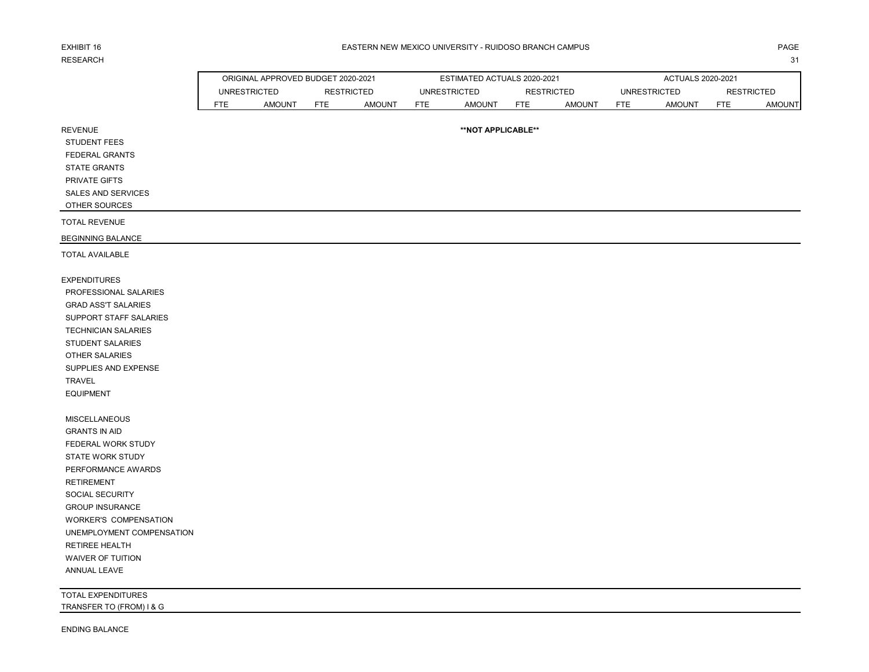# RESEARCH NEIL ANN AN 1999. IS 1999 AN 1999 AN 1999 AN 1999 AN 1999 AN 1999 AN 1999 AN 1999 AN 1999 AN 1999 AN 1

REVENUE

### EXHIBIT 16 PAGE PAGE IN THE SEASTERN NEW MEXICO UNIVERSITY - RUIDOSO BRANCH CAMPUS AND THE SEASTERN ONLY ANGE

|     | ORIGINAL APPROVED BUDGET 2020-2021       |            |        |              | ESTIMATED ACTUALS 2020-2021 |                   |               | ACTUALS 2020-2021   |               |                   |               |  |  |
|-----|------------------------------------------|------------|--------|--------------|-----------------------------|-------------------|---------------|---------------------|---------------|-------------------|---------------|--|--|
|     | <b>UNRESTRICTED</b><br><b>RESTRICTED</b> |            |        | UNRESTRICTED |                             | <b>RESTRICTED</b> |               | <b>UNRESTRICTED</b> |               | <b>RESTRICTED</b> |               |  |  |
| FTE | <b>AMOUNT</b>                            | <b>FTE</b> | AMOUNT | <b>FTE</b>   | <b>AMOUNT</b>               | FTE               | <b>AMOUNT</b> | <b>FTE</b>          | <b>AMOUNT</b> | FTE               | <b>AMOUNT</b> |  |  |

**\*\*NOT APPLICABLE\*\***

| <b>STUDENT FEES</b> |  |
|---------------------|--|
| FEDERAL GRANTS      |  |
| <b>STATE GRANTS</b> |  |
| PRIVATE GIFTS       |  |

 SALES AND SERVICES OTHER SOURCES

TOTAL REVENUE

BEGINNING BALANCE

TOTAL AVAILABLE

EXPENDITURES PROFESSIONAL SALARIES GRAD ASS'T SALARIES SUPPORT STAFF SALARIES TECHNICIAN SALARIES STUDENT SALARIES OTHER SALARIES SUPPLIES AND EXPENSE TRAVEL EQUIPMENT

 MISCELLANEOUS GRANTS IN AID FEDERAL WORK STUDY STATE WORK STUDY PERFORMANCE AWARDS RETIREMENT SOCIAL SECURITY GROUP INSURANCE WORKER'S COMPENSATION UNEMPLOYMENT COMPENSATION RETIREE HEALTH WAIVER OF TUITION ANNUAL LEAVE

TOTAL EXPENDITURES TRANSFER TO (FROM) I & G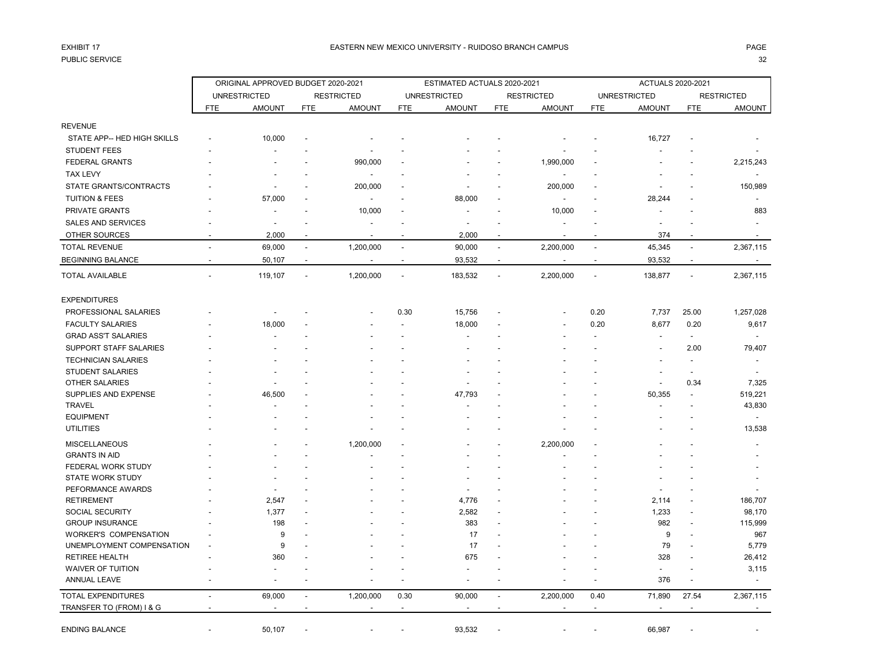## PUBLIC SERVICE 32

|                                        |                          | ORIGINAL APPROVED BUDGET 2020-2021 |                          |                          |                          | ESTIMATED ACTUALS 2020-2021 |                          |                          | ACTUALS 2020-2021        |                          |                          |                          |
|----------------------------------------|--------------------------|------------------------------------|--------------------------|--------------------------|--------------------------|-----------------------------|--------------------------|--------------------------|--------------------------|--------------------------|--------------------------|--------------------------|
|                                        |                          | <b>UNRESTRICTED</b>                |                          | <b>RESTRICTED</b>        |                          | <b>UNRESTRICTED</b>         |                          | <b>RESTRICTED</b>        |                          | <b>UNRESTRICTED</b>      |                          | <b>RESTRICTED</b>        |
|                                        | <b>FTE</b>               | <b>AMOUNT</b>                      | <b>FTE</b>               | <b>AMOUNT</b>            | <b>FTE</b>               | <b>AMOUNT</b>               | <b>FTE</b>               | <b>AMOUNT</b>            | FTE                      | <b>AMOUNT</b>            | <b>FTE</b>               | <b>AMOUNT</b>            |
| <b>REVENUE</b>                         |                          |                                    |                          |                          |                          |                             |                          |                          |                          |                          |                          |                          |
| STATE APP-- HED HIGH SKILLS            |                          | 10,000                             |                          |                          |                          |                             |                          |                          |                          | 16,727                   |                          |                          |
| <b>STUDENT FEES</b>                    |                          |                                    |                          |                          |                          |                             |                          |                          |                          |                          |                          |                          |
| <b>FEDERAL GRANTS</b>                  |                          |                                    |                          | 990,000                  |                          |                             |                          | 1,990,000                |                          |                          |                          | 2,215,243                |
| <b>TAX LEVY</b>                        |                          |                                    |                          |                          |                          |                             |                          |                          |                          |                          |                          |                          |
| STATE GRANTS/CONTRACTS                 |                          |                                    |                          |                          |                          |                             |                          |                          |                          |                          |                          |                          |
|                                        |                          |                                    |                          | 200,000                  |                          |                             |                          | 200,000                  |                          |                          |                          | 150,989                  |
| <b>TUITION &amp; FEES</b>              |                          | 57,000                             |                          | $\overline{\phantom{a}}$ |                          | 88,000                      |                          | $\blacksquare$           |                          | 28,244                   |                          |                          |
| PRIVATE GRANTS                         |                          |                                    |                          | 10,000                   |                          |                             |                          | 10,000                   |                          |                          |                          | 883                      |
| <b>SALES AND SERVICES</b>              |                          | $\overline{a}$                     |                          |                          |                          | $\overline{a}$              |                          |                          |                          |                          |                          |                          |
| OTHER SOURCES                          |                          | 2,000                              |                          |                          |                          | 2,000                       |                          |                          |                          | 374                      |                          |                          |
| <b>TOTAL REVENUE</b>                   | $\overline{a}$           | 69,000                             | $\overline{\phantom{a}}$ | 1,200,000                | $\overline{\phantom{a}}$ | 90,000                      | $\overline{\phantom{a}}$ | 2,200,000                | $\blacksquare$           | 45,345                   | $\overline{\phantom{a}}$ | 2,367,115                |
| <b>BEGINNING BALANCE</b>               | $\overline{\phantom{a}}$ | 50,107                             | $\overline{\phantom{a}}$ |                          | $\overline{\phantom{a}}$ | 93,532                      | $\overline{\phantom{a}}$ | $\overline{\phantom{a}}$ | $\overline{\phantom{a}}$ | 93,532                   | $\overline{\phantom{a}}$ |                          |
| <b>TOTAL AVAILABLE</b>                 |                          | 119,107                            | $\overline{a}$           | 1,200,000                | $\overline{\phantom{a}}$ | 183,532                     | $\overline{\phantom{a}}$ | 2,200,000                | ÷,                       | 138,877                  | $\blacksquare$           | 2,367,115                |
| <b>EXPENDITURES</b>                    |                          |                                    |                          |                          |                          |                             |                          |                          |                          |                          |                          |                          |
| PROFESSIONAL SALARIES                  |                          |                                    |                          |                          | 0.30                     | 15,756                      |                          |                          | 0.20                     | 7,737                    | 25.00                    | 1,257,028                |
| <b>FACULTY SALARIES</b>                |                          | 18,000                             |                          |                          |                          | 18,000                      |                          |                          | 0.20                     | 8,677                    | 0.20                     | 9,617                    |
| <b>GRAD ASS'T SALARIES</b>             |                          |                                    |                          |                          |                          |                             |                          |                          |                          |                          | $\blacksquare$           |                          |
| SUPPORT STAFF SALARIES                 |                          |                                    |                          |                          |                          |                             |                          |                          |                          |                          | 2.00                     | 79,407                   |
| <b>TECHNICIAN SALARIES</b>             |                          |                                    |                          |                          |                          |                             |                          |                          |                          |                          |                          | $\overline{\phantom{a}}$ |
| <b>STUDENT SALARIES</b>                |                          |                                    |                          |                          |                          |                             |                          |                          |                          |                          |                          |                          |
| <b>OTHER SALARIES</b>                  |                          |                                    |                          |                          |                          |                             |                          |                          |                          | $\overline{\phantom{a}}$ | 0.34                     | 7,325                    |
| SUPPLIES AND EXPENSE                   |                          | 46,500                             |                          |                          |                          | 47,793                      |                          |                          |                          | 50,355                   | $\overline{\phantom{a}}$ | 519,221                  |
| <b>TRAVEL</b>                          |                          |                                    |                          |                          |                          |                             |                          |                          |                          |                          |                          | 43,830                   |
| <b>EQUIPMENT</b>                       |                          |                                    |                          |                          |                          |                             |                          |                          |                          |                          |                          | $\overline{\phantom{a}}$ |
| <b>UTILITIES</b>                       |                          |                                    |                          |                          |                          |                             |                          |                          |                          |                          |                          | 13,538                   |
|                                        |                          |                                    |                          |                          |                          |                             |                          |                          |                          |                          |                          |                          |
| <b>MISCELLANEOUS</b>                   |                          |                                    |                          | 1,200,000                |                          |                             |                          | 2,200,000                |                          |                          |                          |                          |
| <b>GRANTS IN AID</b>                   |                          |                                    |                          |                          |                          |                             |                          |                          |                          |                          |                          |                          |
| FEDERAL WORK STUDY                     |                          |                                    |                          |                          |                          |                             |                          |                          |                          |                          |                          |                          |
| <b>STATE WORK STUDY</b>                |                          |                                    |                          |                          |                          |                             |                          |                          |                          |                          |                          |                          |
| PEFORMANCE AWARDS<br><b>RETIREMENT</b> |                          |                                    |                          |                          |                          |                             |                          |                          |                          |                          |                          |                          |
| <b>SOCIAL SECURITY</b>                 |                          | 2,547                              |                          |                          |                          | 4,776                       |                          |                          |                          | 2,114                    |                          | 186,707<br>98,170        |
| <b>GROUP INSURANCE</b>                 |                          | 1,377<br>198                       |                          |                          |                          | 2,582<br>383                |                          |                          |                          | 1,233<br>982             |                          | 115,999                  |
| <b>WORKER'S COMPENSATION</b>           |                          | 9                                  |                          |                          |                          | 17                          |                          |                          |                          | 9                        |                          |                          |
| UNEMPLOYMENT COMPENSATION              |                          | 9                                  |                          |                          |                          | 17                          |                          |                          |                          | 79                       |                          | 967<br>5,779             |
| <b>RETIREE HEALTH</b>                  |                          | 360                                |                          |                          |                          | 675                         |                          |                          |                          | 328                      |                          | 26,412                   |
| <b>WAIVER OF TUITION</b>               |                          |                                    |                          |                          |                          |                             |                          |                          |                          | $\blacksquare$           |                          | 3,115                    |
| ANNUAL LEAVE                           |                          |                                    |                          |                          |                          |                             |                          |                          | ÷                        | 376                      | $\overline{a}$           | $\overline{a}$           |
|                                        |                          |                                    |                          |                          |                          |                             |                          |                          |                          |                          |                          |                          |
| <b>TOTAL EXPENDITURES</b>              |                          | 69,000                             | $\overline{a}$           | 1,200,000                | 0.30                     | 90,000                      | $\blacksquare$           | 2,200,000                | 0.40                     | 71,890                   | 27.54                    | 2,367,115                |
| TRANSFER TO (FROM) I & G               |                          | $\overline{a}$                     |                          |                          | $\overline{a}$           |                             | $\overline{\phantom{a}}$ |                          | $\overline{\phantom{a}}$ | $\overline{a}$           |                          |                          |
| <b>ENDING BALANCE</b>                  |                          | 50,107                             |                          |                          |                          | 93,532                      |                          |                          |                          | 66,987                   |                          |                          |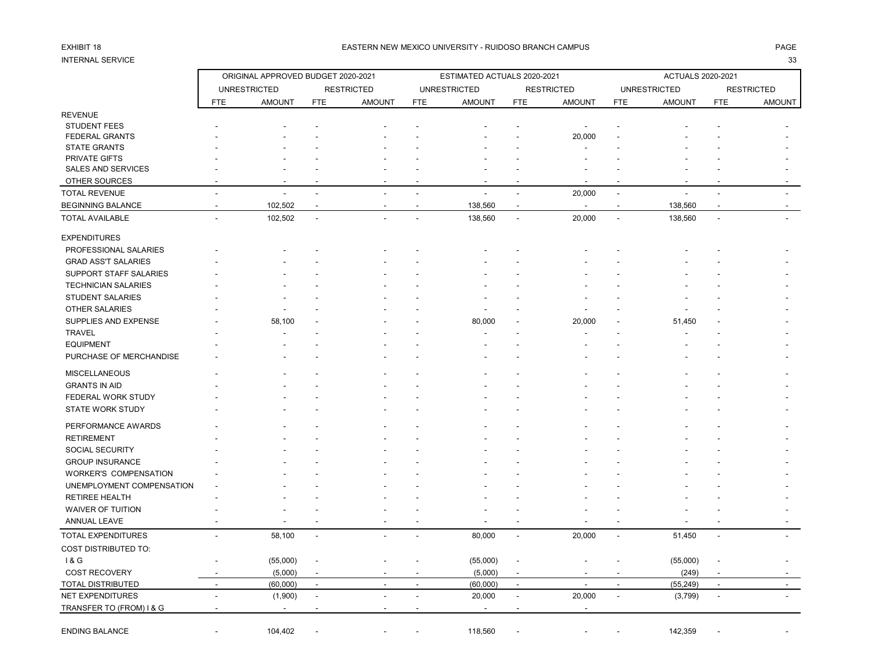# INTERNAL SERVICE 33

### EXHIBIT 18 PAGE PAGE IN THE SEASTERN NEW MEXICO UNIVERSITY - RUIDOSO BRANCH CAMPUS AND THE SEASTERN NEW MEXICO UNIVERSITY - RUIDOSO BRANCH CAMPUS

|                            |                          | ORIGINAL APPROVED BUDGET 2020-2021 |                          |                          | ESTIMATED ACTUALS 2020-2021 |                     |                          |                          |                          | ACTUALS 2020-2021   |                |                          |  |
|----------------------------|--------------------------|------------------------------------|--------------------------|--------------------------|-----------------------------|---------------------|--------------------------|--------------------------|--------------------------|---------------------|----------------|--------------------------|--|
|                            |                          | <b>UNRESTRICTED</b>                |                          | <b>RESTRICTED</b>        |                             | <b>UNRESTRICTED</b> |                          | <b>RESTRICTED</b>        |                          | <b>UNRESTRICTED</b> |                | <b>RESTRICTED</b>        |  |
|                            | <b>FTE</b>               | <b>AMOUNT</b>                      | <b>FTE</b>               | <b>AMOUNT</b>            | <b>FTE</b>                  | <b>AMOUNT</b>       | <b>FTE</b>               | <b>AMOUNT</b>            | <b>FTE</b>               | <b>AMOUNT</b>       | <b>FTE</b>     | <b>AMOUNT</b>            |  |
| <b>REVENUE</b>             |                          |                                    |                          |                          |                             |                     |                          |                          |                          |                     |                |                          |  |
| <b>STUDENT FEES</b>        |                          |                                    |                          |                          |                             |                     |                          |                          |                          |                     |                |                          |  |
| <b>FEDERAL GRANTS</b>      |                          |                                    |                          |                          |                             |                     |                          | 20,000                   |                          |                     |                |                          |  |
| <b>STATE GRANTS</b>        |                          |                                    |                          |                          |                             |                     |                          |                          |                          |                     |                |                          |  |
| PRIVATE GIFTS              |                          |                                    |                          |                          |                             |                     |                          |                          |                          |                     |                |                          |  |
| SALES AND SERVICES         |                          |                                    |                          |                          |                             |                     |                          |                          |                          |                     |                |                          |  |
| OTHER SOURCES              |                          |                                    |                          |                          |                             |                     |                          |                          |                          |                     |                |                          |  |
| <b>TOTAL REVENUE</b>       |                          |                                    |                          |                          |                             |                     | $\overline{a}$           | 20,000                   | $\sim$                   |                     |                |                          |  |
| <b>BEGINNING BALANCE</b>   |                          | 102,502                            |                          |                          | $\overline{a}$              | 138,560             | $\overline{\phantom{a}}$ | $\sim$                   |                          | 138,560             |                |                          |  |
| <b>TOTAL AVAILABLE</b>     | ÷.                       | 102,502                            | $\overline{a}$           |                          |                             | 138,560             | $\overline{a}$           | 20,000                   | $\overline{\phantom{a}}$ | 138,560             | $\overline{a}$ |                          |  |
| <b>EXPENDITURES</b>        |                          |                                    |                          |                          |                             |                     |                          |                          |                          |                     |                |                          |  |
| PROFESSIONAL SALARIES      |                          |                                    |                          |                          |                             |                     |                          |                          |                          |                     |                |                          |  |
| <b>GRAD ASS'T SALARIES</b> |                          |                                    |                          |                          |                             |                     |                          |                          |                          |                     |                |                          |  |
| SUPPORT STAFF SALARIES     |                          |                                    |                          |                          |                             |                     |                          |                          |                          |                     |                |                          |  |
| <b>TECHNICIAN SALARIES</b> |                          |                                    |                          |                          |                             |                     |                          |                          |                          |                     |                |                          |  |
| <b>STUDENT SALARIES</b>    |                          |                                    |                          |                          |                             |                     |                          |                          |                          |                     |                |                          |  |
| OTHER SALARIES             |                          |                                    |                          |                          |                             |                     |                          |                          |                          |                     |                |                          |  |
| SUPPLIES AND EXPENSE       |                          | 58,100                             |                          |                          |                             | 80,000              |                          | 20,000                   |                          | 51,450              |                |                          |  |
| <b>TRAVEL</b>              |                          |                                    |                          |                          |                             |                     |                          |                          |                          |                     |                |                          |  |
| <b>EQUIPMENT</b>           |                          |                                    |                          |                          |                             |                     |                          |                          |                          |                     |                |                          |  |
| PURCHASE OF MERCHANDISE    |                          |                                    |                          |                          |                             |                     |                          |                          |                          |                     |                |                          |  |
| MISCELLANEOUS              |                          |                                    |                          |                          |                             |                     |                          |                          |                          |                     |                |                          |  |
| <b>GRANTS IN AID</b>       |                          |                                    |                          |                          |                             |                     |                          |                          |                          |                     |                |                          |  |
| FEDERAL WORK STUDY         |                          |                                    |                          |                          |                             |                     |                          |                          |                          |                     |                |                          |  |
|                            |                          |                                    |                          |                          |                             |                     |                          |                          |                          |                     |                |                          |  |
| <b>STATE WORK STUDY</b>    |                          |                                    |                          |                          |                             |                     |                          |                          |                          |                     |                |                          |  |
| PERFORMANCE AWARDS         |                          |                                    |                          |                          |                             |                     |                          |                          |                          |                     |                |                          |  |
| <b>RETIREMENT</b>          |                          |                                    |                          |                          |                             |                     |                          |                          |                          |                     |                |                          |  |
| SOCIAL SECURITY            |                          |                                    |                          |                          |                             |                     |                          |                          |                          |                     |                |                          |  |
| <b>GROUP INSURANCE</b>     |                          |                                    |                          |                          |                             |                     |                          |                          |                          |                     |                |                          |  |
| WORKER'S COMPENSATION      |                          |                                    |                          |                          |                             |                     |                          |                          |                          |                     |                |                          |  |
| UNEMPLOYMENT COMPENSATION  |                          |                                    |                          |                          |                             |                     |                          |                          |                          |                     |                |                          |  |
| <b>RETIREE HEALTH</b>      |                          |                                    |                          |                          |                             |                     |                          |                          |                          |                     |                |                          |  |
| WAIVER OF TUITION          |                          |                                    |                          |                          |                             |                     |                          |                          |                          |                     |                |                          |  |
| <b>ANNUAL LEAVE</b>        |                          |                                    |                          |                          |                             |                     |                          |                          |                          |                     |                |                          |  |
| <b>TOTAL EXPENDITURES</b>  | $\overline{a}$           | 58,100                             | $\blacksquare$           | $\overline{\phantom{a}}$ | $\blacksquare$              | 80,000              | $\blacksquare$           | 20,000                   | $\blacksquare$           | 51,450              | $\mathbf{r}$   |                          |  |
| COST DISTRIBUTED TO:       |                          |                                    |                          |                          |                             |                     |                          |                          |                          |                     |                |                          |  |
| 1 & G                      |                          | (55,000)                           |                          |                          |                             | (55,000)            |                          |                          |                          | (55,000)            |                |                          |  |
| <b>COST RECOVERY</b>       |                          | (5,000)                            | $\overline{\phantom{a}}$ |                          |                             | (5,000)             | $\overline{\phantom{a}}$ |                          |                          | (249)               |                |                          |  |
| <b>TOTAL DISTRIBUTED</b>   | $\overline{\phantom{a}}$ | (60,000)                           | $\sim$                   | $\overline{a}$           | $\sim$                      | (60,000)            | $\overline{\phantom{a}}$ | $\overline{\phantom{a}}$ | $\overline{a}$           | (55, 249)           | $\blacksquare$ | $\overline{\phantom{a}}$ |  |
| <b>NET EXPENDITURES</b>    | $\overline{a}$           | (1,900)                            | $\overline{a}$           | Ĭ.                       | $\overline{\phantom{a}}$    | 20,000              | $\overline{\phantom{a}}$ | 20,000                   | $\overline{\phantom{a}}$ | (3,799)             | $\blacksquare$ |                          |  |
| TRANSFER TO (FROM) I & G   |                          |                                    |                          |                          |                             |                     |                          |                          |                          |                     |                |                          |  |
|                            |                          |                                    |                          |                          |                             |                     |                          |                          |                          |                     |                |                          |  |
| <b>ENDING BALANCE</b>      |                          | 104,402                            |                          |                          |                             | 118,560             |                          |                          |                          | 142,359             |                |                          |  |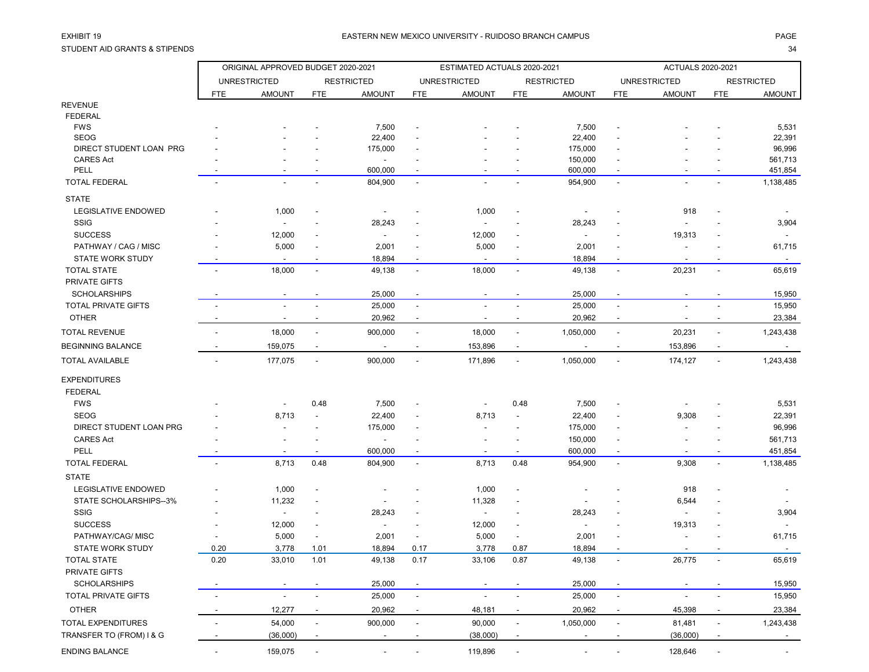STUDENT AID GRANTS & STIPENDS 34

|                            | ORIGINAL APPROVED BUDGET 2020-2021 |                          |                          |                                     |                          | ESTIMATED ACTUALS 2020-2021 |                          |                                    | <b>ACTUALS 2020-2021</b>                             |                     |                          |                    |
|----------------------------|------------------------------------|--------------------------|--------------------------|-------------------------------------|--------------------------|-----------------------------|--------------------------|------------------------------------|------------------------------------------------------|---------------------|--------------------------|--------------------|
|                            |                                    | <b>UNRESTRICTED</b>      |                          | <b>RESTRICTED</b>                   |                          | <b>UNRESTRICTED</b>         |                          | <b>RESTRICTED</b>                  |                                                      | <b>UNRESTRICTED</b> |                          | <b>RESTRICTED</b>  |
|                            | <b>FTE</b>                         | <b>AMOUNT</b>            | <b>FTE</b>               | <b>AMOUNT</b>                       | <b>FTE</b>               | <b>AMOUNT</b>               | <b>FTE</b>               | <b>AMOUNT</b>                      | <b>FTE</b>                                           | <b>AMOUNT</b>       | <b>FTE</b>               | <b>AMOUNT</b>      |
| <b>REVENUE</b>             |                                    |                          |                          |                                     |                          |                             |                          |                                    |                                                      |                     |                          |                    |
| <b>FEDERAL</b>             |                                    |                          |                          |                                     |                          |                             |                          |                                    |                                                      |                     |                          |                    |
| <b>FWS</b>                 |                                    |                          |                          | 7,500                               |                          |                             |                          | 7,500                              |                                                      |                     |                          | 5,531              |
| <b>SEOG</b>                |                                    |                          |                          | 22,400                              |                          |                             |                          | 22,400                             |                                                      |                     |                          | 22,391             |
| DIRECT STUDENT LOAN PRG    |                                    |                          |                          | 175,000                             |                          |                             |                          | 175,000                            |                                                      |                     |                          | 96,996             |
| <b>CARES Act</b><br>PELL   |                                    |                          |                          | $\overline{\phantom{a}}$<br>600,000 |                          |                             |                          | 150,000<br>600,000                 |                                                      |                     |                          | 561,713<br>451,854 |
| <b>TOTAL FEDERAL</b>       |                                    |                          |                          | 804,900                             | $\overline{\phantom{a}}$ |                             |                          | 954,900                            | $\overline{\phantom{a}}$<br>$\overline{\phantom{a}}$ |                     |                          | 1,138,485          |
| <b>STATE</b>               |                                    |                          |                          |                                     |                          |                             |                          |                                    |                                                      |                     |                          |                    |
| <b>LEGISLATIVE ENDOWED</b> |                                    | 1,000                    |                          |                                     |                          | 1,000                       |                          |                                    |                                                      | 918                 |                          |                    |
| <b>SSIG</b>                |                                    |                          |                          | 28,243                              |                          |                             |                          |                                    |                                                      |                     |                          | 3,904              |
| <b>SUCCESS</b>             |                                    | 12,000                   |                          |                                     |                          | 12,000                      |                          | 28,243<br>$\overline{\phantom{a}}$ |                                                      | 19,313              |                          |                    |
| PATHWAY / CAG / MISC       |                                    | 5,000                    |                          | 2,001                               |                          | 5,000                       |                          | 2,001                              |                                                      |                     |                          | 61,715             |
| <b>STATE WORK STUDY</b>    |                                    |                          |                          | 18,894                              |                          |                             |                          | 18,894                             |                                                      |                     |                          |                    |
| <b>TOTAL STATE</b>         |                                    | 18,000                   | $\blacksquare$           | 49,138                              | $\blacksquare$           | 18,000                      | $\blacksquare$           | 49,138                             | $\overline{\phantom{a}}$                             | 20,231              |                          | 65,619             |
| PRIVATE GIFTS              |                                    |                          |                          |                                     |                          |                             |                          |                                    |                                                      |                     |                          |                    |
| <b>SCHOLARSHIPS</b>        |                                    |                          |                          | 25,000                              |                          |                             |                          | 25,000                             |                                                      |                     |                          | 15,950             |
| TOTAL PRIVATE GIFTS        |                                    |                          |                          | 25,000                              |                          |                             |                          | 25,000                             | $\overline{\phantom{a}}$                             |                     |                          | 15,950             |
| <b>OTHER</b>               |                                    |                          |                          | 20,962                              |                          |                             | $\overline{\phantom{a}}$ | 20,962                             | $\overline{\phantom{a}}$                             |                     |                          | 23,384             |
| <b>TOTAL REVENUE</b>       |                                    | 18,000                   | $\overline{\phantom{a}}$ | 900,000                             | $\overline{\phantom{a}}$ | 18,000                      | $\blacksquare$           | 1,050,000                          | $\overline{\phantom{a}}$                             | 20,231              |                          | 1,243,438          |
| <b>BEGINNING BALANCE</b>   |                                    | 159,075                  |                          |                                     |                          | 153,896                     | $\overline{\phantom{a}}$ |                                    |                                                      | 153,896             |                          |                    |
| <b>TOTAL AVAILABLE</b>     |                                    | 177,075                  | $\blacksquare$           | 900,000                             |                          | 171,896                     | $\overline{\phantom{a}}$ | 1,050,000                          | $\overline{\phantom{a}}$                             | 174,127             |                          | 1,243,438          |
|                            |                                    |                          |                          |                                     |                          |                             |                          |                                    |                                                      |                     |                          |                    |
| <b>EXPENDITURES</b>        |                                    |                          |                          |                                     |                          |                             |                          |                                    |                                                      |                     |                          |                    |
| <b>FEDERAL</b>             |                                    |                          |                          |                                     |                          |                             |                          |                                    |                                                      |                     |                          |                    |
| <b>FWS</b>                 |                                    |                          | 0.48                     | 7,500                               |                          |                             | 0.48                     | 7,500                              |                                                      |                     |                          | 5,531              |
| <b>SEOG</b>                |                                    | 8,713                    | $\overline{\phantom{a}}$ | 22,400                              |                          | 8,713                       | $\blacksquare$           | 22,400                             | $\overline{\phantom{a}}$                             | 9,308               |                          | 22,391             |
| DIRECT STUDENT LOAN PRG    |                                    |                          |                          | 175,000                             |                          |                             |                          | 175,000                            |                                                      |                     |                          | 96,996             |
| <b>CARES Act</b>           |                                    | $\blacksquare$           |                          |                                     |                          |                             |                          | 150,000                            | $\overline{\phantom{a}}$                             |                     |                          | 561,713            |
| PELL                       |                                    |                          |                          | 600,000                             |                          |                             |                          | 600,000                            |                                                      |                     |                          | 451,854            |
| <b>TOTAL FEDERAL</b>       |                                    | 8,713                    | 0.48                     | 804,900                             |                          | 8,713                       | 0.48                     | 954,900                            | $\overline{a}$                                       | 9,308               |                          | 1,138,485          |
| <b>STATE</b>               |                                    |                          |                          |                                     |                          |                             |                          |                                    |                                                      |                     |                          |                    |
| <b>LEGISLATIVE ENDOWED</b> |                                    | 1,000                    |                          |                                     |                          | 1,000                       | $\overline{\phantom{a}}$ |                                    |                                                      | 918                 |                          |                    |
| STATE SCHOLARSHIPS--3%     |                                    | 11,232                   |                          |                                     |                          | 11,328                      | $\blacksquare$           |                                    |                                                      | 6,544               |                          |                    |
| <b>SSIG</b>                |                                    | $\overline{\phantom{a}}$ |                          | 28,243                              |                          | $\overline{\phantom{a}}$    |                          | 28,243                             |                                                      |                     |                          | 3,904              |
| <b>SUCCESS</b>             |                                    | 12,000                   |                          |                                     |                          | 12,000                      | $\overline{\phantom{a}}$ | $\overline{\phantom{a}}$           |                                                      | 19,313              |                          |                    |
| PATHWAY/CAG/ MISC          |                                    | 5,000                    |                          | 2,001                               |                          | 5,000                       | $\blacksquare$           | 2,001                              |                                                      |                     |                          | 61,715             |
| <b>STATE WORK STUDY</b>    | 0.20                               | 3,778                    | 1.01                     | 18,894                              | 0.17                     | 3,778                       | 0.87                     | 18,894                             |                                                      |                     |                          |                    |
| <b>TOTAL STATE</b>         | 0.20                               | 33,010                   | 1.01                     | 49,138                              | 0.17                     | 33,106                      | 0.87                     | 49,138                             | $\overline{\phantom{a}}$                             | 26,775              | $\overline{\phantom{a}}$ | 65,619             |
| PRIVATE GIFTS              |                                    |                          |                          |                                     |                          |                             |                          |                                    |                                                      |                     |                          |                    |
| <b>SCHOLARSHIPS</b>        |                                    | $\overline{\phantom{a}}$ |                          | 25,000                              |                          |                             |                          | 25,000                             |                                                      |                     |                          | 15,950             |
| TOTAL PRIVATE GIFTS        |                                    | $\overline{\phantom{a}}$ | $\blacksquare$           | 25,000                              | $\overline{\phantom{a}}$ | L,                          |                          | 25,000                             | $\overline{\phantom{a}}$                             |                     |                          | 15,950             |
| <b>OTHER</b>               |                                    | 12,277                   | $\overline{\phantom{a}}$ | 20,962                              | $\overline{\phantom{a}}$ | 48,181                      |                          | 20,962                             | $\overline{\phantom{a}}$                             | 45,398              |                          | 23,384             |
| TOTAL EXPENDITURES         | $\overline{\phantom{a}}$           | 54,000                   | $\overline{\phantom{a}}$ | 900,000                             | $\overline{\phantom{a}}$ | 90,000                      | $\overline{\phantom{a}}$ | 1,050,000                          | $\overline{\phantom{a}}$                             | 81,481              | $\overline{\phantom{a}}$ | 1,243,438          |
| TRANSFER TO (FROM) I & G   |                                    | (36,000)                 |                          |                                     |                          | (38,000)                    | $\blacksquare$           | $\blacksquare$                     |                                                      | (36,000)            |                          | $\sim$             |
| <b>ENDING BALANCE</b>      | $\overline{\phantom{a}}$           | 159,075                  | $\overline{\phantom{a}}$ | $\overline{\phantom{a}}$            |                          | 119,896                     | $\overline{\phantom{a}}$ |                                    | $\overline{\phantom{a}}$                             | 128,646             | $\overline{\phantom{a}}$ |                    |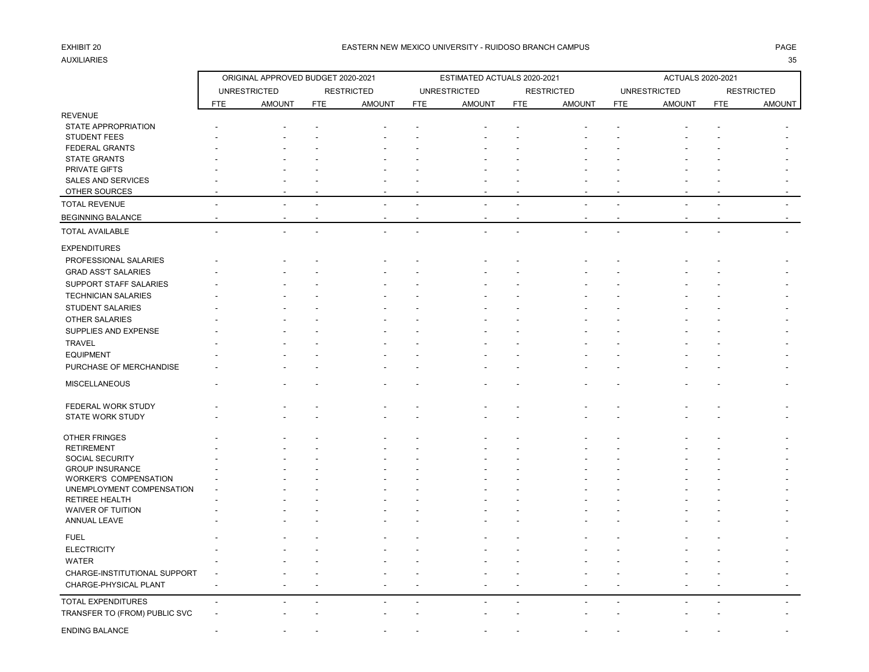# AUXILIARIES 35

### EXHIBIT 20 PAGE PAGE IN THE SERVICE OF THE SERVICE OF THE SERVICE OF THE SERVICE OF THE SERVICE OF THE SERVICE OF THE SERVICE OF THE SERVICE OF THE SERVICE OF THE SERVICE OF THE SERVICE OF THE SERVICE OF THE SERVICE OF THE

|                                                    | ORIGINAL APPROVED BUDGET 2020-2021 |                     |            |                   |            | ESTIMATED ACTUALS 2020-2021 |            | ACTUALS 2020-2021 |            |                     |            |                   |
|----------------------------------------------------|------------------------------------|---------------------|------------|-------------------|------------|-----------------------------|------------|-------------------|------------|---------------------|------------|-------------------|
|                                                    |                                    | <b>UNRESTRICTED</b> |            | <b>RESTRICTED</b> |            | <b>UNRESTRICTED</b>         |            | <b>RESTRICTED</b> |            | <b>UNRESTRICTED</b> |            | <b>RESTRICTED</b> |
|                                                    | <b>FTE</b>                         | <b>AMOUNT</b>       | <b>FTE</b> | <b>AMOUNT</b>     | <b>FTE</b> | <b>AMOUNT</b>               | <b>FTE</b> | <b>AMOUNT</b>     | <b>FTE</b> | <b>AMOUNT</b>       | <b>FTE</b> | AMOUNT            |
| <b>REVENUE</b>                                     |                                    |                     |            |                   |            |                             |            |                   |            |                     |            |                   |
| STATE APPROPRIATION                                |                                    |                     |            |                   |            |                             |            |                   |            |                     |            |                   |
| <b>STUDENT FEES</b>                                |                                    |                     |            |                   |            |                             |            |                   |            |                     |            |                   |
| <b>FEDERAL GRANTS</b>                              |                                    |                     |            |                   |            |                             |            |                   |            |                     |            |                   |
| <b>STATE GRANTS</b>                                |                                    |                     |            |                   |            |                             |            |                   |            |                     |            |                   |
| PRIVATE GIFTS                                      |                                    |                     |            |                   |            |                             |            |                   |            |                     |            |                   |
| SALES AND SERVICES                                 |                                    |                     |            |                   |            |                             |            |                   |            |                     |            |                   |
| OTHER SOURCES                                      |                                    |                     |            |                   |            |                             |            |                   |            |                     |            |                   |
| <b>TOTAL REVENUE</b>                               |                                    |                     |            |                   |            |                             |            |                   |            |                     |            |                   |
| <b>BEGINNING BALANCE</b>                           |                                    |                     |            |                   |            |                             |            |                   |            |                     |            |                   |
| <b>TOTAL AVAILABLE</b>                             |                                    |                     |            |                   |            |                             |            |                   |            |                     |            |                   |
| <b>EXPENDITURES</b>                                |                                    |                     |            |                   |            |                             |            |                   |            |                     |            |                   |
| PROFESSIONAL SALARIES                              |                                    |                     |            |                   |            |                             |            |                   |            |                     |            |                   |
| <b>GRAD ASS'T SALARIES</b>                         |                                    |                     |            |                   |            |                             |            |                   |            |                     |            |                   |
| SUPPORT STAFF SALARIES                             |                                    |                     |            |                   |            |                             |            |                   |            |                     |            |                   |
| <b>TECHNICIAN SALARIES</b>                         |                                    |                     |            |                   |            |                             |            |                   |            |                     |            |                   |
| <b>STUDENT SALARIES</b>                            |                                    |                     |            |                   |            |                             |            |                   |            |                     |            |                   |
| OTHER SALARIES                                     |                                    |                     |            |                   |            |                             |            |                   |            |                     |            |                   |
| SUPPLIES AND EXPENSE                               |                                    |                     |            |                   |            |                             |            |                   |            |                     |            |                   |
| <b>TRAVEL</b>                                      |                                    |                     |            |                   |            |                             |            |                   |            |                     |            |                   |
| <b>EQUIPMENT</b>                                   |                                    |                     |            |                   |            |                             |            |                   |            |                     |            |                   |
| PURCHASE OF MERCHANDISE                            |                                    |                     |            |                   |            |                             |            |                   |            |                     |            |                   |
| <b>MISCELLANEOUS</b>                               |                                    |                     |            |                   |            |                             |            |                   |            |                     |            |                   |
|                                                    |                                    |                     |            |                   |            |                             |            |                   |            |                     |            |                   |
| FEDERAL WORK STUDY<br>STATE WORK STUDY             |                                    |                     |            |                   |            |                             |            |                   |            |                     |            |                   |
|                                                    |                                    |                     |            |                   |            |                             |            |                   |            |                     |            |                   |
| OTHER FRINGES                                      |                                    |                     |            |                   |            |                             |            |                   |            |                     |            |                   |
| <b>RETIREMENT</b>                                  |                                    |                     |            |                   |            |                             |            |                   |            |                     |            |                   |
| SOCIAL SECURITY                                    |                                    |                     |            |                   |            |                             |            |                   |            |                     |            |                   |
| <b>GROUP INSURANCE</b>                             |                                    |                     |            |                   |            |                             |            |                   |            |                     |            |                   |
| WORKER'S COMPENSATION                              |                                    |                     |            |                   |            |                             |            |                   |            |                     |            |                   |
| UNEMPLOYMENT COMPENSATION<br><b>RETIREE HEALTH</b> |                                    |                     |            |                   |            |                             |            |                   |            |                     |            |                   |
| WAIVER OF TUITION                                  |                                    |                     |            |                   |            |                             |            |                   |            |                     |            |                   |
| ANNUAL LEAVE                                       |                                    |                     |            |                   |            |                             |            |                   |            |                     |            |                   |
|                                                    |                                    |                     |            |                   |            |                             |            |                   |            |                     |            |                   |
| <b>FUEL</b>                                        |                                    |                     |            |                   |            |                             |            |                   |            |                     |            |                   |
| <b>ELECTRICITY</b>                                 |                                    |                     |            |                   |            |                             |            |                   |            |                     |            |                   |
| WATER                                              |                                    |                     |            |                   |            |                             |            |                   |            |                     |            |                   |
| CHARGE-INSTITUTIONAL SUPPORT                       |                                    |                     |            |                   |            |                             |            |                   |            |                     |            |                   |
| CHARGE-PHYSICAL PLANT                              |                                    |                     |            |                   |            |                             |            |                   |            |                     |            |                   |
| <b>TOTAL EXPENDITURES</b>                          | $\overline{\phantom{a}}$           |                     |            |                   |            |                             |            |                   |            |                     |            |                   |
| TRANSFER TO (FROM) PUBLIC SVC                      |                                    |                     |            |                   |            |                             |            |                   |            |                     |            |                   |
| <b>ENDING BALANCE</b>                              |                                    |                     |            |                   |            |                             |            |                   |            |                     |            |                   |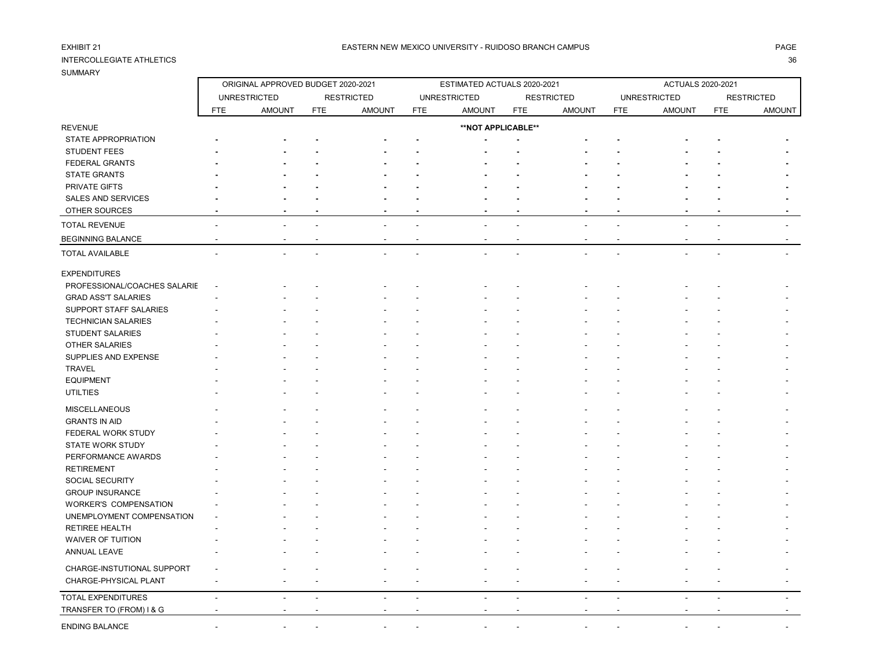## INTERCOLLEGIATE ATHLETICS 36

SUMMARY

REVENUE

ORIGINAL APPROVED BUDGET 2020-2021 ESTIMATED ACTUALS 2020-2021 ACTUALS 2020-2021

UNRESTRICTED RESTRICTED UNRESTRICTED RESTRICTED UNRESTRICTED RESTRICTED FTE AMOUNT FTE AMOUNT FTE AMOUNT FTE AMOUNT FTE AMOUNT FTE AMOUNT

**\*\*NOT APPLICABLE\*\***

# STATE APPROPRIATION **- - - - - - - - - - - -** STUDENT FEES **- - - - - - - - - - - -** FEDERAL GRANTS **- - - - - - - - - - - -** STATE GRANTS **- - - - - - - - - - - -** PRIVATE GIFTS **- - - - - - - - - - - -** SALES AND SERVICES OTHER SOURCES **- - - - - - - - - - - -** TOTAL REVENUE - - - - - - - - - - - - EXPENDITURES PROFESSIONAL/COACHES SALARIE -SUPPORT STAFF SALARIES TECHNICIAN SALARIES FEDERAL WORK STUDY PERFORMANCE AWARDS WORKER'S COMPENSATION UNEMPLOYMENT COMPENSATION -

BEGINNING BALANCE - - - - - - - - - - - - TOTAL AVAILABLE - - - - - - - - - - - - GRAD ASS'T SALARIES - - - - - - - - - - - - STUDENT SALARIES - - - - - - - - - - - - OTHER SALARIES - - - - - - - - - - - - SUPPLIES AND EXPENSE A state of the state of the state of the state of the state of the state of the state of the state of the state of the state of the state of the state of the state of the state of the state of the stat TRAVEL - - - - - - - - - - - equipment the set of the set of the set of the set of the set of the set of the set of the set of the set of the set of the set of the set of the set of the set of the set of the set of the set of the set of the set of the UTILTIES - - - - - - - - - - - - MISCELLANEOUS - - - - - - - - - - - - GRANTS IN AID - - - - - - - - - - - - STATE WORK STUDY - - - - - - - - - - - - RETIREMENT - - - - - - - - - - - - SOCIAL SECURITY And the second contract of the second contract of the second contract of the second contract of GROUP INSURANCE - - - - - - - - - - - - RETIREE HEALTH - - - - - - - - - - - - WAIVER OF TUITION - - - - - - - - - - - - ANNUAL LEAVE - - - - - - - - - - - - CHARGE-INSTUTIONAL SUPPORT - - - - - - - - - - - - CHARGE-PHYSICAL PLANT - - - - - - - - - - - - TOTAL EXPENDITURES - - - - - - - - - - - - TRANSFER TO (FROM) I & G - - - - - - - - - - - - ENDING BALANCE - - - - - - - - - - - -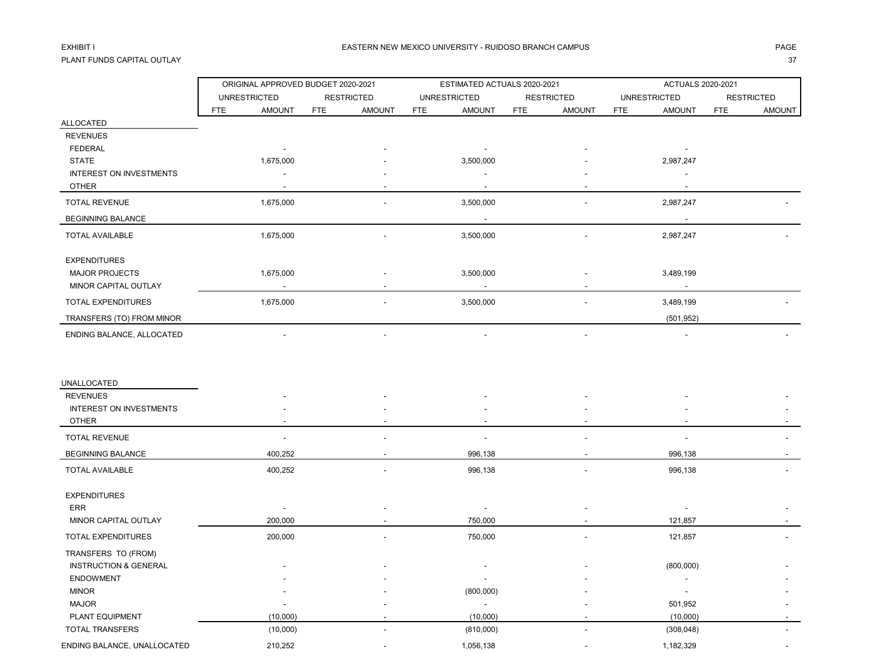## PLANT FUNDS CAPITAL OUTLAY 37

|                                  | ORIGINAL APPROVED BUDGET 2020-2021 |                             | ESTIMATED ACTUALS 2020-2021 |                      | ACTUALS 2020-2021           |                          |  |  |
|----------------------------------|------------------------------------|-----------------------------|-----------------------------|----------------------|-----------------------------|--------------------------|--|--|
|                                  | <b>UNRESTRICTED</b>                | <b>RESTRICTED</b>           | <b>UNRESTRICTED</b>         | <b>RESTRICTED</b>    | <b>UNRESTRICTED</b>         | <b>RESTRICTED</b>        |  |  |
|                                  | <b>AMOUNT</b><br><b>FTE</b>        | <b>AMOUNT</b><br><b>FTE</b> | <b>AMOUNT</b><br><b>FTE</b> | <b>AMOUNT</b><br>FTE | <b>AMOUNT</b><br><b>FTE</b> | <b>FTE</b><br>AMOUNT     |  |  |
| ALLOCATED                        |                                    |                             |                             |                      |                             |                          |  |  |
| <b>REVENUES</b>                  |                                    |                             |                             |                      |                             |                          |  |  |
| <b>FEDERAL</b>                   | $\overline{\phantom{a}}$           |                             | $\overline{\phantom{a}}$    |                      | $\overline{\phantom{a}}$    |                          |  |  |
| <b>STATE</b>                     | 1,675,000                          |                             | 3,500,000                   |                      | 2,987,247                   |                          |  |  |
| INTEREST ON INVESTMENTS          |                                    |                             |                             |                      |                             |                          |  |  |
| <b>OTHER</b>                     |                                    |                             |                             |                      |                             |                          |  |  |
| <b>TOTAL REVENUE</b>             | 1,675,000                          |                             | 3,500,000                   |                      | 2,987,247                   |                          |  |  |
| <b>BEGINNING BALANCE</b>         |                                    |                             |                             |                      | $\overline{\phantom{a}}$    |                          |  |  |
| <b>TOTAL AVAILABLE</b>           | 1,675,000                          |                             | 3,500,000                   |                      | 2,987,247                   |                          |  |  |
| <b>EXPENDITURES</b>              |                                    |                             |                             |                      |                             |                          |  |  |
| <b>MAJOR PROJECTS</b>            | 1,675,000                          |                             | 3,500,000                   |                      | 3,489,199                   |                          |  |  |
| MINOR CAPITAL OUTLAY             |                                    |                             |                             |                      |                             |                          |  |  |
| TOTAL EXPENDITURES               | 1,675,000                          |                             | 3,500,000                   |                      | 3,489,199                   |                          |  |  |
| TRANSFERS (TO) FROM MINOR        |                                    |                             |                             |                      | (501, 952)                  |                          |  |  |
| ENDING BALANCE, ALLOCATED        |                                    |                             |                             |                      |                             |                          |  |  |
|                                  |                                    |                             |                             |                      |                             |                          |  |  |
| UNALLOCATED                      |                                    |                             |                             |                      |                             |                          |  |  |
| <b>REVENUES</b>                  |                                    |                             |                             |                      |                             |                          |  |  |
| INTEREST ON INVESTMENTS          |                                    |                             |                             |                      |                             |                          |  |  |
| <b>OTHER</b>                     |                                    |                             |                             |                      |                             |                          |  |  |
| <b>TOTAL REVENUE</b>             |                                    |                             |                             |                      |                             |                          |  |  |
| <b>BEGINNING BALANCE</b>         | 400,252                            |                             | 996,138                     |                      | 996,138                     |                          |  |  |
| <b>TOTAL AVAILABLE</b>           | 400,252                            |                             | 996,138                     |                      | 996,138                     |                          |  |  |
| <b>EXPENDITURES</b>              |                                    |                             |                             |                      |                             |                          |  |  |
| ERR                              | $\overline{\phantom{a}}$           |                             |                             |                      |                             |                          |  |  |
| MINOR CAPITAL OUTLAY             | 200,000                            |                             | 750,000                     |                      | 121,857                     |                          |  |  |
| TOTAL EXPENDITURES               | 200,000                            |                             | 750,000                     |                      | 121,857                     |                          |  |  |
| TRANSFERS TO (FROM)              |                                    |                             |                             |                      |                             |                          |  |  |
| <b>INSTRUCTION &amp; GENERAL</b> |                                    |                             |                             |                      | (800,000)                   |                          |  |  |
| <b>ENDOWMENT</b>                 |                                    |                             | $\overline{\phantom{a}}$    |                      |                             |                          |  |  |
| <b>MINOR</b>                     |                                    |                             | (800,000)                   |                      |                             |                          |  |  |
| <b>MAJOR</b>                     |                                    |                             | $\mathcal{L}_{\mathcal{A}}$ |                      | 501,952                     |                          |  |  |
| PLANT EQUIPMENT                  | (10,000)                           |                             | (10,000)                    |                      | (10,000)                    | $\overline{\phantom{a}}$ |  |  |
| TOTAL TRANSFERS                  | (10,000)                           |                             | (810,000)                   |                      | (308, 048)                  | $\overline{\phantom{a}}$ |  |  |
| ENDING BALANCE, UNALLOCATED      | 210,252                            |                             | 1,056,138                   |                      | 1,182,329                   |                          |  |  |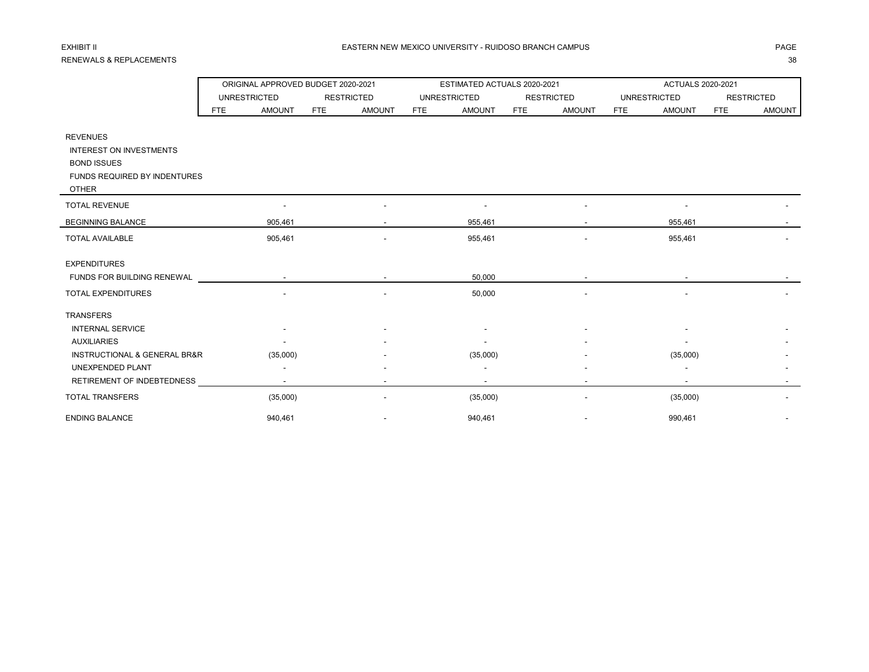## RENEWALS & REPLACEMENTS 38

|                                             |     | ORIGINAL APPROVED BUDGET 2020-2021 |            |                   |     | ESTIMATED ACTUALS 2020-2021 |     |                   | ACTUALS 2020-2021 |                          |            |                   |
|---------------------------------------------|-----|------------------------------------|------------|-------------------|-----|-----------------------------|-----|-------------------|-------------------|--------------------------|------------|-------------------|
|                                             |     | <b>UNRESTRICTED</b>                |            | <b>RESTRICTED</b> |     | <b>UNRESTRICTED</b>         |     | <b>RESTRICTED</b> |                   | <b>UNRESTRICTED</b>      |            | <b>RESTRICTED</b> |
|                                             | FTE | <b>AMOUNT</b>                      | <b>FTE</b> | <b>AMOUNT</b>     | FTE | <b>AMOUNT</b>               | FTE | <b>AMOUNT</b>     | <b>FTE</b>        | <b>AMOUNT</b>            | <b>FTE</b> | <b>AMOUNT</b>     |
|                                             |     |                                    |            |                   |     |                             |     |                   |                   |                          |            |                   |
| <b>REVENUES</b>                             |     |                                    |            |                   |     |                             |     |                   |                   |                          |            |                   |
| <b>INTEREST ON INVESTMENTS</b>              |     |                                    |            |                   |     |                             |     |                   |                   |                          |            |                   |
| <b>BOND ISSUES</b>                          |     |                                    |            |                   |     |                             |     |                   |                   |                          |            |                   |
| FUNDS REQUIRED BY INDENTURES                |     |                                    |            |                   |     |                             |     |                   |                   |                          |            |                   |
| <b>OTHER</b>                                |     |                                    |            |                   |     |                             |     |                   |                   |                          |            |                   |
| <b>TOTAL REVENUE</b>                        |     |                                    |            |                   |     |                             |     |                   |                   |                          |            |                   |
| <b>BEGINNING BALANCE</b>                    |     | 905,461                            |            |                   |     | 955,461                     |     |                   |                   | 955,461                  |            |                   |
| <b>TOTAL AVAILABLE</b>                      |     | 905,461                            |            |                   |     | 955,461                     |     |                   |                   | 955,461                  |            |                   |
| <b>EXPENDITURES</b>                         |     |                                    |            |                   |     |                             |     |                   |                   |                          |            |                   |
| FUNDS FOR BUILDING RENEWAL                  |     | $\sim$                             |            |                   |     | 50,000                      |     |                   |                   | $\overline{\phantom{a}}$ |            |                   |
| TOTAL EXPENDITURES                          |     |                                    |            |                   |     | 50,000                      |     |                   |                   |                          |            |                   |
| <b>TRANSFERS</b>                            |     |                                    |            |                   |     |                             |     |                   |                   |                          |            |                   |
| <b>INTERNAL SERVICE</b>                     |     |                                    |            |                   |     |                             |     |                   |                   |                          |            |                   |
| <b>AUXILIARIES</b>                          |     |                                    |            |                   |     |                             |     |                   |                   |                          |            |                   |
| <b>INSTRUCTIONAL &amp; GENERAL BR&amp;R</b> |     | (35,000)                           |            |                   |     | (35,000)                    |     |                   |                   | (35,000)                 |            |                   |
| UNEXPENDED PLANT                            |     |                                    |            |                   |     |                             |     |                   |                   |                          |            |                   |
| RETIREMENT OF INDEBTEDNESS                  |     |                                    |            |                   |     | $\overline{\phantom{a}}$    |     |                   |                   | $\overline{a}$           |            |                   |
| <b>TOTAL TRANSFERS</b>                      |     | (35,000)                           |            |                   |     | (35,000)                    |     |                   |                   | (35,000)                 |            |                   |
| <b>ENDING BALANCE</b>                       |     | 940,461                            |            |                   |     | 940,461                     |     |                   |                   | 990,461                  |            |                   |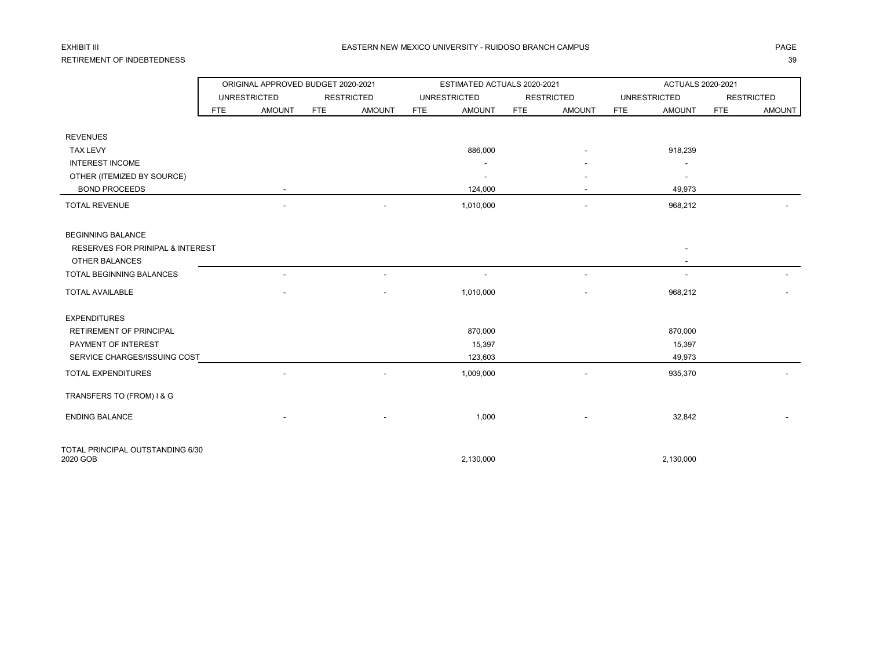## RETIREMENT OF INDEBTEDNESS 39

### EXHIBIT III DHANNIN NEW MEXICO UNIVERSITY - RUIDOSO BRANCH CAMPUS DHANNIN NA GELANNIN DHAGE DHANNIN NA GELANNIN

## ORIGINAL APPROVED BUDGET 2020-2021 ESTIMATED ACTUALS 2020-2021 ACTUALS 2020-2021 UNRESTRICTED RESTRICTED UNRESTRICTED RESTRICTED UNRESTRICTED RESTRICTED FTE AMOUNT FTE AMOUNT FTE AMOUNT FTE AMOUNT FTE AMOUNT FTE AMOUNT REVENUES TAX LEVY 886,000 - 918,239 INTEREST INCOME And the state of the state of the state of the state of the state of the state of the state of the state of the state of the state of the state of the state of the state of the state of the state of the sta OTHER (ITEMIZED BY SOURCE) And the state of the state of the state of the state of the state of the state of the state of the state of the state of the state of the state of the state of the state of the state of the state BOND PROCEEDS - 124,000 - 49,973 TOTAL REVENUE - - 1,010,000 - 968,212 - BEGINNING BALANCE RESERVES FOR PRINIPAL & INTEREST - OTHER BALANCES TOTAL BEGINNING BALANCES ARE A SERVER TOTAL BEGINNING BALANCES AND HELP ASSESSED ASSOCIATES AND HELP ASSESSED ASSOCIATES AND LESS AND LESS AND LESS AND LESS AND LESS AND LESS AND LESS AND LESS AND LESS AND LESS AND LESS AN TOTAL AVAILABLE - - 1,010,000 - 968,212 - EXPENDITURES RETIREMENT OF PRINCIPAL 870,000 870,000 870,000 870,000 870,000 870,000 870,000 870,000 870,000 870,000 870,000 PAYMENT OF INTEREST THE RESOLUTION OF INTEREST ASSAULT AND THE RESOLUTION OF INTEREST ASSAULT AND THE RESOLUTION OF INTEREST AND THE RESOLUTION OF INTEREST AND INTEREST ASSAULT AND THE RESOLUTION OF INTERFERING A SAME RESO SERVICE CHARGES/ISSUING COST 49,973 49,973 TOTAL EXPENDITURES 6 1,009,000 - 1,009,000 - 935,370 - 935,370 TRANSFERS TO (FROM) I & G ENDING BALANCE - - 1,000 - 32,842 - TOTAL PRINCIPAL OUTSTANDING 6/30 2020 GOB 2,130,000 2,130,000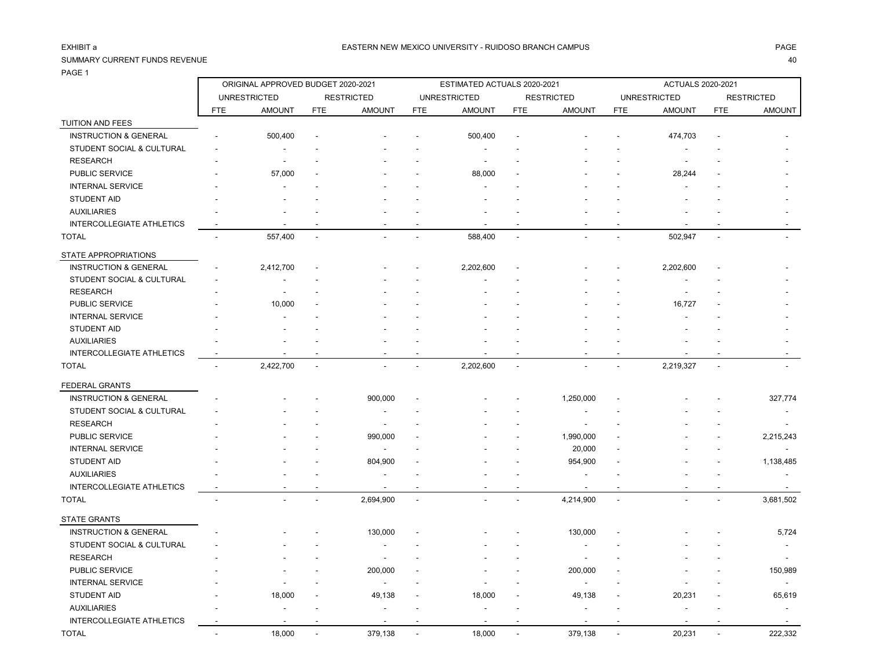TUITION AND FEES

### SUMMARY CURRENT FUNDS REVENUE 40

PAGE 1

ORIGINAL APPROVED BUDGET 2020-2021 ESTIMATED ACTUALS 2020-2021 ACTUALS 2020-2021

| STUDENT SOCIAL & CULTURAL        |                          |                |           |           |                |           |                          |           |           |
|----------------------------------|--------------------------|----------------|-----------|-----------|----------------|-----------|--------------------------|-----------|-----------|
| <b>RESEARCH</b>                  |                          |                |           |           |                |           |                          |           |           |
| PUBLIC SERVICE                   | 57,000                   |                |           | 88,000    |                |           |                          | 28,244    |           |
| <b>INTERNAL SERVICE</b>          |                          |                |           |           |                |           |                          |           |           |
| <b>STUDENT AID</b>               |                          |                |           |           |                |           |                          |           |           |
| <b>AUXILIARIES</b>               |                          |                |           |           |                |           |                          |           |           |
| <b>INTERCOLLEGIATE ATHLETICS</b> |                          |                |           |           |                |           |                          |           |           |
| <b>TOTAL</b>                     | 557,400                  | $\overline{a}$ |           | 588,400   | $\blacksquare$ |           | $\overline{\phantom{a}}$ | 502,947   |           |
| <b>STATE APPROPRIATIONS</b>      |                          |                |           |           |                |           |                          |           |           |
| <b>INSTRUCTION &amp; GENERAL</b> | 2,412,700                |                |           | 2,202,600 |                |           |                          | 2,202,600 |           |
| STUDENT SOCIAL & CULTURAL        |                          |                |           |           |                |           |                          |           |           |
| <b>RESEARCH</b>                  |                          |                |           |           |                |           |                          |           |           |
| PUBLIC SERVICE                   | 10,000                   |                |           |           |                |           |                          | 16,727    |           |
| <b>INTERNAL SERVICE</b>          |                          |                |           |           |                |           |                          |           |           |
| <b>STUDENT AID</b>               |                          |                |           |           |                |           |                          |           |           |
| <b>AUXILIARIES</b>               |                          |                |           |           |                |           |                          |           |           |
| INTERCOLLEGIATE ATHLETICS        |                          |                |           |           |                |           |                          |           |           |
| <b>TOTAL</b>                     | 2,422,700                |                |           | 2,202,600 |                |           |                          | 2,219,327 |           |
| <b>FEDERAL GRANTS</b>            |                          |                |           |           |                |           |                          |           |           |
| <b>INSTRUCTION &amp; GENERAL</b> |                          |                | 900,000   |           |                | 1,250,000 |                          |           | 327,774   |
| STUDENT SOCIAL & CULTURAL        |                          |                |           |           |                |           |                          |           |           |
| <b>RESEARCH</b>                  |                          |                |           |           |                |           |                          |           |           |
| PUBLIC SERVICE                   |                          |                | 990,000   |           |                | 1,990,000 |                          |           | 2,215,243 |
| <b>INTERNAL SERVICE</b>          |                          |                |           |           |                | 20,000    |                          |           |           |
| <b>STUDENT AID</b>               |                          |                | 804,900   |           |                | 954,900   |                          |           | 1,138,485 |
| <b>AUXILIARIES</b>               |                          |                |           |           |                |           |                          |           |           |
| <b>INTERCOLLEGIATE ATHLETICS</b> |                          |                |           |           |                |           |                          |           |           |
| <b>TOTAL</b>                     | $\overline{\phantom{0}}$ | ٠              | 2,694,900 |           |                | 4,214,900 | $\overline{\phantom{a}}$ |           | 3,681,502 |
| STATE GRANTS                     |                          |                |           |           |                |           |                          |           |           |
| INICTDUCTION & CENIEDAL          |                          |                | 120.000   |           |                | 120000    |                          |           | E, 704    |

UNRESTRICTED RESTRICTED UNRESTRICTED RESTRICTED UNRESTRICTED RESTRICTED FTE AMOUNT FTE AMOUNT FTE AMOUNT FTE AMOUNT FTE AMOUNT FTE AMOUNT INSTRUCTION & GENERAL - 500,400 - - - 500,400 - - - 474,703 - -

| . <del>.</del>                   |                          |                          |                          |                          |                          |                          |                          |                          |                          |                          |                          |                          |
|----------------------------------|--------------------------|--------------------------|--------------------------|--------------------------|--------------------------|--------------------------|--------------------------|--------------------------|--------------------------|--------------------------|--------------------------|--------------------------|
| <b>INSTRUCTION &amp; GENERAL</b> |                          | $\overline{\phantom{a}}$ | . .                      | 130,000                  | $\overline{\phantom{a}}$ | $\overline{\phantom{a}}$ | $\overline{\phantom{0}}$ | 130,000                  | $\overline{\phantom{0}}$ | $\overline{\phantom{0}}$ |                          | 5,724                    |
| STUDENT SOCIAL & CULTURAL        | $\overline{\phantom{a}}$ | $\overline{\phantom{a}}$ |                          | -                        | -                        | $\sim$                   |                          | -                        |                          |                          |                          | $\overline{\phantom{0}}$ |
| <b>RESEARCH</b>                  | -                        | . .                      |                          |                          | -                        | $\sim$                   |                          | $\overline{\phantom{a}}$ |                          |                          |                          | $\overline{\phantom{0}}$ |
| PUBLIC SERVICE                   |                          | . .                      |                          | 200,000                  | $\overline{\phantom{a}}$ | $\overline{\phantom{0}}$ |                          | 200,000                  | $\overline{\phantom{0}}$ | $\overline{\phantom{0}}$ |                          | 150,989                  |
| <b>INTERNAL SERVICE</b>          |                          | $\overline{\phantom{a}}$ |                          | $\overline{\phantom{0}}$ | -                        | $\overline{\phantom{0}}$ |                          | $\overline{\phantom{0}}$ |                          |                          |                          | $\overline{\phantom{0}}$ |
| STUDENT AID                      | $\overline{\phantom{a}}$ | 18,000                   | $\overline{\phantom{0}}$ | 49,138                   | $\overline{\phantom{a}}$ | 18,000                   | $\overline{\phantom{0}}$ | 49,138                   | $\overline{\phantom{0}}$ | 20,231                   | $\overline{\phantom{0}}$ | 65,619                   |
| <b>AUXILIARIES</b>               | -                        | . .                      |                          | $\overline{\phantom{a}}$ | -                        | $\sim$                   |                          | $\overline{\phantom{0}}$ |                          | -                        |                          |                          |
| INTERCOLLEGIATE ATHLETICS        |                          | $\overline{\phantom{a}}$ |                          | $\overline{\phantom{a}}$ |                          | $\overline{\phantom{0}}$ |                          | $\overline{\phantom{0}}$ | $\overline{\phantom{a}}$ |                          |                          |                          |
| <b>TOTAL</b>                     | $\overline{\phantom{a}}$ | 18,000                   | $\overline{\phantom{a}}$ | 379,138                  | $\overline{\phantom{a}}$ | 18,000                   | $\overline{\phantom{a}}$ | 379,138                  | $\overline{\phantom{a}}$ | 20,231                   | $\overline{\phantom{0}}$ | 222,332                  |
|                                  |                          |                          |                          |                          |                          |                          |                          |                          |                          |                          |                          |                          |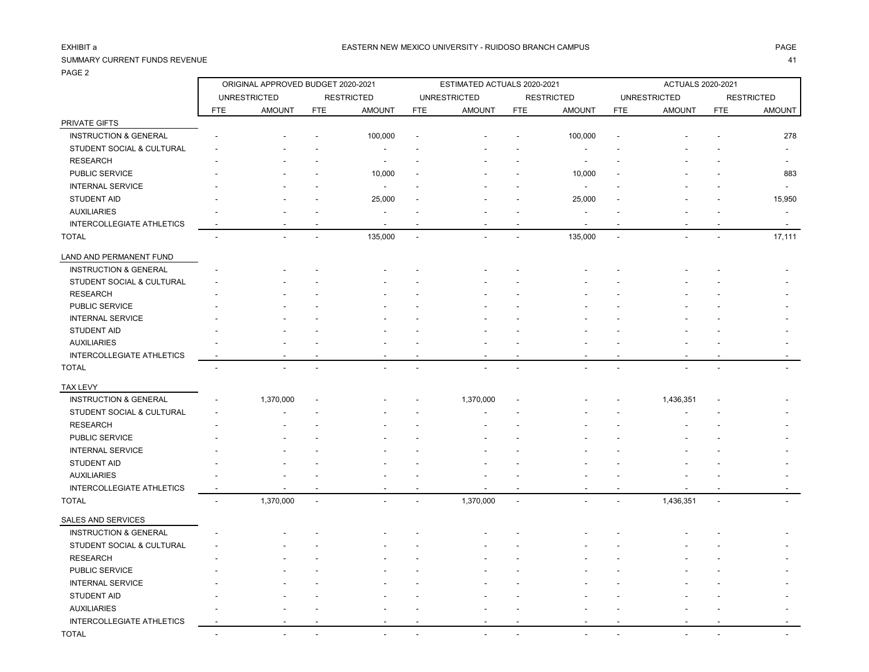PRIVATE GIFTS

### SUMMARY CURRENT FUNDS REVENUE 41

INTERCOLLEGIATE ATHLETICS -

PAGE 2

ORIGINAL APPROVED BUDGET 2020-2021 ESTIMATED ACTUALS 2020-2021 ACTUALS 2020-2021

UNRESTRICTED RESTRICTED UNRESTRICTED RESTRICTED UNRESTRICTED RESTRICTED FTE AMOUNT FTE AMOUNT FTE AMOUNT FTE AMOUNT FTE AMOUNT FTE AMOUNT

| <b>INSTRUCTION &amp; GENERAL</b> |                          |                |                          | 100,000                  |                          |           |                          | 100,000                  |                          |                             | 278                      |
|----------------------------------|--------------------------|----------------|--------------------------|--------------------------|--------------------------|-----------|--------------------------|--------------------------|--------------------------|-----------------------------|--------------------------|
| STUDENT SOCIAL & CULTURAL        |                          |                |                          |                          |                          |           |                          |                          |                          |                             |                          |
| <b>RESEARCH</b>                  |                          |                |                          | $\overline{\phantom{a}}$ |                          |           |                          | $\overline{\phantom{a}}$ |                          |                             | $\overline{\phantom{a}}$ |
| PUBLIC SERVICE                   |                          |                |                          | 10,000                   |                          |           |                          | 10,000                   |                          |                             | 883                      |
| <b>INTERNAL SERVICE</b>          |                          |                |                          | $\overline{\phantom{a}}$ |                          |           |                          |                          |                          |                             |                          |
| <b>STUDENT AID</b>               |                          |                |                          | 25,000                   |                          |           |                          | 25,000                   |                          |                             | 15,950                   |
| <b>AUXILIARIES</b>               |                          |                |                          |                          |                          |           |                          |                          |                          |                             | $\overline{\phantom{a}}$ |
| <b>INTERCOLLEGIATE ATHLETICS</b> |                          |                |                          | $\overline{\phantom{a}}$ |                          |           |                          |                          |                          |                             |                          |
| <b>TOTAL</b>                     | $\overline{\phantom{a}}$ | $\blacksquare$ |                          | 135,000                  | $\overline{\phantom{a}}$ |           | $\overline{\phantom{a}}$ | 135,000                  | $\overline{\phantom{a}}$ | $\blacksquare$<br>ä,        | 17,111                   |
| LAND AND PERMANENT FUND          |                          |                |                          |                          |                          |           |                          |                          |                          |                             |                          |
| <b>INSTRUCTION &amp; GENERAL</b> |                          |                |                          |                          |                          |           |                          |                          |                          |                             |                          |
| STUDENT SOCIAL & CULTURAL        |                          |                |                          |                          |                          |           |                          |                          |                          |                             |                          |
| <b>RESEARCH</b>                  |                          |                |                          |                          |                          |           |                          |                          |                          |                             |                          |
| PUBLIC SERVICE                   |                          |                |                          |                          |                          |           |                          |                          |                          |                             |                          |
| <b>INTERNAL SERVICE</b>          |                          |                |                          |                          |                          |           |                          |                          |                          |                             |                          |
| <b>STUDENT AID</b>               |                          |                |                          |                          |                          |           |                          |                          |                          |                             |                          |
| <b>AUXILIARIES</b>               |                          |                |                          |                          |                          |           |                          |                          |                          |                             |                          |
| <b>INTERCOLLEGIATE ATHLETICS</b> |                          |                |                          |                          |                          |           |                          |                          |                          |                             |                          |
| <b>TOTAL</b>                     |                          |                |                          |                          |                          |           |                          |                          |                          |                             |                          |
| <b>TAX LEVY</b>                  |                          |                |                          |                          |                          |           |                          |                          |                          |                             |                          |
| <b>INSTRUCTION &amp; GENERAL</b> |                          | 1,370,000      | $\overline{\phantom{a}}$ |                          |                          | 1,370,000 |                          |                          |                          | 1,436,351                   |                          |
| STUDENT SOCIAL & CULTURAL        |                          |                |                          |                          |                          |           |                          |                          |                          |                             |                          |
| <b>RESEARCH</b>                  |                          |                |                          |                          |                          |           |                          |                          |                          |                             |                          |
| PUBLIC SERVICE                   |                          |                |                          |                          |                          |           |                          |                          |                          |                             |                          |
| <b>INTERNAL SERVICE</b>          |                          |                |                          |                          |                          |           |                          |                          |                          |                             |                          |
| <b>STUDENT AID</b>               |                          |                |                          |                          |                          |           |                          |                          |                          |                             |                          |
| <b>AUXILIARIES</b>               |                          |                |                          |                          |                          |           |                          |                          |                          |                             |                          |
| INTERCOLLEGIATE ATHLETICS        |                          |                |                          | $\overline{\phantom{a}}$ |                          |           |                          | $\overline{\phantom{a}}$ |                          |                             | $\blacksquare$           |
| <b>TOTAL</b>                     | $\blacksquare$           | 1,370,000      | $\overline{\phantom{a}}$ |                          |                          | 1,370,000 | $\overline{\phantom{a}}$ |                          |                          | 1,436,351<br>$\blacksquare$ | $\blacksquare$           |
| <b>SALES AND SERVICES</b>        |                          |                |                          |                          |                          |           |                          |                          |                          |                             |                          |
| <b>INSTRUCTION &amp; GENERAL</b> |                          |                |                          |                          |                          |           |                          |                          |                          |                             |                          |
| STUDENT SOCIAL & CULTURAL        |                          |                |                          |                          |                          |           |                          |                          |                          |                             |                          |
| <b>RESEARCH</b>                  |                          |                |                          |                          |                          |           |                          |                          |                          |                             |                          |

PUBLIC SERVICE - - - - - - - - - - - -

 STUDENT AID - - - - - - - - - - - - AUXILIARIES - - - - - - - - - - - -

TOTAL - - - - - - - - - - - -

INTERNAL SERVICE A SUB-SERVICE A SUB-SERVICE A SUB-SERVICE A SUB-SERVICE AND THE SUB-SERVICE AND THE SUB-SERVICE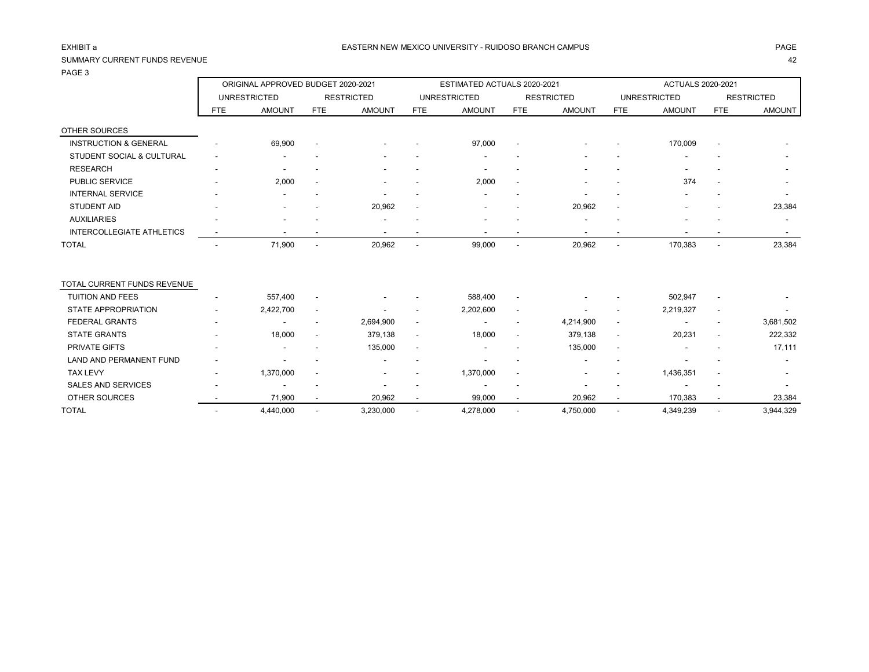## SUMMARY CURRENT FUNDS REVENUE 42

|                                      | ORIGINAL APPROVED BUDGET 2020-2021 |                     |                          |                   |                          | ESTIMATED ACTUALS 2020-2021 |                          |                          | <b>ACTUALS 2020-2021</b> |                     |                          |                   |
|--------------------------------------|------------------------------------|---------------------|--------------------------|-------------------|--------------------------|-----------------------------|--------------------------|--------------------------|--------------------------|---------------------|--------------------------|-------------------|
|                                      |                                    | <b>UNRESTRICTED</b> |                          | <b>RESTRICTED</b> |                          | <b>UNRESTRICTED</b>         |                          | <b>RESTRICTED</b>        |                          | <b>UNRESTRICTED</b> |                          | <b>RESTRICTED</b> |
|                                      | <b>FTE</b>                         | <b>AMOUNT</b>       | <b>FTE</b>               | <b>AMOUNT</b>     | <b>FTE</b>               | <b>AMOUNT</b>               | <b>FTE</b>               | <b>AMOUNT</b>            | <b>FTE</b>               | <b>AMOUNT</b>       | <b>FTE</b>               | <b>AMOUNT</b>     |
| OTHER SOURCES                        |                                    |                     |                          |                   |                          |                             |                          |                          |                          |                     |                          |                   |
| <b>INSTRUCTION &amp; GENERAL</b>     |                                    | 69,900              |                          |                   |                          | 97,000                      |                          |                          |                          | 170,009             |                          |                   |
| <b>STUDENT SOCIAL &amp; CULTURAL</b> |                                    |                     |                          |                   |                          |                             |                          |                          |                          |                     |                          |                   |
| <b>RESEARCH</b>                      |                                    |                     |                          |                   |                          |                             |                          |                          |                          |                     |                          |                   |
| PUBLIC SERVICE                       |                                    | 2,000               |                          |                   |                          | 2,000                       |                          |                          |                          | 374                 |                          |                   |
| <b>INTERNAL SERVICE</b>              |                                    |                     |                          |                   |                          |                             |                          |                          |                          |                     |                          |                   |
| <b>STUDENT AID</b>                   |                                    |                     |                          | 20,962            | $\overline{\phantom{a}}$ |                             |                          | 20,962                   |                          |                     |                          | 23,384            |
| <b>AUXILIARIES</b>                   |                                    |                     |                          |                   |                          |                             |                          |                          |                          |                     |                          |                   |
| <b>INTERCOLLEGIATE ATHLETICS</b>     |                                    |                     |                          |                   |                          |                             |                          | $\overline{\phantom{a}}$ |                          |                     |                          | $\sim$            |
| <b>TOTAL</b>                         |                                    | 71,900              | $\overline{\phantom{a}}$ | 20,962            | $\overline{\phantom{a}}$ | 99,000                      | $\overline{\phantom{a}}$ | 20,962                   |                          | 170,383             | $\overline{\phantom{a}}$ | 23,384            |
| TOTAL CURRENT FUNDS REVENUE          |                                    |                     |                          |                   |                          |                             |                          |                          |                          |                     |                          |                   |
| <b>TUITION AND FEES</b>              |                                    | 557,400             |                          |                   |                          | 588,400                     | $\overline{\phantom{a}}$ |                          |                          | 502,947             |                          |                   |
| <b>STATE APPROPRIATION</b>           |                                    | 2,422,700           |                          |                   |                          | 2,202,600                   | $\overline{\phantom{a}}$ |                          |                          | 2,219,327           |                          |                   |
| <b>FEDERAL GRANTS</b>                |                                    |                     | $\overline{\phantom{a}}$ | 2,694,900         | $\overline{\phantom{a}}$ |                             | $\overline{\phantom{a}}$ | 4,214,900                | $\overline{\phantom{a}}$ |                     |                          | 3,681,502         |
| <b>STATE GRANTS</b>                  |                                    | 18,000              |                          | 379,138           | $\overline{\phantom{a}}$ | 18,000                      | $\blacksquare$           | 379,138                  | $\overline{\phantom{a}}$ | 20,231              |                          | 222,332           |
| <b>PRIVATE GIFTS</b>                 |                                    |                     |                          | 135,000           | $\overline{\phantom{a}}$ |                             |                          | 135,000                  | $\overline{\phantom{a}}$ |                     |                          | 17,111            |
| <b>LAND AND PERMANENT FUND</b>       |                                    |                     |                          |                   |                          |                             |                          |                          |                          |                     |                          |                   |
| <b>TAX LEVY</b>                      |                                    | 1,370,000           |                          |                   |                          | 1,370,000                   |                          |                          |                          | 1,436,351           |                          |                   |
| <b>SALES AND SERVICES</b>            |                                    |                     |                          |                   |                          |                             |                          |                          |                          |                     |                          |                   |
| <b>OTHER SOURCES</b>                 |                                    | 71,900              |                          | 20,962            |                          | 99,000                      |                          | 20,962                   |                          | 170,383             |                          | 23,384            |
| <b>TOTAL</b>                         |                                    | 4,440,000           |                          | 3,230,000         |                          | 4,278,000                   |                          | 4,750,000                |                          | 4,349,239           |                          | 3,944,329         |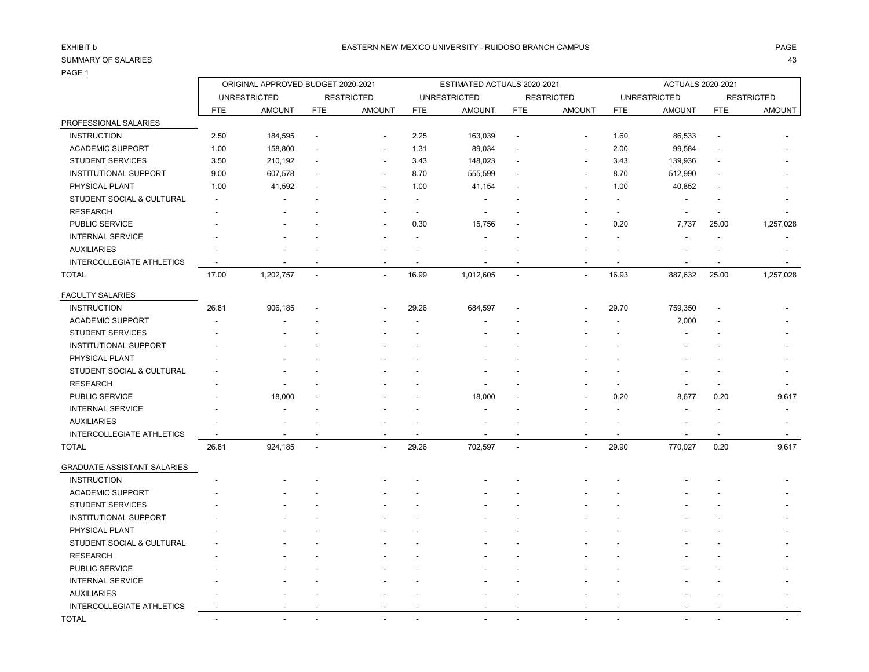|                                      |                          | ORIGINAL APPROVED BUDGET 2020-2021 |                          |                          |                          | ESTIMATED ACTUALS 2020-2021 |                          |                          |                          | ACTUALS 2020-2021        |                          |                          |
|--------------------------------------|--------------------------|------------------------------------|--------------------------|--------------------------|--------------------------|-----------------------------|--------------------------|--------------------------|--------------------------|--------------------------|--------------------------|--------------------------|
|                                      |                          | <b>UNRESTRICTED</b>                |                          | <b>RESTRICTED</b>        |                          | <b>UNRESTRICTED</b>         |                          | <b>RESTRICTED</b>        |                          | <b>UNRESTRICTED</b>      |                          | <b>RESTRICTED</b>        |
|                                      | <b>FTE</b>               | <b>AMOUNT</b>                      | <b>FTE</b>               | <b>AMOUNT</b>            | <b>FTE</b>               | <b>AMOUNT</b>               | <b>FTE</b>               | <b>AMOUNT</b>            | <b>FTE</b>               | <b>AMOUNT</b>            | <b>FTE</b>               | AMOUNT                   |
| PROFESSIONAL SALARIES                |                          |                                    |                          |                          |                          |                             |                          |                          |                          |                          |                          |                          |
| <b>INSTRUCTION</b>                   | 2.50                     | 184,595                            | $\overline{\phantom{a}}$ | $\blacksquare$           | 2.25                     | 163,039                     | $\overline{\phantom{a}}$ | $\blacksquare$           | 1.60                     | 86,533                   | $\overline{\phantom{a}}$ |                          |
| <b>ACADEMIC SUPPORT</b>              | 1.00                     | 158,800                            | $\overline{\phantom{a}}$ | $\blacksquare$           | 1.31                     | 89,034                      | $\overline{\phantom{a}}$ | $\blacksquare$           | 2.00                     | 99,584                   |                          |                          |
| <b>STUDENT SERVICES</b>              | 3.50                     | 210,192                            | $\overline{\phantom{a}}$ | $\overline{\phantom{a}}$ | 3.43                     | 148,023                     | $\overline{\phantom{a}}$ | $\blacksquare$           | 3.43                     | 139,936                  | $\overline{\phantom{a}}$ |                          |
| <b>INSTITUTIONAL SUPPORT</b>         | 9.00                     | 607,578                            | $\overline{\phantom{a}}$ | $\overline{\phantom{a}}$ | 8.70                     | 555,599                     | $\overline{\phantom{a}}$ | $\overline{\phantom{a}}$ | 8.70                     | 512,990                  | $\overline{\phantom{a}}$ |                          |
| PHYSICAL PLANT                       | 1.00                     | 41,592                             | $\overline{\phantom{a}}$ | $\overline{\phantom{a}}$ | 1.00                     | 41,154                      | $\overline{\phantom{a}}$ | $\blacksquare$           | 1.00                     | 40,852                   | $\overline{\phantom{a}}$ |                          |
| <b>STUDENT SOCIAL &amp; CULTURAL</b> | $\overline{\phantom{a}}$ | $\overline{\phantom{a}}$           |                          |                          |                          |                             |                          | $\blacksquare$           |                          |                          |                          | $\overline{\phantom{a}}$ |
| <b>RESEARCH</b>                      | $\overline{\phantom{a}}$ | $\overline{\phantom{a}}$           |                          | $\blacksquare$           | $\overline{\phantom{a}}$ |                             |                          | $\overline{\phantom{a}}$ | $\overline{\phantom{a}}$ |                          |                          | $\overline{\phantom{a}}$ |
| PUBLIC SERVICE                       |                          | $\overline{\phantom{a}}$           |                          | $\overline{\phantom{a}}$ | 0.30                     | 15,756                      | $\overline{\phantom{a}}$ | $\overline{\phantom{a}}$ | 0.20                     | 7,737                    | 25.00                    | 1,257,028                |
| <b>INTERNAL SERVICE</b>              |                          |                                    |                          |                          |                          |                             |                          |                          |                          |                          |                          | $\overline{\phantom{a}}$ |
| <b>AUXILIARIES</b>                   | $\overline{\phantom{a}}$ |                                    |                          |                          |                          |                             |                          | $\blacksquare$           |                          |                          |                          |                          |
| <b>INTERCOLLEGIATE ATHLETICS</b>     | $\overline{\phantom{a}}$ | $\blacksquare$                     | $\overline{\phantom{a}}$ | $\overline{\phantom{a}}$ | $\overline{\phantom{a}}$ |                             |                          | $\overline{\phantom{a}}$ |                          | $\overline{\phantom{a}}$ | $\overline{\phantom{a}}$ | $\overline{\phantom{a}}$ |
| <b>TOTAL</b>                         | 17.00                    | 1,202,757                          | $\overline{\phantom{a}}$ | $\overline{\phantom{a}}$ | 16.99                    | 1,012,605                   | $\overline{\phantom{a}}$ | $\blacksquare$           | 16.93                    | 887,632                  | 25.00                    | 1,257,028                |
| <b>FACULTY SALARIES</b>              |                          |                                    |                          |                          |                          |                             |                          |                          |                          |                          |                          |                          |
| <b>INSTRUCTION</b>                   | 26.81                    | 906,185                            | $\overline{\phantom{a}}$ | $\overline{\phantom{a}}$ | 29.26                    | 684,597                     | $\overline{\phantom{a}}$ | $\overline{\phantom{a}}$ | 29.70                    | 759,350                  | $\overline{\phantom{a}}$ |                          |
| <b>ACADEMIC SUPPORT</b>              | $\overline{\phantom{a}}$ | $\overline{\phantom{a}}$           | $\overline{\phantom{a}}$ | $\blacksquare$           | $\overline{\phantom{a}}$ | $\overline{\phantom{a}}$    |                          | $\overline{\phantom{a}}$ | $\overline{\phantom{a}}$ | 2,000                    | $\overline{\phantom{a}}$ | $\overline{\phantom{a}}$ |
| <b>STUDENT SERVICES</b>              |                          |                                    |                          | $\blacksquare$           |                          |                             |                          | $\overline{\phantom{a}}$ |                          |                          |                          | $\overline{\phantom{a}}$ |
| <b>INSTITUTIONAL SUPPORT</b>         | $\overline{\phantom{a}}$ | $\overline{\phantom{a}}$           | $\overline{\phantom{a}}$ | $\overline{\phantom{a}}$ | $\overline{\phantom{a}}$ | ٠                           | $\overline{\phantom{a}}$ | $\overline{\phantom{a}}$ | $\overline{\phantom{a}}$ | $\overline{\phantom{a}}$ | $\overline{\phantom{a}}$ | $\overline{\phantom{a}}$ |

| PHYSICAL PLANT                     |                          |                          |                          |                          |                          |                          |        |                          |                          |                          |                          | $\overline{\phantom{0}}$ |
|------------------------------------|--------------------------|--------------------------|--------------------------|--------------------------|--------------------------|--------------------------|--------|--------------------------|--------------------------|--------------------------|--------------------------|--------------------------|
| STUDENT SOCIAL & CULTURAL          | $\overline{\phantom{a}}$ |                          |                          | $\overline{\phantom{a}}$ |                          | $\overline{\phantom{a}}$ |        | $\overline{\phantom{a}}$ |                          | $\overline{\phantom{a}}$ |                          |                          |
| <b>RESEARCH</b>                    |                          |                          |                          |                          |                          |                          |        |                          |                          | $\overline{\phantom{a}}$ |                          |                          |
| PUBLIC SERVICE                     |                          | 18,000                   | $\overline{\phantom{a}}$ |                          |                          | 18,000                   |        | $\sim$                   | 0.20                     | 8,677                    | 0.20                     | 9,617                    |
| <b>INTERNAL SERVICE</b>            |                          | $\overline{\phantom{a}}$ |                          | -                        | $\overline{\phantom{a}}$ | $\overline{\phantom{a}}$ |        | $\overline{\phantom{a}}$ | $\overline{\phantom{a}}$ | $\overline{\phantom{a}}$ | $\overline{\phantom{a}}$ | $\sim$                   |
| <b>AUXILIARIES</b>                 | $\overline{\phantom{a}}$ | $\overline{\phantom{0}}$ |                          | $\overline{\phantom{a}}$ | $\overline{\phantom{a}}$ | $\overline{\phantom{a}}$ |        | $\overline{\phantom{a}}$ | $\overline{\phantom{a}}$ | $\overline{\phantom{a}}$ |                          | $\sim$                   |
| INTERCOLLEGIATE ATHLETICS          |                          |                          |                          |                          | $\overline{\phantom{a}}$ | $\overline{\phantom{a}}$ |        | $\overline{\phantom{a}}$ | $\overline{\phantom{a}}$ | $\overline{\phantom{a}}$ |                          | $\sim$                   |
| TOTAL                              | 26.81                    | 924,185                  |                          | $\overline{\phantom{a}}$ | 29.26                    | 702,597                  |        | $\overline{\phantom{a}}$ | 29.90                    | 770,027                  | 0.20                     | 9,617                    |
| <b>GRADUATE ASSISTANT SALARIES</b> |                          |                          |                          |                          |                          |                          |        |                          |                          |                          |                          |                          |
| <b>INSTRUCTION</b>                 |                          |                          |                          |                          |                          |                          |        |                          |                          |                          |                          |                          |
| <b>ACADEMIC SUPPORT</b>            |                          |                          |                          |                          |                          |                          |        | $\overline{\phantom{a}}$ |                          |                          |                          |                          |
| <b>STUDENT SERVICES</b>            |                          |                          |                          |                          |                          |                          |        |                          |                          |                          |                          |                          |
| <b>INSTITUTIONAL SUPPORT</b>       |                          |                          |                          |                          |                          | $\overline{\phantom{a}}$ |        | $\overline{\phantom{a}}$ |                          | $\overline{\phantom{a}}$ |                          | $\overline{\phantom{a}}$ |
| PHYSICAL PLANT                     | $\overline{\phantom{a}}$ |                          |                          |                          |                          | $\overline{\phantom{a}}$ |        | $\overline{\phantom{a}}$ |                          | $\overline{\phantom{a}}$ |                          | $\overline{\phantom{a}}$ |
| STUDENT SOCIAL & CULTURAL          | $\sim$                   |                          |                          |                          |                          | $\overline{\phantom{a}}$ |        | $\overline{\phantom{a}}$ |                          | $\overline{\phantom{a}}$ |                          |                          |
| <b>RESEARCH</b>                    |                          |                          |                          |                          |                          |                          |        |                          |                          | $\overline{\phantom{a}}$ |                          |                          |
| PUBLIC SERVICE                     |                          |                          |                          |                          |                          |                          |        |                          |                          |                          |                          |                          |
| <b>INTERNAL SERVICE</b>            |                          |                          |                          |                          |                          | $\overline{\phantom{a}}$ |        | $\overline{\phantom{a}}$ |                          | $\overline{\phantom{a}}$ |                          | $\overline{\phantom{0}}$ |
| <b>AUXILIARIES</b>                 | $\overline{\phantom{a}}$ | $\overline{\phantom{0}}$ | ٠                        | $\overline{\phantom{a}}$ | $\overline{\phantom{a}}$ | $\overline{\phantom{a}}$ |        | $\overline{\phantom{a}}$ | ٠                        | $\overline{\phantom{a}}$ |                          | $\overline{\phantom{0}}$ |
| INTERCOLLEGIATE ATHLETICS          |                          | $\sim$                   | $\overline{\phantom{a}}$ | $\sim$                   | $\overline{\phantom{a}}$ | $\sim$                   | $\sim$ | $\sim$                   | $\overline{\phantom{a}}$ | $\sim$                   | $\sim$                   |                          |
| TOTAL                              |                          |                          |                          |                          |                          |                          |        |                          |                          |                          |                          |                          |
|                                    |                          |                          |                          |                          |                          |                          |        |                          |                          |                          |                          |                          |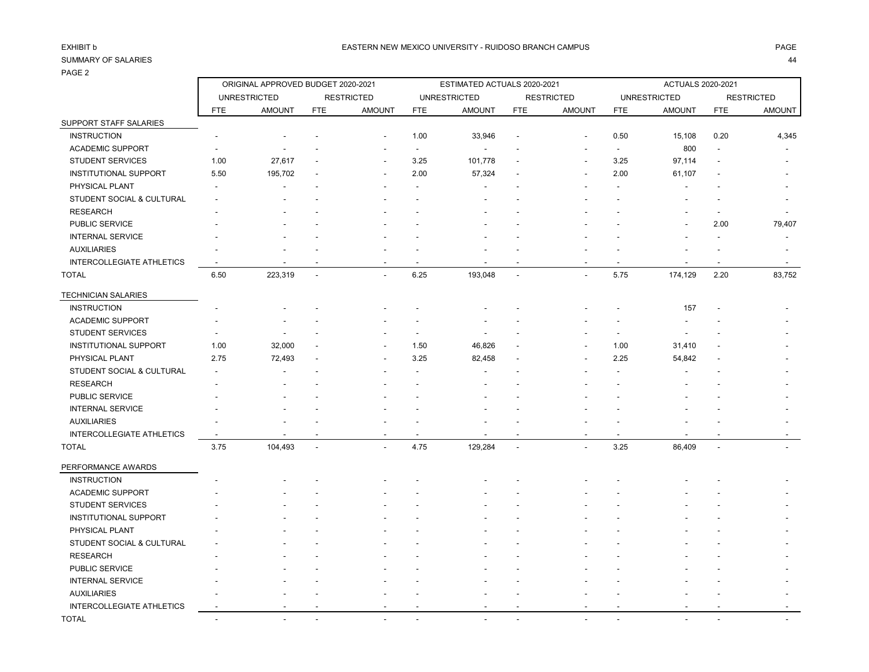r

| 021               |  |  |
|-------------------|--|--|
| <b>RESTRICTED</b> |  |  |

|                                  |                          | ORIGINAL APPROVED BUDGET 2020-2021 |                          |                   |                          | ESTIMATED ACTUALS 2020-2021 |                          |                   |            | ACTUALS 2020-2021   |                |                   |
|----------------------------------|--------------------------|------------------------------------|--------------------------|-------------------|--------------------------|-----------------------------|--------------------------|-------------------|------------|---------------------|----------------|-------------------|
|                                  |                          | <b>UNRESTRICTED</b>                |                          | <b>RESTRICTED</b> |                          | <b>UNRESTRICTED</b>         |                          | <b>RESTRICTED</b> |            | <b>UNRESTRICTED</b> |                | <b>RESTRICTED</b> |
|                                  | <b>FTE</b>               | <b>AMOUNT</b>                      | <b>FTE</b>               | <b>AMOUNT</b>     | <b>FTE</b>               | <b>AMOUNT</b>               | <b>FTE</b>               | <b>AMOUNT</b>     | <b>FTE</b> | <b>AMOUNT</b>       | <b>FTE</b>     | AMOUNT            |
| SUPPORT STAFF SALARIES           |                          |                                    |                          |                   |                          |                             |                          |                   |            |                     |                |                   |
| <b>INSTRUCTION</b>               |                          |                                    |                          |                   | 1.00                     | 33,946                      | $\overline{a}$           |                   | 0.50       | 15,108              | 0.20           | 4,345             |
| <b>ACADEMIC SUPPORT</b>          |                          |                                    |                          |                   |                          |                             |                          |                   |            | 800                 |                |                   |
| <b>STUDENT SERVICES</b>          | 1.00                     | 27,617                             |                          |                   | 3.25                     | 101,778                     |                          |                   | 3.25       | 97,114              |                |                   |
| <b>INSTITUTIONAL SUPPORT</b>     | 5.50                     | 195,702                            |                          |                   | 2.00                     | 57,324                      |                          |                   | 2.00       | 61,107              |                |                   |
| PHYSICAL PLANT                   |                          |                                    |                          |                   |                          |                             |                          |                   |            |                     |                |                   |
| STUDENT SOCIAL & CULTURAL        |                          |                                    |                          |                   |                          |                             |                          |                   |            |                     |                |                   |
| <b>RESEARCH</b>                  |                          |                                    |                          |                   |                          |                             |                          |                   |            |                     |                |                   |
| PUBLIC SERVICE                   |                          |                                    |                          |                   |                          |                             |                          |                   |            |                     | 2.00           | 79,407            |
| <b>INTERNAL SERVICE</b>          |                          |                                    |                          |                   |                          |                             |                          |                   |            |                     |                |                   |
| <b>AUXILIARIES</b>               |                          |                                    |                          |                   |                          |                             |                          |                   |            |                     |                |                   |
| <b>INTERCOLLEGIATE ATHLETICS</b> |                          |                                    |                          |                   |                          |                             |                          |                   |            |                     |                |                   |
| <b>TOTAL</b>                     | 6.50                     | 223,319                            | $\overline{a}$           | $\overline{a}$    | 6.25                     | 193,048                     | $\overline{a}$           |                   | 5.75       | 174,129             | 2.20           | 83,752            |
| <b>TECHNICIAN SALARIES</b>       |                          |                                    |                          |                   |                          |                             |                          |                   |            |                     |                |                   |
| <b>INSTRUCTION</b>               |                          |                                    |                          |                   |                          |                             |                          |                   |            | 157                 |                |                   |
| <b>ACADEMIC SUPPORT</b>          |                          |                                    |                          |                   |                          |                             |                          |                   |            |                     |                |                   |
| <b>STUDENT SERVICES</b>          |                          |                                    |                          |                   | $\overline{\phantom{a}}$ |                             |                          |                   |            |                     |                |                   |
| <b>INSTITUTIONAL SUPPORT</b>     | 1.00                     | 32,000                             |                          |                   | 1.50                     | 46,826                      |                          |                   | 1.00       | 31,410              |                |                   |
| PHYSICAL PLANT                   | 2.75                     | 72,493                             |                          |                   | 3.25                     | 82,458                      |                          |                   | 2.25       | 54,842              |                |                   |
| STUDENT SOCIAL & CULTURAL        |                          |                                    |                          |                   |                          |                             |                          |                   |            |                     |                |                   |
| <b>RESEARCH</b>                  |                          |                                    |                          |                   |                          |                             |                          |                   |            |                     |                |                   |
| PUBLIC SERVICE                   |                          |                                    |                          |                   |                          |                             |                          |                   |            |                     |                |                   |
| <b>INTERNAL SERVICE</b>          |                          |                                    |                          |                   |                          |                             |                          |                   |            |                     |                |                   |
| <b>AUXILIARIES</b>               |                          |                                    |                          |                   |                          |                             |                          |                   |            |                     |                |                   |
| <b>INTERCOLLEGIATE ATHLETICS</b> |                          |                                    |                          |                   |                          |                             |                          |                   |            |                     |                |                   |
| <b>TOTAL</b>                     | 3.75                     | 104,493                            | $\overline{\phantom{a}}$ | $\overline{a}$    | 4.75                     | 129,284                     | $\overline{\phantom{a}}$ |                   | 3.25       | 86,409              | $\overline{a}$ |                   |
| PERFORMANCE AWARDS               |                          |                                    |                          |                   |                          |                             |                          |                   |            |                     |                |                   |
| <b>INSTRUCTION</b>               |                          |                                    |                          |                   |                          |                             |                          |                   |            |                     |                |                   |
| <b>ACADEMIC SUPPORT</b>          |                          |                                    |                          |                   |                          |                             |                          |                   |            |                     |                |                   |
| <b>STUDENT SERVICES</b>          |                          |                                    |                          |                   |                          |                             |                          |                   |            |                     |                |                   |
| <b>INSTITUTIONAL SUPPORT</b>     |                          |                                    |                          |                   |                          |                             |                          |                   |            |                     |                |                   |
| PHYSICAL PLANT                   |                          |                                    |                          |                   |                          |                             |                          |                   |            |                     |                |                   |
| STUDENT SOCIAL & CULTURAL        |                          |                                    |                          |                   |                          |                             |                          |                   |            |                     |                |                   |
| <b>RESEARCH</b>                  |                          |                                    |                          |                   |                          |                             |                          |                   |            |                     |                |                   |
| PUBLIC SERVICE                   |                          |                                    |                          |                   |                          |                             |                          |                   |            |                     |                |                   |
| <b>INTERNAL SERVICE</b>          |                          |                                    |                          |                   |                          |                             |                          |                   |            |                     |                |                   |
| <b>AUXILIARIES</b>               |                          |                                    |                          |                   |                          |                             |                          |                   |            |                     |                |                   |
| <b>INTERCOLLEGIATE ATHLETICS</b> |                          |                                    |                          |                   |                          |                             |                          |                   |            |                     |                |                   |
| <b>TOTAL</b>                     | $\overline{\phantom{a}}$ | $\overline{\phantom{a}}$           |                          |                   |                          | $\overline{\phantom{a}}$    | $\overline{a}$           |                   |            |                     |                |                   |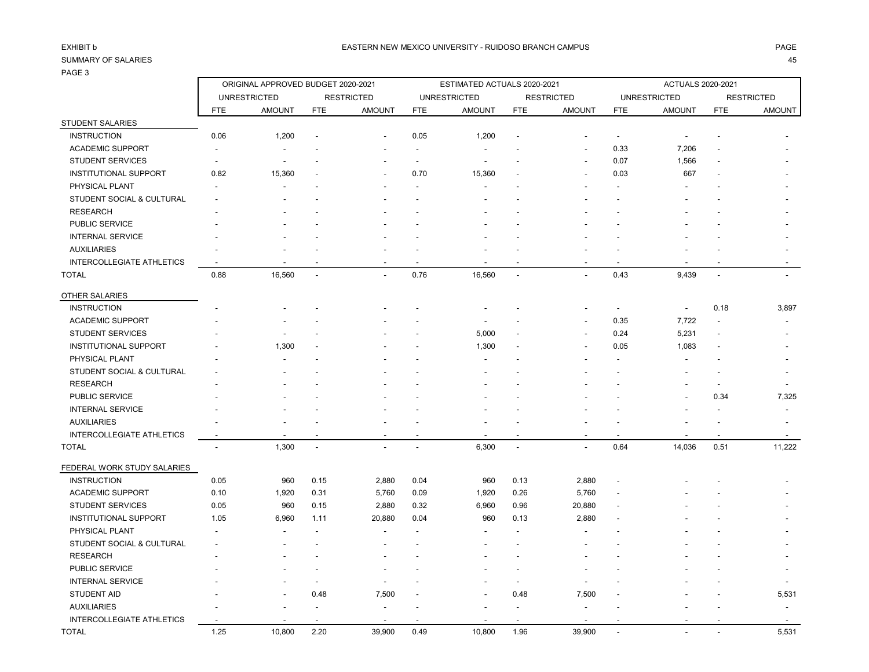| ×<br>۰. |
|---------|
|         |

| . <i>.</i>                       |                                    |                     |            |                   |                             |                     |                          |                   |                          |                          |                |                   |
|----------------------------------|------------------------------------|---------------------|------------|-------------------|-----------------------------|---------------------|--------------------------|-------------------|--------------------------|--------------------------|----------------|-------------------|
|                                  | ORIGINAL APPROVED BUDGET 2020-2021 |                     |            |                   | ESTIMATED ACTUALS 2020-2021 |                     |                          |                   | <b>ACTUALS 2020-2021</b> |                          |                |                   |
|                                  |                                    | <b>UNRESTRICTED</b> |            | <b>RESTRICTED</b> |                             | <b>UNRESTRICTED</b> |                          | <b>RESTRICTED</b> |                          | <b>UNRESTRICTED</b>      |                | <b>RESTRICTED</b> |
|                                  | <b>FTE</b>                         | <b>AMOUNT</b>       | <b>FTE</b> | <b>AMOUNT</b>     | <b>FTE</b>                  | <b>AMOUNT</b>       | <b>FTE</b>               | <b>AMOUNT</b>     | <b>FTE</b>               | <b>AMOUNT</b>            | <b>FTE</b>     | <b>AMOUNT</b>     |
| <b>STUDENT SALARIES</b>          |                                    |                     |            |                   |                             |                     |                          |                   |                          |                          |                |                   |
| <b>INSTRUCTION</b>               | 0.06                               | 1,200               |            |                   | 0.05                        | 1,200               |                          |                   |                          |                          |                |                   |
| <b>ACADEMIC SUPPORT</b>          |                                    |                     |            |                   |                             |                     |                          |                   | 0.33                     | 7,206                    |                |                   |
| <b>STUDENT SERVICES</b>          | $\overline{\phantom{a}}$           | $\overline{a}$      |            |                   | $\overline{\phantom{a}}$    | $\overline{a}$      |                          |                   | 0.07                     | 1,566                    |                |                   |
| <b>INSTITUTIONAL SUPPORT</b>     | 0.82                               | 15,360              |            |                   | 0.70                        | 15,360              |                          |                   | 0.03                     | 667                      |                |                   |
| PHYSICAL PLANT                   |                                    |                     |            |                   |                             |                     |                          |                   |                          |                          |                |                   |
| STUDENT SOCIAL & CULTURAL        |                                    |                     |            |                   |                             |                     |                          |                   |                          |                          |                |                   |
| <b>RESEARCH</b>                  |                                    |                     |            |                   |                             |                     |                          |                   |                          |                          |                |                   |
| PUBLIC SERVICE                   |                                    |                     |            |                   |                             |                     |                          |                   |                          |                          |                |                   |
| <b>INTERNAL SERVICE</b>          |                                    |                     |            |                   |                             |                     |                          |                   |                          |                          |                |                   |
| <b>AUXILIARIES</b>               |                                    |                     |            |                   |                             |                     |                          |                   |                          |                          |                |                   |
| <b>INTERCOLLEGIATE ATHLETICS</b> | $\overline{\phantom{a}}$           |                     |            |                   |                             |                     |                          |                   |                          |                          |                |                   |
| <b>TOTAL</b>                     | 0.88                               | 16,560              | L.         |                   | 0.76                        | 16,560              | $\ddot{\phantom{a}}$     |                   | 0.43                     | 9,439                    | $\overline{a}$ |                   |
| OTHER SALARIES                   |                                    |                     |            |                   |                             |                     |                          |                   |                          |                          |                |                   |
| <b>INSTRUCTION</b>               |                                    |                     |            |                   |                             |                     |                          |                   |                          | $\overline{\phantom{a}}$ | 0.18           | 3,897             |
| <b>ACADEMIC SUPPORT</b>          |                                    |                     |            |                   |                             |                     |                          |                   | 0.35                     | 7,722                    |                |                   |
| <b>STUDENT SERVICES</b>          |                                    |                     |            |                   |                             | 5,000               |                          |                   | 0.24                     | 5,231                    |                |                   |
| <b>INSTITUTIONAL SUPPORT</b>     |                                    | 1,300               |            |                   |                             | 1,300               |                          |                   | 0.05                     | 1,083                    |                |                   |
| PHYSICAL PLANT                   |                                    |                     |            |                   |                             |                     |                          |                   |                          |                          |                |                   |
| STUDENT SOCIAL & CULTURAL        |                                    |                     |            |                   |                             |                     |                          |                   |                          |                          |                |                   |
| <b>RESEARCH</b>                  |                                    |                     |            |                   |                             |                     |                          |                   |                          |                          |                |                   |
| PUBLIC SERVICE                   |                                    |                     |            |                   |                             |                     |                          |                   |                          |                          | 0.34           | 7,325             |
| <b>INTERNAL SERVICE</b>          |                                    |                     |            |                   |                             |                     |                          |                   |                          |                          |                |                   |
| <b>AUXILIARIES</b>               |                                    |                     |            |                   |                             |                     |                          |                   |                          |                          |                |                   |
| INTERCOLLEGIATE ATHLETICS        |                                    |                     |            |                   |                             |                     | $\overline{\phantom{a}}$ |                   |                          |                          |                |                   |
| <b>TOTAL</b>                     | $\overline{a}$                     | 1,300               | ÷,         | $\overline{a}$    | $\overline{a}$              | 6,300               | $\overline{a}$           | $\overline{a}$    | 0.64                     | 14,036                   | 0.51           | 11,222            |
| FEDERAL WORK STUDY SALARIES      |                                    |                     |            |                   |                             |                     |                          |                   |                          |                          |                |                   |
| <b>INSTRUCTION</b>               | 0.05                               | 960                 | 0.15       | 2,880             | 0.04                        | 960                 | 0.13                     | 2,880             |                          |                          |                |                   |
| <b>ACADEMIC SUPPORT</b>          | 0.10                               | 1,920               | 0.31       | 5,760             | 0.09                        | 1,920               | 0.26                     | 5,760             |                          |                          |                |                   |
| <b>STUDENT SERVICES</b>          | 0.05                               | 960                 | 0.15       | 2,880             | 0.32                        | 6,960               | 0.96                     | 20,880            |                          |                          |                |                   |
| <b>INSTITUTIONAL SUPPORT</b>     | 1.05                               | 6,960               | 1.11       | 20,880            | 0.04                        | 960                 | 0.13                     | 2,880             |                          |                          |                |                   |
| PHYSICAL PLANT                   |                                    |                     |            |                   |                             |                     |                          |                   |                          |                          |                |                   |
| STUDENT SOCIAL & CULTURAL        |                                    |                     |            |                   |                             |                     |                          |                   |                          |                          |                |                   |
| <b>RESEARCH</b>                  |                                    |                     |            |                   |                             |                     |                          |                   |                          |                          |                |                   |
| PUBLIC SERVICE                   |                                    |                     |            |                   |                             |                     |                          |                   |                          |                          |                |                   |
| <b>INTERNAL SERVICE</b>          |                                    |                     |            |                   |                             |                     | $\overline{\phantom{a}}$ |                   |                          |                          |                |                   |
| <b>STUDENT AID</b>               |                                    |                     | 0.48       | 7,500             |                             |                     | 0.48                     | 7,500             |                          |                          |                | 5,531             |
| <b>AUXILIARIES</b>               |                                    |                     |            |                   |                             |                     |                          |                   |                          |                          |                |                   |
| <b>INTERCOLLEGIATE ATHLETICS</b> |                                    |                     |            |                   |                             |                     |                          |                   |                          |                          |                |                   |
| <b>TOTAL</b>                     | 1.25                               | 10,800              | 2.20       | 39,900            | 0.49                        | 10,800              | 1.96                     | 39,900            |                          |                          |                | 5,531             |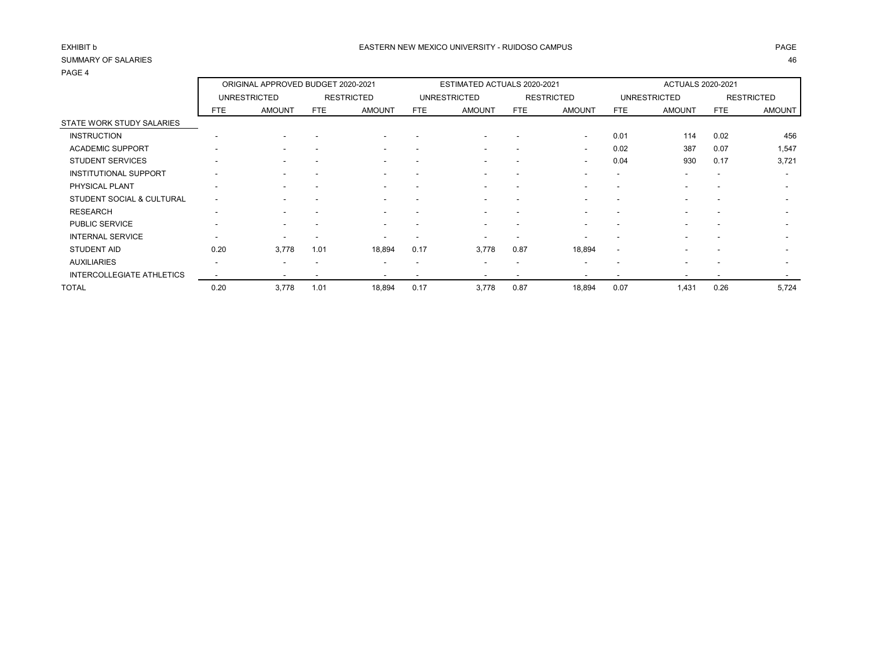|                                      | ORIGINAL APPROVED BUDGET 2020-2021 |                     |            |                          | ESTIMATED ACTUALS 2020-2021 |                          |                          |                          | <b>ACTUALS 2020-2021</b> |                          |                          |                          |
|--------------------------------------|------------------------------------|---------------------|------------|--------------------------|-----------------------------|--------------------------|--------------------------|--------------------------|--------------------------|--------------------------|--------------------------|--------------------------|
|                                      |                                    | <b>UNRESTRICTED</b> |            | <b>RESTRICTED</b>        |                             | <b>UNRESTRICTED</b>      |                          | <b>RESTRICTED</b>        |                          | <b>UNRESTRICTED</b>      |                          | <b>RESTRICTED</b>        |
|                                      | FTE.                               | <b>AMOUNT</b>       | <b>FTE</b> | <b>AMOUNT</b>            | FTE                         | <b>AMOUNT</b>            | FTE                      | <b>AMOUNT</b>            | <b>FTE</b>               | <b>AMOUNT</b>            | <b>FTE</b>               | <b>AMOUNT</b>            |
| STATE WORK STUDY SALARIES            |                                    |                     |            |                          |                             |                          |                          |                          |                          |                          |                          |                          |
| <b>INSTRUCTION</b>                   |                                    |                     |            |                          |                             |                          |                          | $\overline{\phantom{a}}$ | 0.01                     | 114                      | 0.02                     | 456                      |
| <b>ACADEMIC SUPPORT</b>              | -                                  |                     |            | $\overline{\phantom{a}}$ |                             | -                        | -                        | $\overline{\phantom{0}}$ | 0.02                     | 387                      | 0.07                     | 1,547                    |
| <b>STUDENT SERVICES</b>              | $\overline{\phantom{a}}$           |                     |            |                          |                             | ۰.                       | -                        | $\overline{\phantom{0}}$ | 0.04                     | 930                      | 0.17                     | 3,721                    |
| <b>INSTITUTIONAL SUPPORT</b>         |                                    |                     |            |                          |                             |                          |                          |                          |                          | $\overline{\phantom{0}}$ | $\overline{\phantom{a}}$ | $\overline{\phantom{a}}$ |
| PHYSICAL PLANT                       | $\overline{\phantom{a}}$           |                     |            |                          |                             |                          | $\overline{\phantom{a}}$ |                          | $\overline{\phantom{a}}$ | $\overline{\phantom{0}}$ | -                        | $\overline{\phantom{a}}$ |
| <b>STUDENT SOCIAL &amp; CULTURAL</b> | $\overline{\phantom{a}}$           |                     |            | $\overline{\phantom{a}}$ | $\overline{\phantom{a}}$    | ۰                        | $\overline{\phantom{a}}$ |                          | $\overline{\phantom{a}}$ | $\overline{\phantom{a}}$ | $\overline{\phantom{a}}$ | $\overline{\phantom{a}}$ |
| <b>RESEARCH</b>                      | -                                  |                     |            |                          |                             |                          | -                        | $\overline{\phantom{0}}$ |                          | $\overline{\phantom{0}}$ | -                        | $\overline{\phantom{a}}$ |
| PUBLIC SERVICE                       | $\overline{\phantom{a}}$           |                     |            | $\overline{\phantom{a}}$ |                             | -                        | -                        |                          |                          | $\overline{\phantom{0}}$ | -                        | $\overline{\phantom{a}}$ |
| <b>INTERNAL SERVICE</b>              |                                    |                     |            |                          |                             |                          |                          |                          |                          | $\overline{\phantom{0}}$ |                          |                          |
| <b>STUDENT AID</b>                   | 0.20                               | 3,778               | 1.01       | 18,894                   | 0.17                        | 3,778                    | 0.87                     | 18,894                   | $\overline{\phantom{a}}$ |                          |                          |                          |
| <b>AUXILIARIES</b>                   | $\overline{\phantom{a}}$           | . .                 |            | $\overline{\phantom{a}}$ | $\overline{\phantom{a}}$    | -                        | $\overline{\phantom{a}}$ | $\overline{\phantom{a}}$ | $\overline{\phantom{a}}$ | $\overline{\phantom{0}}$ | $\overline{\phantom{a}}$ | $\overline{\phantom{a}}$ |
| <b>INTERCOLLEGIATE ATHLETICS</b>     |                                    |                     |            |                          | $\overline{\phantom{a}}$    | $\overline{\phantom{a}}$ | $\overline{\phantom{a}}$ |                          | $\overline{\phantom{a}}$ | $\overline{\phantom{a}}$ | $\overline{\phantom{a}}$ | $\overline{\phantom{0}}$ |
| <b>TOTAL</b>                         | 0.20                               | 3,778               | 1.01       | 18,894                   | 0.17                        | 3,778                    | 0.87                     | 18,894                   | 0.07                     | 1,431                    | 0.26                     | 5,724                    |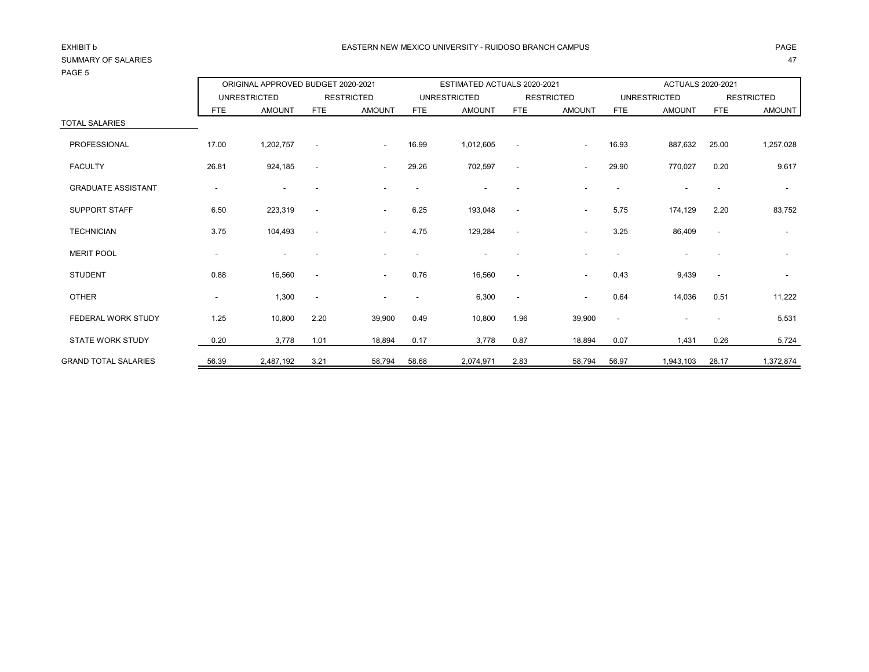## PAGE 5

|                           |                          | ORIGINAL APPROVED BUDGET 2020-2021 |                          |                   |            | ESTIMATED ACTUALS 2020-2021 |                          |                          |                          | ACTUALS 2020-2021        |                          |                   |
|---------------------------|--------------------------|------------------------------------|--------------------------|-------------------|------------|-----------------------------|--------------------------|--------------------------|--------------------------|--------------------------|--------------------------|-------------------|
|                           |                          | <b>UNRESTRICTED</b>                |                          | <b>RESTRICTED</b> |            | <b>UNRESTRICTED</b>         |                          | <b>RESTRICTED</b>        |                          | <b>UNRESTRICTED</b>      |                          | <b>RESTRICTED</b> |
|                           | <b>FTE</b>               | <b>AMOUNT</b>                      | <b>FTE</b>               | <b>AMOUNT</b>     | <b>FTE</b> | <b>AMOUNT</b>               | <b>FTE</b>               | <b>AMOUNT</b>            | <b>FTE</b>               | <b>AMOUNT</b>            | <b>FTE</b>               | AMOUNT            |
| <b>TOTAL SALARIES</b>     |                          |                                    |                          |                   |            |                             |                          |                          |                          |                          |                          |                   |
| PROFESSIONAL              | 17.00                    | 1,202,757                          | $\overline{\phantom{a}}$ | $\sim$            | 16.99      | 1,012,605                   | $\overline{\phantom{a}}$ | $\overline{\phantom{a}}$ | 16.93                    | 887,632                  | 25.00                    | 1,257,028         |
| <b>FACULTY</b>            | 26.81                    | 924,185                            | $\overline{\phantom{a}}$ | $\sim$            | 29.26      | 702,597                     |                          |                          | 29.90                    | 770,027                  | 0.20                     | 9,617             |
| <b>GRADUATE ASSISTANT</b> | $\overline{\phantom{a}}$ |                                    |                          |                   |            | $\overline{\phantom{a}}$    |                          |                          |                          |                          |                          | $\sim$            |
| SUPPORT STAFF             | 6.50                     | 223,319                            | $\overline{\phantom{a}}$ | $\sim$            | 6.25       | 193,048                     |                          | $\overline{\phantom{a}}$ | 5.75                     | 174,129                  | 2.20                     | 83,752            |
| <b>TECHNICIAN</b>         | 3.75                     | 104,493                            | $\overline{\phantom{a}}$ | $\sim$            | 4.75       | 129,284                     | $\overline{\phantom{a}}$ | $\overline{\phantom{a}}$ | 3.25                     | 86,409                   | $\overline{\phantom{a}}$ | $\sim$            |
| <b>MERIT POOL</b>         | $\blacksquare$           |                                    |                          |                   |            |                             |                          |                          |                          |                          |                          |                   |
| <b>STUDENT</b>            | 0.88                     | 16,560                             |                          | $\sim$            | 0.76       | 16,560                      |                          | $\sim$                   | 0.43                     | 9,439                    | $\overline{\phantom{a}}$ |                   |
| <b>OTHER</b>              | $\blacksquare$           | 1,300                              | $\overline{\phantom{a}}$ |                   |            | 6,300                       | $\overline{\phantom{a}}$ | $\overline{\phantom{a}}$ | 0.64                     | 14,036                   | 0.51                     | 11,222            |
| FEDERAL WORK STUDY        | 1.25                     | 10,800                             | 2.20                     | 39,900            | 0.49       | 10,800                      | 1.96                     | 39,900                   | $\overline{\phantom{a}}$ | $\overline{\phantom{a}}$ |                          | 5,531             |
| <b>STATE WORK STUDY</b>   | 0.20                     | 3,778                              | 1.01                     | 18,894            | 0.17       | 3,778                       | 0.87                     | 18,894                   | 0.07                     | 1,431                    | 0.26                     | 5,724             |

GRAND TOTAL SALARIES 56.39 2,487,192 3.21 58,794 58.68 2,074,971 2.83 58,794 56.97 1,943,103 28.17 1,372,874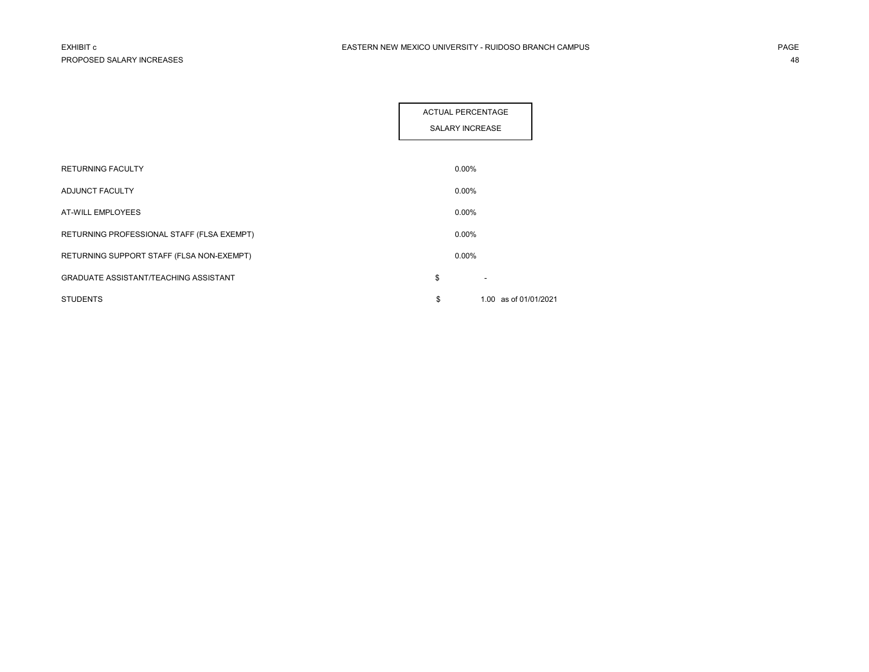|                                              | <b>ACTUAL PERCENTAGE</b><br><b>SALARY INCREASE</b> |  |
|----------------------------------------------|----------------------------------------------------|--|
| RETURNING FACULTY                            | $0.00\%$                                           |  |
| ADJUNCT FACULTY                              | $0.00\%$                                           |  |
| <b>AT-WILL EMPLOYEES</b>                     | $0.00\%$                                           |  |
| RETURNING PROFESSIONAL STAFF (FLSA EXEMPT)   | $0.00\%$                                           |  |
| RETURNING SUPPORT STAFF (FLSA NON-EXEMPT)    | $0.00\%$                                           |  |
| <b>GRADUATE ASSISTANT/TEACHING ASSISTANT</b> | \$                                                 |  |
| <b>STUDENTS</b>                              | \$<br>1.00 as of 01/01/2021                        |  |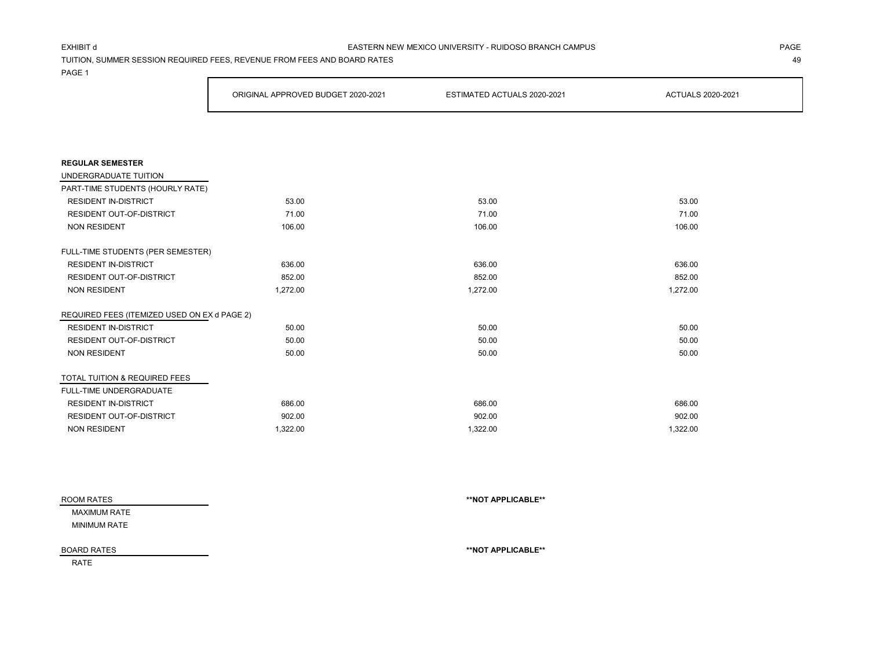### EXHIBIT d PAGE EASTERN NEW MEXICO UNIVERSITY - RUIDOSO BRANCH CAMPUS

TUITION, SUMMER SESSION REQUIRED FEES, REVENUE FROM FEES AND BOARD RATES 49

PAGE 1

|                                              | ORIGINAL APPROVED BUDGET 2020-2021 | ESTIMATED ACTUALS 2020-2021 | <b>ACTUALS 2020-2021</b> |
|----------------------------------------------|------------------------------------|-----------------------------|--------------------------|
|                                              |                                    |                             |                          |
|                                              |                                    |                             |                          |
| <b>REGULAR SEMESTER</b>                      |                                    |                             |                          |
| UNDERGRADUATE TUITION                        |                                    |                             |                          |
| PART-TIME STUDENTS (HOURLY RATE)             |                                    |                             |                          |
| <b>RESIDENT IN-DISTRICT</b>                  | 53.00                              | 53.00                       | 53.00                    |
| <b>RESIDENT OUT-OF-DISTRICT</b>              | 71.00                              | 71.00                       | 71.00                    |
| <b>NON RESIDENT</b>                          | 106.00                             | 106.00                      | 106.00                   |
| FULL-TIME STUDENTS (PER SEMESTER)            |                                    |                             |                          |
| <b>RESIDENT IN-DISTRICT</b>                  | 636.00                             | 636.00                      | 636.00                   |
| RESIDENT OUT-OF-DISTRICT                     | 852.00                             | 852.00                      | 852.00                   |
| <b>NON RESIDENT</b>                          | 1,272.00                           | 1,272.00                    | 1,272.00                 |
| REQUIRED FEES (ITEMIZED USED ON EX d PAGE 2) |                                    |                             |                          |
| <b>RESIDENT IN-DISTRICT</b>                  | 50.00                              | 50.00                       | 50.00                    |
| RESIDENT OUT-OF-DISTRICT                     | 50.00                              | 50.00                       | 50.00                    |
| <b>NON RESIDENT</b>                          | 50.00                              | 50.00                       | 50.00                    |
| TOTAL TUITION & REQUIRED FEES                |                                    |                             |                          |
| FULL-TIME UNDERGRADUATE                      |                                    |                             |                          |
| <b>RESIDENT IN-DISTRICT</b>                  | 686.00                             | 686.00                      | 686.00                   |
| <b>RESIDENT OUT-OF-DISTRICT</b>              | 902.00                             | 902.00                      | 902.00                   |
| <b>NON RESIDENT</b>                          | 1.322.00                           | 1.322.00                    | 1,322.00                 |

| ROOM RATES         | **NOT APPLICABLE** |
|--------------------|--------------------|
| MAXIMUM RATE       |                    |
| MINIMUM RATE       |                    |
| <b>BOARD RATES</b> | **NOT APPLICABLE** |

RATE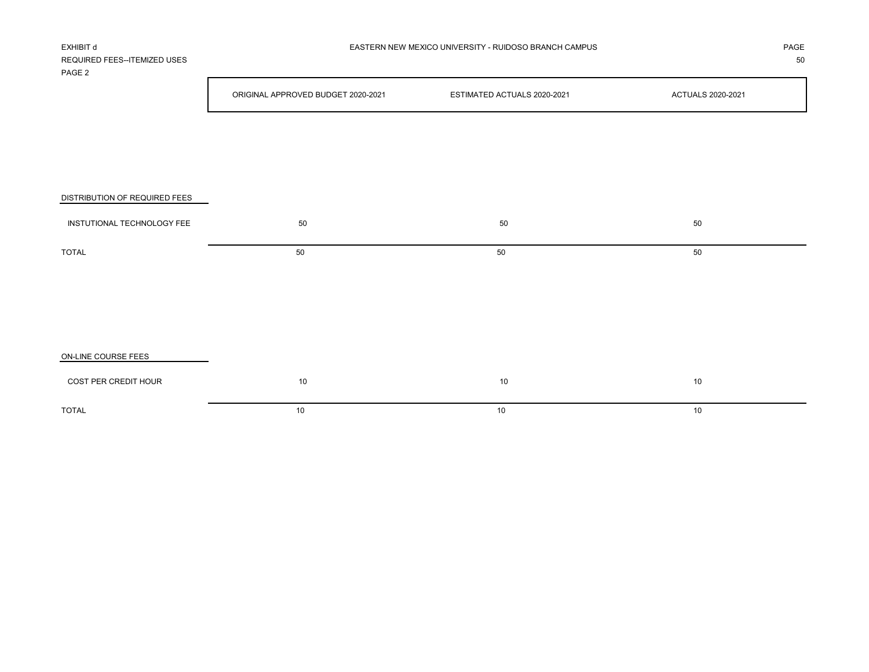| REQUIRED FEES--ITEMIZED USES<br>PAGE 2 |                                    |                             | 50                |
|----------------------------------------|------------------------------------|-----------------------------|-------------------|
|                                        | ORIGINAL APPROVED BUDGET 2020-2021 | ESTIMATED ACTUALS 2020-2021 | ACTUALS 2020-2021 |
|                                        |                                    |                             |                   |
|                                        |                                    |                             |                   |
|                                        |                                    |                             |                   |
| DISTRIBUTION OF REQUIRED FEES          |                                    |                             |                   |
| INSTUTIONAL TECHNOLOGY FEE             | 50                                 | $50\,$                      | 50                |
| <b>TOTAL</b>                           | 50                                 | 50                          | 50                |
|                                        |                                    |                             |                   |
|                                        |                                    |                             |                   |
|                                        |                                    |                             |                   |
| ON-LINE COURSE FEES                    |                                    |                             |                   |
| COST PER CREDIT HOUR                   | 10                                 | $10\,$                      | 10                |
| <b>TOTAL</b>                           | 10                                 | 10                          | 10                |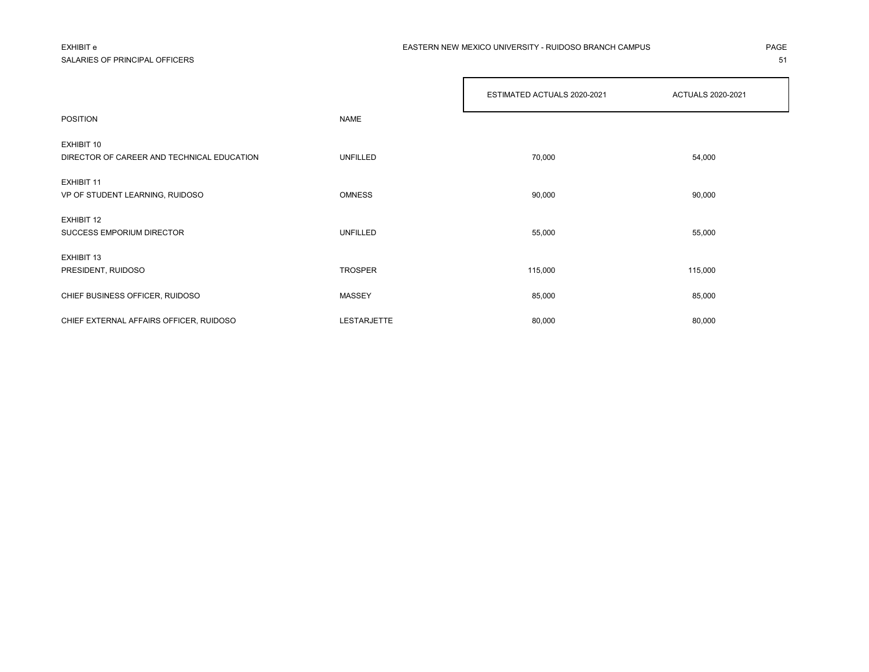## SALARIES OF PRINCIPAL OFFICERS **51**

### EXHIBIT e PAGE EASTERN NEW MEXICO UNIVERSITY - RUIDOSO BRANCH CAMPUS

|                                                          |                | ESTIMATED ACTUALS 2020-2021 | ACTUALS 2020-2021 |
|----------------------------------------------------------|----------------|-----------------------------|-------------------|
| <b>POSITION</b>                                          | <b>NAME</b>    |                             |                   |
| EXHIBIT 10<br>DIRECTOR OF CAREER AND TECHNICAL EDUCATION | UNFILLED       | 70,000                      | 54,000            |
| <b>EXHIBIT 11</b><br>VP OF STUDENT LEARNING, RUIDOSO     | <b>OMNESS</b>  | 90,000                      | 90,000            |
| EXHIBIT 12<br>SUCCESS EMPORIUM DIRECTOR                  | UNFILLED       | 55,000                      | 55,000            |
| EXHIBIT 13<br>PRESIDENT, RUIDOSO                         | <b>TROSPER</b> | 115,000                     | 115,000           |
| CHIEF BUSINESS OFFICER, RUIDOSO                          | <b>MASSEY</b>  | 85,000                      | 85,000            |
| CHIEF EXTERNAL AFFAIRS OFFICER, RUIDOSO                  | LESTARJETTE    | 80,000                      | 80,000            |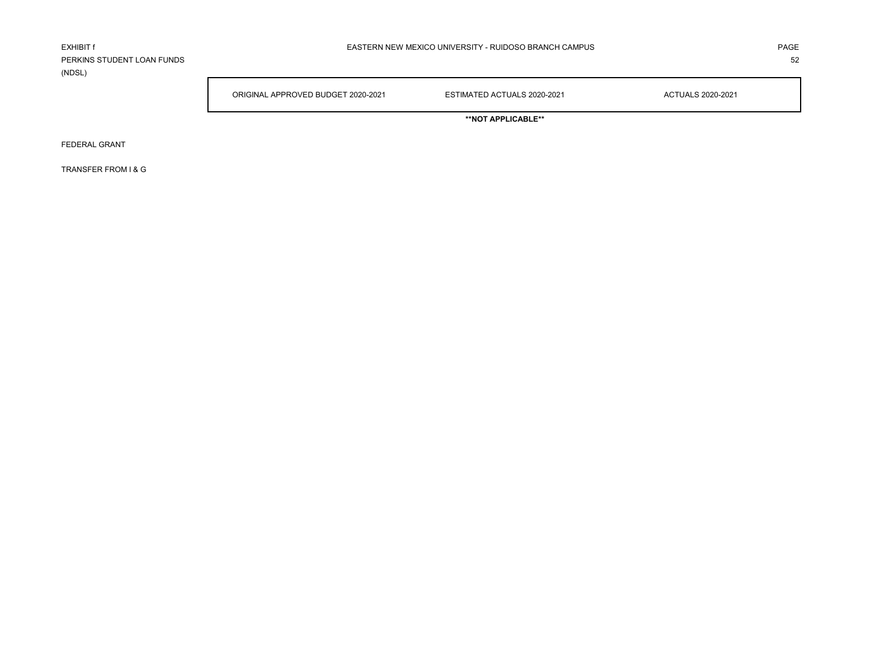PERKINS STUDENT LOAN FUNDS 52 (NDSL)

ORIGINAL APPROVED BUDGET 2020-2021 ESTIMATED ACTUALS 2020-2021 ACTUALS 2020-2021

**\*\*NOT APPLICABLE\*\***

FEDERAL GRANT

TRANSFER FROM I & G